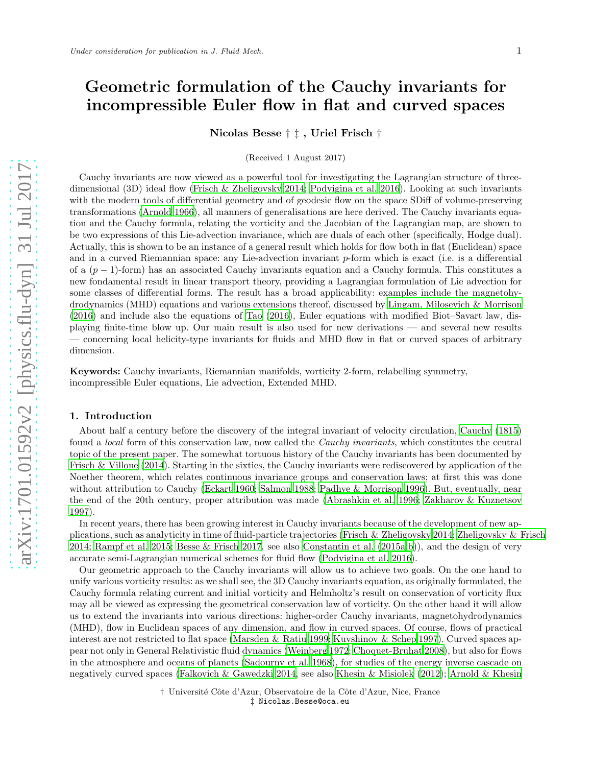# Geometric formulation of the Cauchy invariants for incompressible Euler flow in flat and curved spaces

Nicolas Besse † ‡ , Uriel Frisch †

(Received 1 August 2017)

Cauchy invariants are now viewed as a powerful tool for investigating the Lagrangian structure of threedimensional (3D) ideal flow [\(Frisch & Zheligovsky 2014;](#page-47-0) [Podvigina et al. 2016\)](#page-48-0). Looking at such invariants with the modern tools of differential geometry and of geodesic flow on the space SDiff of volume-preserving transformations [\(Arnold 1966\)](#page-47-1), all manners of generalisations are here derived. The Cauchy invariants equation and the Cauchy formula, relating the vorticity and the Jacobian of the Lagrangian map, are shown to be two expressions of this Lie-advection invariance, which are duals of each other (specifically, Hodge dual). Actually, this is shown to be an instance of a general result which holds for flow both in flat (Euclidean) space and in a curved Riemannian space: any Lie-advection invariant p-form which is exact (i.e. is a differential of a  $(p-1)$ -form) has an associated Cauchy invariants equation and a Cauchy formula. This constitutes a new fondamental result in linear transport theory, providing a Lagrangian formulation of Lie advection for some classes of differential forms. The result has a broad applicability: examples include the magnetohydrodynamics (MHD) equations and various extensions thereof, discussed by [Lingam, Milosevich & Morrison](#page-48-1) [\(2016\)](#page-48-1) and include also the equations of [Tao \(2016](#page-49-0)), Euler equations with modified Biot–Savart law, displaying finite-time blow up. Our main result is also used for new derivations — and several new results — concerning local helicity-type invariants for fluids and MHD flow in flat or curved spaces of arbitrary dimension.

Keywords: Cauchy invariants, Riemannian manifolds, vorticity 2-form, relabelling symmetry, incompressible Euler equations, Lie advection, Extended MHD.

#### 1. Introduction

About half a century before the discovery of the integral invariant of velocity circulation, [Cauchy \(1815\)](#page-47-2) found a local form of this conservation law, now called the Cauchy invariants, which constitutes the central topic of the present paper. The somewhat tortuous history of the Cauchy invariants has been documented by [Frisch & Villone \(2014\)](#page-47-3). Starting in the sixties, the Cauchy invariants were rediscovered by application of the Noether theorem, which relates continuous invariance groups and conservation laws; at first this was done without attribution to Cauchy [\(Eckart 1960](#page-47-4); [Salmon 1988;](#page-49-1) Padhye [& Morrison 1996\)](#page-48-2). But, eventually, near the end of the 20th century, proper attribution was made [\(Abrashkin et al. 1996](#page-46-0); [Zakharov & Kuznetsov](#page-49-2) [1997\)](#page-49-2).

In recent years, there has been growing interest in Cauchy invariants because of the development of new applications, such as analyticity in time of fluid-particle trajectories [\(Frisch & Zheligovsky 2014;](#page-47-0) [Zheligovsky & Frisch](#page-49-3) [2014;](#page-49-3) [Rampf et al. 2015;](#page-48-3) [Besse & Frisch 2017,](#page-47-5) see also [Constantin et al. \(2015a](#page-47-6)[,b\)](#page-47-7)), and the design of very accurate semi-Lagrangian numerical schemes for fluid flow [\(Podvigina et al. 2016\)](#page-48-0).

Our geometric approach to the Cauchy invariants will allow us to achieve two goals. On the one hand to unify various vorticity results: as we shall see, the 3D Cauchy invariants equation, as originally formulated, the Cauchy formula relating current and initial vorticity and Helmholtz's result on conservation of vorticity flux may all be viewed as expressing the geometrical conservation law of vorticity. On the other hand it will allow us to extend the invariants into various directions: higher-order Cauchy invariants, magnetohydrodynamics (MHD), flow in Euclidean spaces of any dimension, and flow in curved spaces. Of course, flows of practical interest are not restricted to flat space [\(Marsden & Ratiu 1999;](#page-48-4) [Kuvshinov & Schep 1997\)](#page-48-5). Curved spaces appear not only in General Relativistic fluid dynamics [\(Weinberg 1972;](#page-49-4) [Choquet-Bruhat 2008](#page-47-8)), but also for flows in the atmosphere and oceans of planets [\(Sadourny et al. 1968\)](#page-49-5), for studies of the energy inverse cascade on negatively curved spaces [\(Falkovich & Gawedzki 2014,](#page-47-9) see also [Khesin & Misiolek \(2012\)](#page-48-6); [Arnold & Khesin](#page-47-10)

> † Université Côte d'Azur, Observatoire de la Côte d'Azur, Nice, France ‡ Nicolas.Besse@oca.eu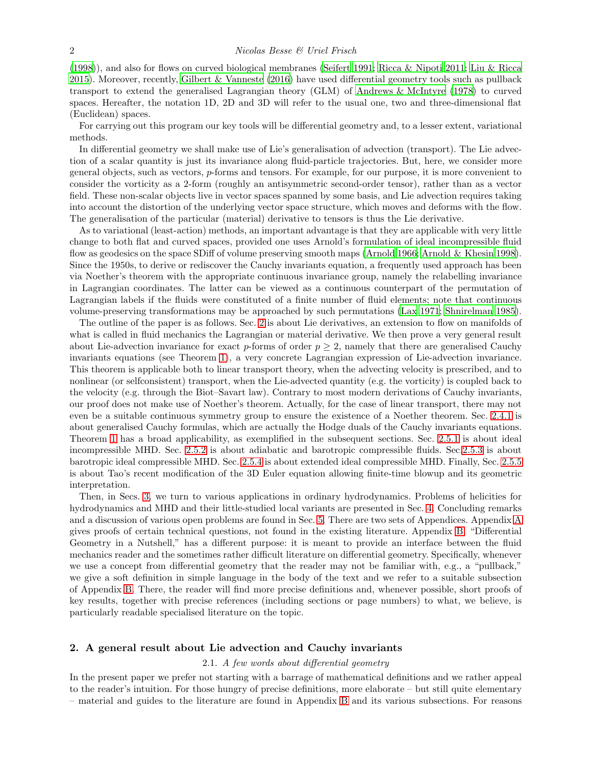[\(1998\)](#page-47-10)), and also for flows on curved biological membranes [\(Seifert 1991;](#page-49-6) [Ricca & Nipoti 2011;](#page-48-7) [Liu & Ricca](#page-48-8) [2015\)](#page-48-8). Moreover, recently, [Gilbert & Vanneste \(2016\)](#page-47-11) have used differential geometry tools such as pullback transport to extend the generalised Lagrangian theory (GLM) of [Andrews & McIntyre \(1978](#page-46-1)) to curved spaces. Hereafter, the notation 1D, 2D and 3D will refer to the usual one, two and three-dimensional flat (Euclidean) spaces.

For carrying out this program our key tools will be differential geometry and, to a lesser extent, variational methods.

In differential geometry we shall make use of Lie's generalisation of advection (transport). The Lie advection of a scalar quantity is just its invariance along fluid-particle trajectories. But, here, we consider more general objects, such as vectors, p-forms and tensors. For example, for our purpose, it is more convenient to consider the vorticity as a 2-form (roughly an antisymmetric second-order tensor), rather than as a vector field. These non-scalar objects live in vector spaces spanned by some basis, and Lie advection requires taking into account the distortion of the underlying vector space structure, which moves and deforms with the flow. The generalisation of the particular (material) derivative to tensors is thus the Lie derivative.

As to variational (least-action) methods, an important advantage is that they are applicable with very little change to both flat and curved spaces, provided one uses Arnold's formulation of ideal incompressible fluid flow as geodesics on the space SDiff of volume preserving smooth maps [\(Arnold 1966](#page-47-1); [Arnold & Khesin 1998](#page-47-10)). Since the 1950s, to derive or rediscover the Cauchy invariants equation, a frequently used approach has been via Noether's theorem with the appropriate continuous invariance group, namely the relabelling invariance in Lagrangian coordinates. The latter can be viewed as a continuous counterpart of the permutation of Lagrangian labels if the fluids were constituted of a finite number of fluid elements; note that continuous volume-preserving transformations may be approached by such permutations [\(Lax 1971;](#page-48-9) [Shnirelman 1985](#page-49-7)).

The outline of the paper is as follows. Sec. [2](#page-1-0) is about Lie derivatives, an extension to flow on manifolds of what is called in fluid mechanics the Lagrangian or material derivative. We then prove a very general result about Lie-advection invariance for exact p-forms of order  $p \geq 2$ , namely that there are generalised Cauchy invariants equations (see Theorem [1\)](#page-5-0), a very concrete Lagrangian expression of Lie-advection invariance. This theorem is applicable both to linear transport theory, when the advecting velocity is prescribed, and to nonlinear (or selfconsistent) transport, when the Lie-advected quantity (e.g. the vorticity) is coupled back to the velocity (e.g. through the Biot–Savart law). Contrary to most modern derivations of Cauchy invariants, our proof does not make use of Noether's theorem. Actually, for the case of linear transport, there may not even be a suitable continuous symmetry group to ensure the existence of a Noether theorem. Sec. [2.4.1](#page-8-0) is about generalised Cauchy formulas, which are actually the Hodge duals of the Cauchy invariants equations. Theorem [1](#page-5-0) has a broad applicability, as exemplified in the subsequent sections. Sec. [2.5.1](#page-10-0) is about ideal incompressible MHD. Sec. [2.5.2](#page-11-0) is about adiabatic and barotropic compressible fluids. Sec[.2.5.3](#page-11-1) is about barotropic ideal compressible MHD. Sec. [2.5.4](#page-12-0) is about extended ideal compressible MHD. Finally, Sec. [2.5.5](#page-13-0) is about Tao's recent modification of the 3D Euler equation allowing finite-time blowup and its geometric interpretation.

Then, in Secs. [3,](#page-14-0) we turn to various applications in ordinary hydrodynamics. Problems of helicities for hydrodynamics and MHD and their little-studied local variants are presented in Sec. [4.](#page-18-0) Concluding remarks and a discussion of various open problems are found in Sec. [5.](#page-23-0) There are two sets of Appendices. Appendix [A](#page-24-0) gives proofs of certain technical questions, not found in the existing literature. Appendix [B,](#page-33-0) "Differential Geometry in a Nutshell," has a different purpose: it is meant to provide an interface between the fluid mechanics reader and the sometimes rather difficult literature on differential geometry. Specifically, whenever we use a concept from differential geometry that the reader may not be familiar with, e.g., a "pullback," we give a soft definition in simple language in the body of the text and we refer to a suitable subsection of Appendix [B.](#page-33-0) There, the reader will find more precise definitions and, whenever possible, short proofs of key results, together with precise references (including sections or page numbers) to what, we believe, is particularly readable specialised literature on the topic.

# <span id="page-1-0"></span>2. A general result about Lie advection and Cauchy invariants

#### 2.1. A few words about differential geometry

In the present paper we prefer not starting with a barrage of mathematical definitions and we rather appeal to the reader's intuition. For those hungry of precise definitions, more elaborate – but still quite elementary – material and guides to the literature are found in Appendix [B](#page-33-0) and its various subsections. For reasons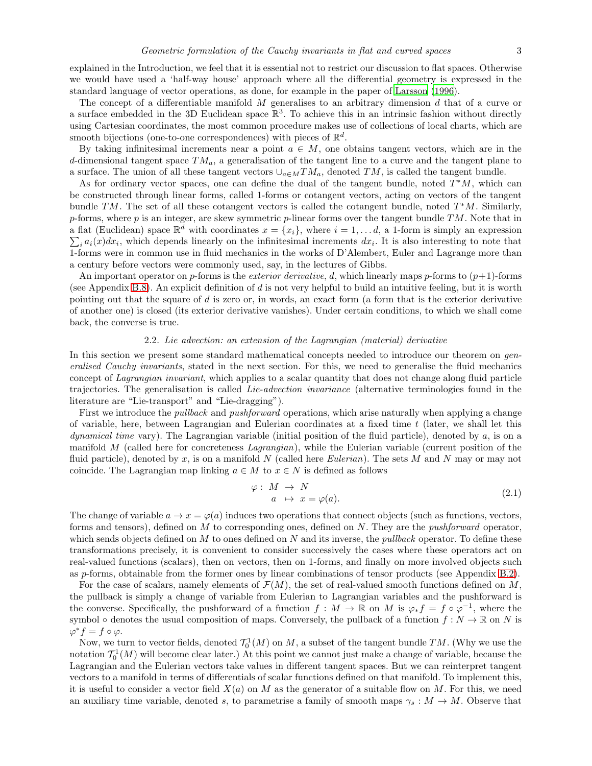explained in the Introduction, we feel that it is essential not to restrict our discussion to flat spaces. Otherwise we would have used a 'half-way house' approach where all the differential geometry is expressed in the standard language of vector operations, as done, for example in the paper of [Larsson \(1996\)](#page-48-10).

The concept of a differentiable manifold  $M$  generalises to an arbitrary dimension  $d$  that of a curve or a surface embedded in the 3D Euclidean space  $\mathbb{R}^3$ . To achieve this in an intrinsic fashion without directly using Cartesian coordinates, the most common procedure makes use of collections of local charts, which are smooth bijections (one-to-one correspondences) with pieces of  $\mathbb{R}^d$ .

By taking infinitesimal increments near a point  $a \in M$ , one obtains tangent vectors, which are in the d-dimensional tangent space  $TM_a$ , a generalisation of the tangent line to a curve and the tangent plane to a surface. The union of all these tangent vectors  $\cup_{a \in M} TM_a$ , denoted TM, is called the tangent bundle.

As for ordinary vector spaces, one can define the dual of the tangent bundle, noted  $T^*M$ , which can be constructed through linear forms, called 1-forms or cotangent vectors, acting on vectors of the tangent bundle TM. The set of all these cotangent vectors is called the cotangent bundle, noted  $T^*M$ . Similarly, p-forms, where  $p$  is an integer, are skew symmetric p-linear forms over the tangent bundle  $TM$ . Note that in a flat (Euclidean) space  $\mathbb{R}^d$  with coordinates  $x = \{x_i\}$ , where  $i = 1, \ldots, d$ , a 1-form is simply an expression  $\sum_i a_i(x)dx_i$ , which depends linearly on the infinitesimal increments  $dx_i$ . It is also interesting to note that 1-forms were in common use in fluid mechanics in the works of D'Alembert, Euler and Lagrange more than a century before vectors were commonly used, say, in the lectures of Gibbs.

An important operator on p-forms is the exterior derivative, d, which linearly maps p-forms to  $(p+1)$ -forms (see Appendix [B.8\)](#page-39-0). An explicit definition of d is not very helpful to build an intuitive feeling, but it is worth pointing out that the square of d is zero or, in words, an exact form (a form that is the exterior derivative of another one) is closed (its exterior derivative vanishes). Under certain conditions, to which we shall come back, the converse is true.

# 2.2. Lie advection: an extension of the Lagrangian (material) derivative

<span id="page-2-0"></span>In this section we present some standard mathematical concepts needed to introduce our theorem on generalised Cauchy invariants, stated in the next section. For this, we need to generalise the fluid mechanics concept of Lagrangian invariant, which applies to a scalar quantity that does not change along fluid particle trajectories. The generalisation is called Lie-advection invariance (alternative terminologies found in the literature are "Lie-transport" and "Lie-dragging").

First we introduce the *pullback* and *pushforward* operations, which arise naturally when applying a change of variable, here, between Lagrangian and Eulerian coordinates at a fixed time  $t$  (later, we shall let this *dynamical time* vary). The Lagrangian variable (initial position of the fluid particle), denoted by  $a$ , is on a manifold M (called here for concreteness Lagrangian), while the Eulerian variable (current position of the fluid particle), denoted by x, is on a manifold N (called here Eulerian). The sets M and N may or may not coincide. The Lagrangian map linking  $a \in M$  to  $x \in N$  is defined as follows

$$
\varphi: M \to N \n a \mapsto x = \varphi(a).
$$
\n(2.1)

The change of variable  $a \to x = \varphi(a)$  induces two operations that connect objects (such as functions, vectors, forms and tensors), defined on M to corresponding ones, defined on N. They are the pushforward operator, which sends objects defined on  $M$  to ones defined on  $N$  and its inverse, the *pullback* operator. To define these transformations precisely, it is convenient to consider successively the cases where these operators act on real-valued functions (scalars), then on vectors, then on 1-forms, and finally on more involved objects such as p-forms, obtainable from the former ones by linear combinations of tensor products (see Appendix [B.2\)](#page-34-0).

For the case of scalars, namely elements of  $\mathcal{F}(M)$ , the set of real-valued smooth functions defined on M, the pullback is simply a change of variable from Eulerian to Lagrangian variables and the pushforward is the converse. Specifically, the pushforward of a function  $f : M \to \mathbb{R}$  on M is  $\varphi_* f = f \circ \varphi^{-1}$ , where the symbol  $\circ$  denotes the usual composition of maps. Conversely, the pullback of a function  $f : N \to \mathbb{R}$  on N is  $\varphi^* f = f \circ \varphi.$ 

Now, we turn to vector fields, denoted  $\mathcal{T}_0^1(M)$  on M, a subset of the tangent bundle TM. (Why we use the notation  $\mathcal{T}_0^1(M)$  will become clear later.) At this point we cannot just make a change of variable, because the Lagrangian and the Eulerian vectors take values in different tangent spaces. But we can reinterpret tangent vectors to a manifold in terms of differentials of scalar functions defined on that manifold. To implement this, it is useful to consider a vector field  $X(a)$  on M as the generator of a suitable flow on M. For this, we need an auxiliary time variable, denoted s, to parametrise a family of smooth maps  $\gamma_s : M \to M$ . Observe that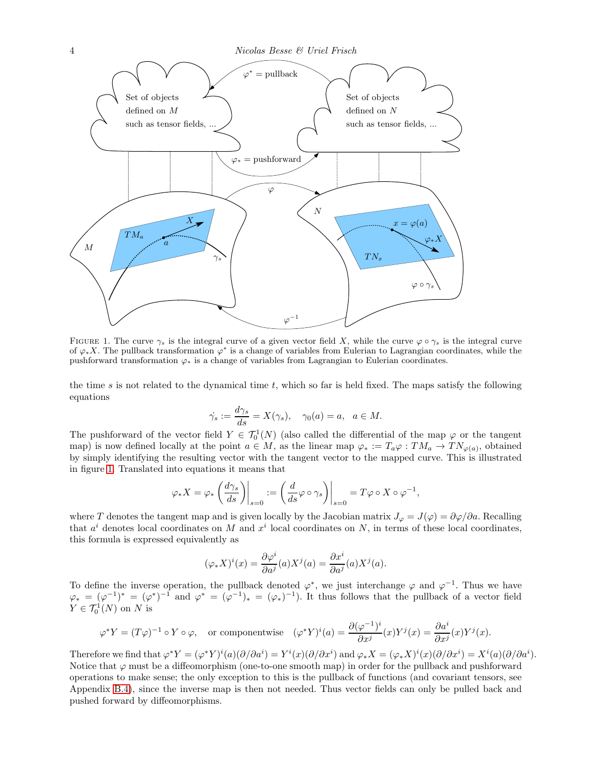

<span id="page-3-0"></span>FIGURE 1. The curve  $\gamma_s$  is the integral curve of a given vector field X, while the curve  $\varphi \circ \gamma_s$  is the integral curve of  $\varphi_* X$ . The pullback transformation  $\varphi^*$  is a change of variables from Eulerian to Lagrangian coordinates, while the pushforward transformation  $\varphi_*$  is a change of variables from Lagrangian to Eulerian coordinates.

the time s is not related to the dynamical time t, which so far is held fixed. The maps satisfy the following equations

$$
\dot{\gamma_s} := \frac{d\gamma_s}{ds} = X(\gamma_s), \quad \gamma_0(a) = a, \ \ a \in M.
$$

The pushforward of the vector field  $Y \in \mathcal{T}_0^1(N)$  (also called the differential of the map  $\varphi$  or the tangent map) is now defined locally at the point  $a \in M$ , as the linear map  $\varphi_* := T_a \varphi : TM_a \to TN_{\varphi(a)},$  obtained by simply identifying the resulting vector with the tangent vector to the mapped curve. This is illustrated in figure [1.](#page-3-0) Translated into equations it means that

$$
\varphi_* X = \varphi_* \left( \frac{d\gamma_s}{ds} \right) \Big|_{s=0} := \left( \frac{d}{ds} \varphi \circ \gamma_s \right) \Big|_{s=0} = T \varphi \circ X \circ \varphi^{-1},
$$

where T denotes the tangent map and is given locally by the Jacobian matrix  $J_{\varphi} = J(\varphi) = \partial \varphi / \partial a$ . Recalling that  $a^i$  denotes local coordinates on M and  $x^i$  local coordinates on N, in terms of these local coordinates, this formula is expressed equivalently as

$$
(\varphi_* X)^i(x) = \frac{\partial \varphi^i}{\partial a^j}(a) X^j(a) = \frac{\partial x^i}{\partial a^j}(a) X^j(a).
$$

To define the inverse operation, the pullback denoted  $\varphi^*$ , we just interchange  $\varphi$  and  $\varphi^{-1}$ . Thus we have  $\varphi_* = (\varphi^{-1})^* = (\varphi^*)^{-1}$  and  $\varphi^* = (\varphi^{-1})^* = (\varphi_*)^{-1}$ . It thus follows that the pullback of a vector field  $Y \in \mathcal{T}_0^1(N)$  on N is

$$
\varphi^* Y = (T\varphi)^{-1} \circ Y \circ \varphi, \quad \text{or componentwise} \quad (\varphi^* Y)^i(a) = \frac{\partial (\varphi^{-1})^i}{\partial x^j}(x) Y^j(x) = \frac{\partial a^i}{\partial x^j}(x) Y^j(x).
$$

Therefore we find that  $\varphi^* Y = (\varphi^* Y)^i(a)(\partial/\partial a^i) = Y^i(x)(\partial/\partial x^i)$  and  $\varphi_* X = (\varphi_* X)^i(x)(\partial/\partial x^i) = X^i(a)(\partial/\partial a^i)$ . Notice that  $\varphi$  must be a diffeomorphism (one-to-one smooth map) in order for the pullback and pushforward operations to make sense; the only exception to this is the pullback of functions (and covariant tensors, see Appendix [B.4\)](#page-35-0), since the inverse map is then not needed. Thus vector fields can only be pulled back and pushed forward by diffeomorphisms.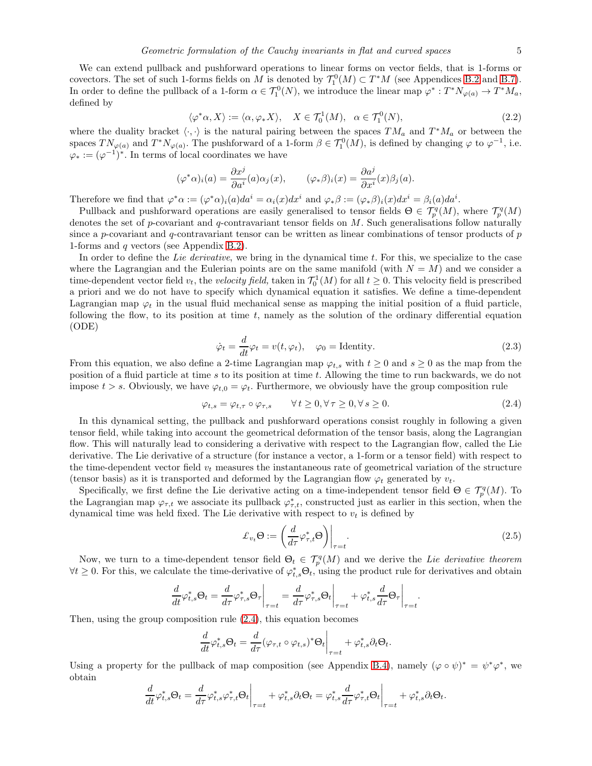We can extend pullback and pushforward operations to linear forms on vector fields, that is 1-forms or covectors. The set of such 1-forms fields on M is denoted by  $\mathcal{T}_1^0(M) \subset T^*M$  (see Appendices [B.2](#page-34-0) and [B.7\)](#page-38-0). In order to define the pullback of a 1-form  $\alpha \in \mathcal{T}_1^0(N)$ , we introduce the linear map  $\varphi^*: T^*N_{\varphi(a)} \to T^*M_a$ , defined by

$$
\langle \varphi^* \alpha, X \rangle := \langle \alpha, \varphi_* X \rangle, \quad X \in \mathcal{T}_0^1(M), \quad \alpha \in \mathcal{T}_1^0(N), \tag{2.2}
$$

where the duality bracket  $\langle \cdot, \cdot \rangle$  is the natural pairing between the spaces  $TM_a$  and  $T^*M_a$  or between the spaces  $TN_{\varphi(a)}$  and  $T^*N_{\varphi(a)}$ . The pushforward of a 1-form  $\beta \in \mathcal{T}_1^0(M)$ , is defined by changing  $\varphi$  to  $\varphi^{-1}$ , i.e.  $\varphi_* := (\varphi^{-1})^*$ . In terms of local coordinates we have

$$
(\varphi^*\alpha)_i(a) = \frac{\partial x^j}{\partial a^i}(a)\alpha_j(x), \qquad (\varphi_*\beta)_i(x) = \frac{\partial a^j}{\partial x^i}(x)\beta_j(a).
$$

Therefore we find that  $\varphi^* \alpha := (\varphi^* \alpha)_i(a) da^i = \alpha_i(x) dx^i$  and  $\varphi_* \beta := (\varphi_* \beta)_i(x) dx^i = \beta_i(a) da^i$ .

Pullback and pushforward operations are easily generalised to tensor fields  $\Theta \in \mathcal{T}_{p}^{q}(M)$ , where  $\mathcal{T}_{p}^{q}(M)$ denotes the set of p-covariant and q-contravariant tensor fields on  $M$ . Such generalisations follow naturally since a p-covariant and q-contravariant tensor can be written as linear combinations of tensor products of  $p$ 1-forms and q vectors (see Appendix [B.2\)](#page-34-0).

In order to define the Lie derivative, we bring in the dynamical time t. For this, we specialize to the case where the Lagrangian and the Eulerian points are on the same manifold (with  $N = M$ ) and we consider a time-dependent vector field  $v_t$ , the *velocity field*, taken in  $\mathcal{T}_0^1(M)$  for all  $t \geq 0$ . This velocity field is prescribed a priori and we do not have to specify which dynamical equation it satisfies. We define a time-dependent Lagrangian map  $\varphi_t$  in the usual fluid mechanical sense as mapping the initial position of a fluid particle, following the flow, to its position at time  $t$ , namely as the solution of the ordinary differential equation (ODE)

<span id="page-4-2"></span>
$$
\dot{\varphi}_t = \frac{d}{dt} \varphi_t = v(t, \varphi_t), \quad \varphi_0 = \text{Identity.} \tag{2.3}
$$

From this equation, we also define a 2-time Lagrangian map  $\varphi_{t,s}$  with  $t \geq 0$  and  $s \geq 0$  as the map from the position of a fluid particle at time s to its position at time t. Allowing the time to run backwards, we do not impose  $t > s$ . Obviously, we have  $\varphi_{t,0} = \varphi_t$ . Furthermore, we obviously have the group composition rule

<span id="page-4-0"></span>
$$
\varphi_{t,s} = \varphi_{t,\tau} \circ \varphi_{\tau,s} \qquad \forall \, t \ge 0, \forall \, \tau \ge 0, \forall \, s \ge 0. \tag{2.4}
$$

In this dynamical setting, the pullback and pushforward operations consist roughly in following a given tensor field, while taking into account the geometrical deformation of the tensor basis, along the Lagrangian flow. This will naturally lead to considering a derivative with respect to the Lagrangian flow, called the Lie derivative. The Lie derivative of a structure (for instance a vector, a 1-form or a tensor field) with respect to the time-dependent vector field  $v_t$  measures the instantaneous rate of geometrical variation of the structure (tensor basis) as it is transported and deformed by the Lagrangian flow  $\varphi_t$  generated by  $v_t$ .

Specifically, we first define the Lie derivative acting on a time-independent tensor field  $\Theta \in \mathcal{T}_{p}^{q}(M)$ . To the Lagrangian map  $\varphi_{\tau,t}$  we associate its pullback  $\varphi_{\tau,t}^*$ , constructed just as earlier in this section, when the dynamical time was held fixed. The Lie derivative with respect to  $v_t$  is defined by

<span id="page-4-1"></span>
$$
\mathcal{L}_{v_t} \Theta := \left( \frac{d}{d\tau} \varphi_{\tau, t}^* \Theta \right) \bigg|_{\tau = t} . \tag{2.5}
$$

.

Now, we turn to a time-dependent tensor field  $\Theta_t \in \mathcal{T}_{p}^q(M)$  and we derive the Lie derivative theorem  $\forall t \geq 0$ . For this, we calculate the time-derivative of  $\varphi_{t,s}^* \Theta_t$ , using the product rule for derivatives and obtain

$$
\frac{d}{dt}\varphi_{t,s}^*\Theta_t = \frac{d}{d\tau}\varphi_{\tau,s}^*\Theta_\tau\bigg|_{\tau=t} = \frac{d}{d\tau}\varphi_{\tau,s}^*\Theta_t\bigg|_{\tau=t} + \varphi_{t,s}^*\frac{d}{d\tau}\Theta_\tau\bigg|_{\tau=t}
$$

Then, using the group composition rule [\(2.4\)](#page-4-0), this equation becomes

$$
\frac{d}{dt}\varphi_{t,s}^*\Theta_t = \frac{d}{d\tau}(\varphi_{\tau,t}\circ\varphi_{t,s})^*\Theta_t\bigg|_{\tau=t} + \varphi_{t,s}^*\partial_t\Theta_t.
$$

Using a property for the pullback of map composition (see Appendix [B.4\)](#page-35-0), namely  $(\varphi \circ \psi)^* = \psi^* \varphi^*$ , we obtain

$$
\frac{d}{dt}\varphi_{t,s}^*\Theta_t=\frac{d}{d\tau}\varphi_{t,s}^*\varphi_{\tau,t}^*\Theta_t\bigg|_{\tau=t}+\varphi_{t,s}^*\partial_t\Theta_t=\varphi_{t,s}^*\frac{d}{d\tau}\varphi_{\tau,t}^*\Theta_t\bigg|_{\tau=t}+\varphi_{t,s}^*\partial_t\Theta_t.
$$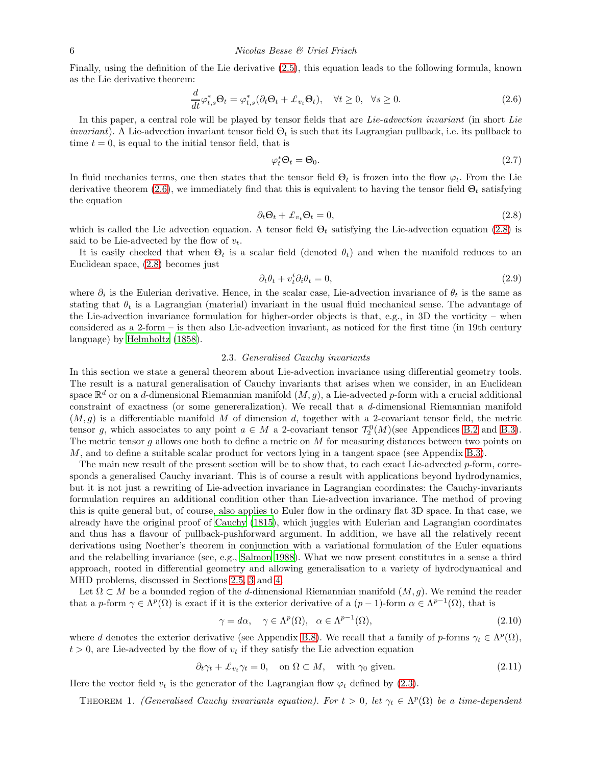Finally, using the definition of the Lie derivative [\(2.5\)](#page-4-1), this equation leads to the following formula, known as the Lie derivative theorem:

<span id="page-5-1"></span>
$$
\frac{d}{dt}\varphi_{t,s}^*\Theta_t = \varphi_{t,s}^*(\partial_t\Theta_t + \pounds_{v_t}\Theta_t), \quad \forall t \ge 0, \quad \forall s \ge 0.
$$
\n(2.6)

In this paper, a central role will be played by tensor fields that are Lie-advection invariant (in short Lie *invariant*). A Lie-advection invariant tensor field  $\Theta_t$  is such that its Lagrangian pullback, i.e. its pullback to time  $t = 0$ , is equal to the initial tensor field, that is

<span id="page-5-5"></span>
$$
\varphi_t^* \Theta_t = \Theta_0. \tag{2.7}
$$

In fluid mechanics terms, one then states that the tensor field  $\Theta_t$  is frozen into the flow  $\varphi_t$ . From the Lie derivative theorem [\(2.6\)](#page-5-1), we immediately find that this is equivalent to having the tensor field  $\Theta_t$  satisfying the equation

<span id="page-5-2"></span>
$$
\partial_t \Theta_t + \mathcal{L}_{v_t} \Theta_t = 0, \tag{2.8}
$$

which is called the Lie advection equation. A tensor field  $\Theta_t$  satisfying the Lie-advection equation [\(2.8\)](#page-5-2) is said to be Lie-advected by the flow of  $v_t$ .

It is easily checked that when  $\Theta_t$  is a scalar field (denoted  $\theta_t$ ) and when the manifold reduces to an Euclidean space, [\(2.8\)](#page-5-2) becomes just

$$
\partial_t \theta_t + v_t^i \partial_i \theta_t = 0, \tag{2.9}
$$

where  $\partial_i$  is the Eulerian derivative. Hence, in the scalar case, Lie-advection invariance of  $\theta_t$  is the same as stating that  $\theta_t$  is a Lagrangian (material) invariant in the usual fluid mechanical sense. The advantage of the Lie-advection invariance formulation for higher-order objects is that, e.g., in 3D the vorticity – when considered as a 2-form – is then also Lie-advection invariant, as noticed for the first time (in 19th century language) by [Helmholtz \(1858\)](#page-48-11).

# 2.3. Generalised Cauchy invariants

In this section we state a general theorem about Lie-advection invariance using differential geometry tools. The result is a natural generalisation of Cauchy invariants that arises when we consider, in an Euclidean space  $\mathbb{R}^d$  or on a d-dimensional Riemannian manifold  $(M, g)$ , a Lie-advected p-form with a crucial additional constraint of exactness (or some genereralization). We recall that a d-dimensional Riemannian manifold  $(M, g)$  is a differentiable manifold M of dimension d, together with a 2-covariant tensor field, the metric tensor g, which associates to any point  $a \in M$  a 2-covariant tensor  $\mathcal{T}_2^0(M)$  (see Appendices [B.2](#page-34-0) and [B.3\)](#page-35-1). The metric tensor g allows one both to define a metric on  $M$  for measuring distances between two points on M, and to define a suitable scalar product for vectors lying in a tangent space (see Appendix [B.3\)](#page-35-1).

The main new result of the present section will be to show that, to each exact Lie-advected p-form, corresponds a generalised Cauchy invariant. This is of course a result with applications beyond hydrodynamics, but it is not just a rewriting of Lie-advection invariance in Lagrangian coordinates: the Cauchy-invariants formulation requires an additional condition other than Lie-advection invariance. The method of proving this is quite general but, of course, also applies to Euler flow in the ordinary flat 3D space. In that case, we already have the original proof of [Cauchy \(1815](#page-47-2)), which juggles with Eulerian and Lagrangian coordinates and thus has a flavour of pullback-pushforward argument. In addition, we have all the relatively recent derivations using Noether's theorem in conjunction with a variational formulation of the Euler equations and the relabelling invariance (see, e.g., [Salmon 1988\)](#page-49-1). What we now present constitutes in a sense a third approach, rooted in differential geometry and allowing generalisation to a variety of hydrodynamical and MHD problems, discussed in Sections [2.5,](#page-10-1) [3](#page-14-0) and [4.](#page-18-0)

Let  $\Omega \subset M$  be a bounded region of the d-dimensional Riemannian manifold  $(M, q)$ . We remind the reader that a p-form  $\gamma \in \Lambda^p(\Omega)$  is exact if it is the exterior derivative of a  $(p-1)$ -form  $\alpha \in \Lambda^{p-1}(\Omega)$ , that is

<span id="page-5-3"></span>
$$
\gamma = d\alpha, \quad \gamma \in \Lambda^p(\Omega), \quad \alpha \in \Lambda^{p-1}(\Omega), \tag{2.10}
$$

where d denotes the exterior derivative (see Appendix [B.8\)](#page-39-0). We recall that a family of p-forms  $\gamma_t \in \Lambda^p(\Omega)$ ,  $t > 0$ , are Lie-advected by the flow of  $v_t$  if they satisfy the Lie advection equation

<span id="page-5-4"></span>
$$
\partial_t \gamma_t + \mathcal{L}_{v_t} \gamma_t = 0, \quad \text{on } \Omega \subset M, \quad \text{with } \gamma_0 \text{ given.} \tag{2.11}
$$

<span id="page-5-0"></span>Here the vector field  $v_t$  is the generator of the Lagrangian flow  $\varphi_t$  defined by [\(2.3\)](#page-4-2).

THEOREM 1. (Generalised Cauchy invariants equation). For  $t > 0$ , let  $\gamma_t \in \Lambda^p(\Omega)$  be a time-dependent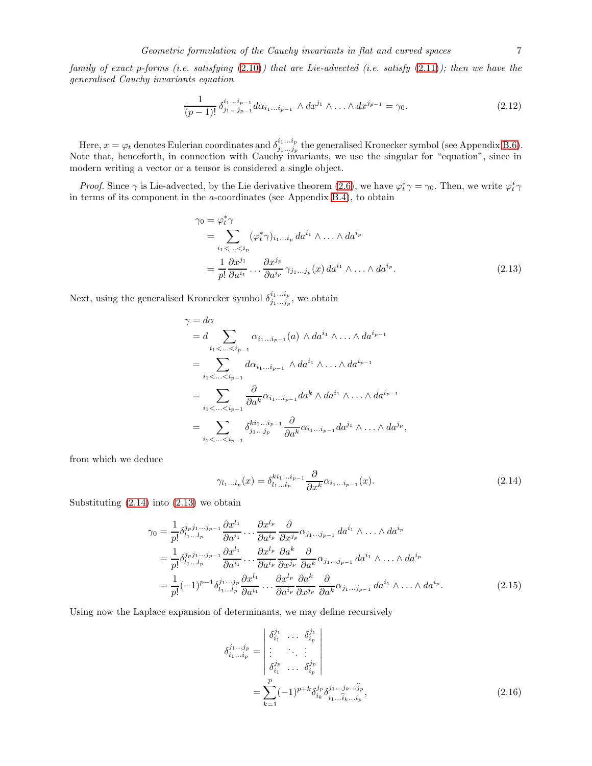family of exact p-forms (i.e. satisfying  $(2.10)$ ) that are Lie-advected (i.e. satisfy  $(2.11)$ ); then we have the generalised Cauchy invariants equation

<span id="page-6-4"></span>
$$
\frac{1}{(p-1)!} \delta^{i_1 \dots i_{p-1}}_{j_1 \dots j_{p-1}} d\alpha_{i_1 \dots i_{p-1}} \wedge dx^{j_1} \wedge \dots \wedge dx^{j_{p-1}} = \gamma_0.
$$
 (2.12)

Here,  $x = \varphi_t$  denotes Eulerian coordinates and  $\delta^{i_1...i_p}_{i_1...i_p}$  $j_1...j_p$  the generalised Kronecker symbol (see Appendix [B.6\)](#page-37-0). Note that, henceforth, in connection with Cauchy invariants, we use the singular for "equation", since in modern writing a vector or a tensor is considered a single object.

*Proof.* Since  $\gamma$  is Lie-advected, by the Lie derivative theorem [\(2.6\)](#page-5-1), we have  $\varphi_t^* \gamma = \gamma_0$ . Then, we write  $\varphi_t^* \gamma$ in terms of its component in the a-coordinates (see Appendix [B.4\)](#page-35-0), to obtain

<span id="page-6-1"></span>
$$
\gamma_0 = \varphi_t^* \gamma
$$
  
= 
$$
\sum_{i_1 < \dots < i_p} (\varphi_t^* \gamma)_{i_1 \dots i_p} da^{i_1} \wedge \dots \wedge da^{i_p}
$$
  
= 
$$
\frac{1}{p!} \frac{\partial x^{j_1}}{\partial a^{i_1}} \dots \frac{\partial x^{j_p}}{\partial a^{i_p}} \gamma_{j_1 \dots j_p}(x) da^{i_1} \wedge \dots \wedge da^{i_p}.
$$
 (2.13)

Next, using the generalised Kronecker symbol  $\delta^{i_1...i_p}_{i_1...i_p}$  $\sum_{j_1...j_p}^{i_1...i_p}$ , we obtain

$$
\gamma = d\alpha
$$
  
=  $d \sum_{i_1 < ... < i_{p-1}} \alpha_{i_1...i_{p-1}}(a) \wedge da^{i_1} \wedge ... \wedge da^{i_{p-1}}$   
=  $\sum_{i_1 < ... < i_{p-1}} d\alpha_{i_1...i_{p-1}} \wedge da^{i_1} \wedge ... \wedge da^{i_{p-1}}$   
=  $\sum_{i_1 < ... < i_{p-1}} \frac{\partial}{\partial a^k} \alpha_{i_1...i_{p-1}} da^k \wedge da^{i_1} \wedge ... \wedge da^{i_{p-1}}$   
=  $\sum_{i_1 < ... < i_{p-1}} \delta_{j_1...j_p}^{k i_1...i_{p-1}} \frac{\partial}{\partial a^k} \alpha_{i_1...i_{p-1}} da^{j_1} \wedge ... \wedge da^{j_p},$ 

from which we deduce

<span id="page-6-0"></span>
$$
\gamma_{l_1\ldots l_p}(x) = \delta_{l_1\ldots l_p}^{ki_1\ldots i_{p-1}} \frac{\partial}{\partial x^k} \alpha_{i_1\ldots i_{p-1}}(x). \tag{2.14}
$$

Substituting  $(2.14)$  into  $(2.13)$  we obtain

<span id="page-6-3"></span>
$$
\gamma_0 = \frac{1}{p!} \delta_{l_1...l_p}^{j_p j_1...j_{p-1}} \frac{\partial x^{l_1}}{\partial a^{i_1}} \dots \frac{\partial x^{l_p}}{\partial a^{i_p}} \frac{\partial}{\partial x^{j_p}} \alpha_{j_1...j_{p-1}} \, da^{i_1} \wedge \dots \wedge da^{i_p}
$$
\n
$$
= \frac{1}{p!} \delta_{l_1...l_p}^{j_p j_1...j_{p-1}} \frac{\partial x^{l_1}}{\partial a^{i_1}} \dots \frac{\partial x^{l_p}}{\partial a^{i_p}} \frac{\partial a^k}{\partial x^{j_p}} \frac{\partial}{\partial a^k} \alpha_{j_1...j_{p-1}} \, da^{i_1} \wedge \dots \wedge da^{i_p}
$$
\n
$$
= \frac{1}{p!} (-1)^{p-1} \delta_{l_1...l_p}^{j_1...j_p} \frac{\partial x^{l_1}}{\partial a^{i_1}} \dots \frac{\partial x^{l_p}}{\partial a^{i_p}} \frac{\partial a^k}{\partial x^{j_p}} \frac{\partial}{\partial a^k} \alpha_{j_1...j_{p-1}} \, da^{i_1} \wedge \dots \wedge da^{i_p}.
$$
\n(2.15)

Using now the Laplace expansion of determinants, we may define recursively

<span id="page-6-2"></span>
$$
\delta_{i_1...i_p}^{j_1...j_p} = \begin{vmatrix} \delta_{i_1}^{j_1} & \dots & \delta_{i_p}^{j_1} \\ \vdots & \ddots & \vdots \\ \delta_{i_1}^{j_p} & \dots & \delta_{i_p}^{j_p} \end{vmatrix}
$$
  
= 
$$
\sum_{k=1}^p (-1)^{p+k} \delta_{i_k}^{j_p} \delta_{i_1...i_k...i_p}^{j_1...j_k...j_p},
$$
 (2.16)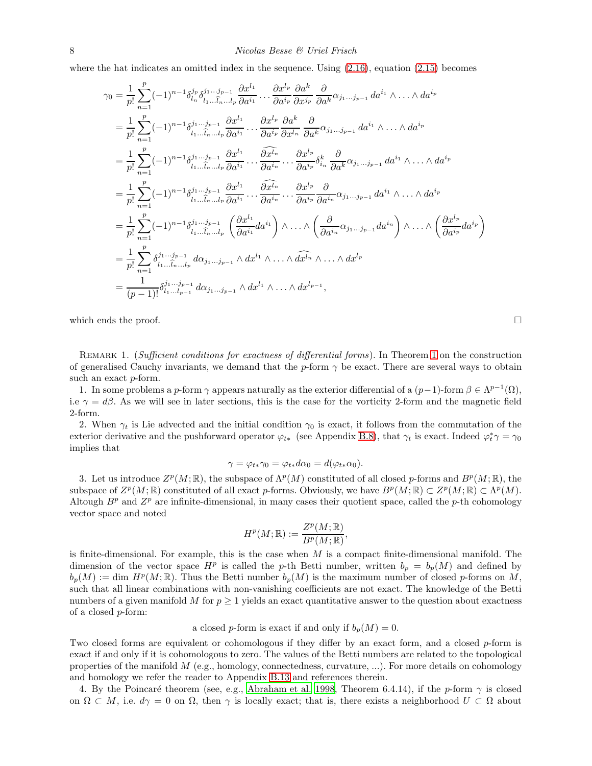where the hat indicates an omitted index in the sequence. Using  $(2.16)$ , equation  $(2.15)$  becomes

$$
\gamma_{0} = \frac{1}{p!} \sum_{n=1}^{p} (-1)^{n-1} \delta_{l_{n}}^{j_{p}} \delta_{l_{1}...l_{p}-1}^{j_{1}...j_{p-1}} \frac{\partial x^{l_{1}}}{\partial a^{i_{p}}} \frac{\partial a^{k}}{\partial x^{j_{p}}} \frac{\partial a^{k}}{\partial a^{k}} \frac{\partial}{\partial a^{k}} \alpha_{j_{1}...j_{p-1}} da^{i_{1}} \wedge ... \wedge da^{i_{p}}
$$
  
\n
$$
= \frac{1}{p!} \sum_{n=1}^{p} (-1)^{n-1} \delta_{l_{1}...l_{p}...l_{p}}^{j_{1}...j_{p-1}} \frac{\partial x^{l_{1}}}{\partial a^{i_{1}}} \cdots \frac{\partial x^{l_{p}}}{\partial a^{i_{p}}} \frac{\partial a^{k}}{\partial a^{k}} \frac{\partial}{\partial a^{k}} \alpha_{j_{1}...j_{p-1}} da^{i_{1}} \wedge ... \wedge da^{i_{p}}
$$
  
\n
$$
= \frac{1}{p!} \sum_{n=1}^{p} (-1)^{n-1} \delta_{l_{1}...l_{p}...l_{p}}^{j_{1}...j_{p-1}} \frac{\partial x^{l_{1}}}{\partial a^{i_{1}}} \cdots \frac{\partial x^{l_{p}}}{\partial a^{i_{p}}} \cdots \frac{\partial x^{l_{p}}}{\partial a^{i_{p}}} \delta_{i_{n}}^{k} \frac{\partial}{\partial a^{k}} \alpha_{j_{1}...j_{p-1}} da^{i_{1}} \wedge ... \wedge da^{i_{p}}
$$
  
\n
$$
= \frac{1}{p!} \sum_{n=1}^{p} (-1)^{n-1} \delta_{l_{1}...l_{p}...l_{p}}^{j_{1}...j_{p-1}} \frac{\partial x^{l_{1}}}{\partial a^{i_{1}}} \cdots \frac{\partial x^{l_{p}}}{\partial a^{i_{p}}} \cdots \frac{\partial x^{l_{p}}}{\partial a^{i_{p}}} \frac{\partial}{\partial a^{i_{n}}} \alpha_{j_{1}...j_{p-1}} da^{i_{1}} \wedge ... \wedge da^{i_{p}}
$$
  
\n
$$
= \frac{1}{p!} \sum_{n=1}^{p} (-1)^{n-1} \delta_{l_{1}...l_{p}...l_{p}}^{j_{1}...j_{p-1}} \left( \
$$

<span id="page-7-0"></span>which ends the proof.  $\Box$ 

REMARK [1](#page-5-0). (Sufficient conditions for exactness of differential forms). In Theorem 1 on the construction of generalised Cauchy invariants, we demand that the p-form  $\gamma$  be exact. There are several ways to obtain such an exact p-form.

1. In some problems a p-form  $\gamma$  appears naturally as the exterior differential of a  $(p-1)$ -form  $\beta \in \Lambda^{p-1}(\Omega)$ , i.e  $\gamma = d\beta$ . As we will see in later sections, this is the case for the vorticity 2-form and the magnetic field 2-form.

2. When  $\gamma_t$  is Lie advected and the initial condition  $\gamma_0$  is exact, it follows from the commutation of the exterior derivative and the pushforward operator  $\varphi_{t*}$  (see Appendix [B.8\)](#page-39-0), that  $\gamma_t$  is exact. Indeed  $\varphi_t^*\gamma = \gamma_0$ implies that

$$
\gamma = \varphi_{t*}\gamma_0 = \varphi_{t*}d\alpha_0 = d(\varphi_{t*}\alpha_0).
$$

3. Let us introduce  $Z^p(M; \mathbb{R})$ , the subspace of  $\Lambda^p(M)$  constituted of all closed p-forms and  $B^p(M; \mathbb{R})$ , the subspace of  $Z^p(M;\mathbb{R})$  constituted of all exact p-forms. Obviously, we have  $B^p(M;\mathbb{R}) \subset Z^p(M;\mathbb{R}) \subset \Lambda^p(M)$ . Altough  $B<sup>p</sup>$  and  $Z<sup>p</sup>$  are infinite-dimensional, in many cases their quotient space, called the p-th cohomology vector space and noted

$$
H^p(M; \mathbb{R}) := \frac{Z^p(M; \mathbb{R})}{B^p(M; \mathbb{R})},
$$

is finite-dimensional. For example, this is the case when  $M$  is a compact finite-dimensional manifold. The dimension of the vector space  $H^p$  is called the p-th Betti number, written  $b_p = b_p(M)$  and defined by  $b_p(M) := \dim H^p(M; \mathbb{R})$ . Thus the Betti number  $b_p(M)$  is the maximum number of closed p-forms on M, such that all linear combinations with non-vanishing coefficients are not exact. The knowledge of the Betti numbers of a given manifold M for  $p \geq 1$  yields an exact quantitative answer to the question about exactness of a closed p-form:

a closed p-form is exact if and only if  $b_p(M) = 0$ .

Two closed forms are equivalent or cohomologous if they differ by an exact form, and a closed p-form is exact if and only if it is cohomologous to zero. The values of the Betti numbers are related to the topological properties of the manifold  $M$  (e.g., homology, connectedness, curvature, ...). For more details on cohomology and homology we refer the reader to Appendix [B.13](#page-44-0) and references therein.

4. By the Poincaré theorem (see, e.g., [Abraham et al. 1998](#page-46-2), Theorem 6.4.14), if the p-form  $\gamma$  is closed on  $\Omega \subset M$ , i.e.  $d\gamma = 0$  on  $\Omega$ , then  $\gamma$  is locally exact; that is, there exists a neighborhood  $U \subset \Omega$  about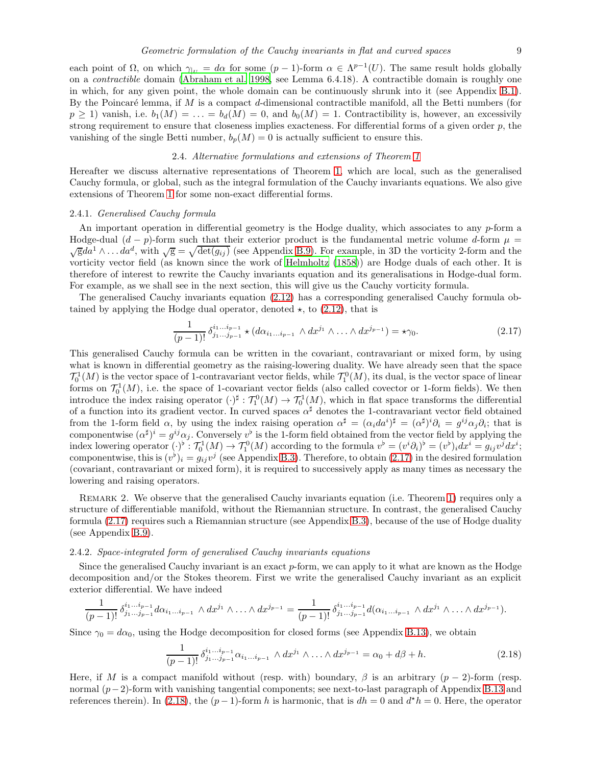each point of  $\Omega$ , on which  $\gamma_{|U} = d\alpha$  for some  $(p-1)$ -form  $\alpha \in \Lambda^{p-1}(U)$ . The same result holds globally on a contractible domain [\(Abraham et al. 1998,](#page-46-2) see Lemma 6.4.18). A contractible domain is roughly one in which, for any given point, the whole domain can be continuously shrunk into it (see Appendix [B.1\)](#page-33-1). By the Poincaré lemma, if  $M$  is a compact  $d$ -dimensional contractible manifold, all the Betti numbers (for  $p \ge 1$ ) vanish, i.e.  $b_1(M) = \ldots = b_d(M) = 0$ , and  $b_0(M) = 1$ . Contractibility is, however, an excessivily strong requirement to ensure that closeness implies exacteness. For differential forms of a given order p, the vanishing of the single Betti number,  $b_p(M) = 0$  is actually sufficient to ensure this.

# 2.4. Alternative formulations and extensions of Theorem [1](#page-5-0)

Hereafter we discuss alternative representations of Theorem [1,](#page-5-0) which are local, such as the generalised Cauchy formula, or global, such as the integral formulation of the Cauchy invariants equations. We also give extensions of Theorem [1](#page-5-0) for some non-exact differential forms.

#### <span id="page-8-0"></span>2.4.1. Generalised Cauchy formula

An important operation in differential geometry is the Hodge duality, which associates to any  $p$ -form a Hodge-dual  $(d - p)$ -form such that their exterior product is the fundamental metric volume d-form  $\mu =$  $\overline{g}da^1 \wedge \ldots da^d$ , with  $\sqrt{g} = \sqrt{\det(g_{ij})}$  (see Appendix [B.9\)](#page-39-1). For example, in 3D the vorticity 2-form and the vorticity vector field (as known since the work of [Helmholtz \(1858\)](#page-48-11)) are Hodge duals of each other. It is therefore of interest to rewrite the Cauchy invariants equation and its generalisations in Hodge-dual form. For example, as we shall see in the next section, this will give us the Cauchy vorticity formula.

The generalised Cauchy invariants equation [\(2.12\)](#page-6-4) has a corresponding generalised Cauchy formula obtained by applying the Hodge dual operator, denoted  $\star$ , to [\(2.12\)](#page-6-4), that is

<span id="page-8-1"></span>
$$
\frac{1}{(p-1)!} \delta^{i_1...i_{p-1}}_{j_1...j_{p-1}} \star (d\alpha_{i_1...i_{p-1}} \wedge dx^{j_1} \wedge ... \wedge dx^{j_{p-1}}) = \star \gamma_0.
$$
 (2.17)

This generalised Cauchy formula can be written in the covariant, contravariant or mixed form, by using what is known in differential geometry as the raising-lowering duality. We have already seen that the space  $\mathcal{T}_0^1(M)$  is the vector space of 1-contravariant vector fields, while  $\mathcal{T}_1^0(M)$ , its dual, is the vector space of linear forms on  $\mathcal{T}_0^1(M)$ , i.e. the space of 1-covariant vector fields (also called covector or 1-form fields). We then introduce the index raising operator  $(\cdot)^{\sharp}: \mathcal{T}^0_1(M) \to \mathcal{T}^1_0(M)$ , which in flat space transforms the differential of a function into its gradient vector. In curved spaces  $\alpha^{\sharp}$  denotes the 1-contravariant vector field obtained from the 1-form field  $\alpha$ , by using the index raising operation  $\alpha^{\sharp} = (\alpha_i da^i)^{\sharp} = (\alpha^{\sharp})^i \partial_i = g^{ij} \alpha_j \partial_i$ ; that is componentwise  $(\alpha^{\sharp})^i = g^{ij}\alpha_j$ . Conversely  $v^{\flat}$  is the 1-form field obtained from the vector field by applying the index lowering operator  $\left(\cdot\right)^{\flat} : \mathcal{T}_{0}^{1}(M) \to \mathcal{T}_{1}^{0}(M)$  according to the formula  $v^{\flat} = (v^{i}\partial_{i})^{\flat} = (v^{i})_{i}dx^{i} = g_{ij}v^{j}dx^{i}$ ; componentwise, this is  $(v^{\flat})_i = g_{ij}v^j$  (see Appendix [B.3\)](#page-35-1). Therefore, to obtain [\(2.17\)](#page-8-1) in the desired formulation (covariant, contravariant or mixed form), it is required to successively apply as many times as necessary the lowering and raising operators.

Remark 2. We observe that the generalised Cauchy invariants equation (i.e. Theorem [1\)](#page-5-0) requires only a structure of differentiable manifold, without the Riemannian structure. In contrast, the generalised Cauchy formula [\(2.17\)](#page-8-1) requires such a Riemannian structure (see Appendix [B.3\)](#page-35-1), because of the use of Hodge duality (see Appendix [B.9\)](#page-39-1).

#### 2.4.2. Space-integrated form of generalised Cauchy invariants equations

Since the generalised Cauchy invariant is an exact p-form, we can apply to it what are known as the Hodge decomposition and/or the Stokes theorem. First we write the generalised Cauchy invariant as an explicit exterior differential. We have indeed

$$
\frac{1}{(p-1)!} \delta^{i_1...i_{p-1}}_{j_1...j_{p-1}} d\alpha_{i_1...i_{p-1}} \wedge dx^{j_1} \wedge ... \wedge dx^{j_{p-1}} = \frac{1}{(p-1)!} \delta^{i_1...i_{p-1}}_{j_1...j_{p-1}} d(\alpha_{i_1...i_{p-1}} \wedge dx^{j_1} \wedge ... \wedge dx^{j_{p-1}}).
$$

Since  $\gamma_0 = d\alpha_0$ , using the Hodge decomposition for closed forms (see Appendix [B.13\)](#page-44-0), we obtain

<span id="page-8-2"></span>
$$
\frac{1}{(p-1)!} \delta^{i_1 \dots i_{p-1}}_{j_1 \dots j_{p-1}} \alpha_{i_1 \dots i_{p-1}} \wedge dx^{j_1} \wedge \dots \wedge dx^{j_{p-1}} = \alpha_0 + d\beta + h. \tag{2.18}
$$

Here, if M is a compact manifold without (resp. with) boundary,  $\beta$  is an arbitrary  $(p-2)$ -form (resp. normal (p−2)-form with vanishing tangential components; see next-to-last paragraph of Appendix [B.13](#page-44-0) and references therein). In [\(2.18\)](#page-8-2), the  $(p-1)$ -form h is harmonic, that is  $dh = 0$  and  $d^*h = 0$ . Here, the operator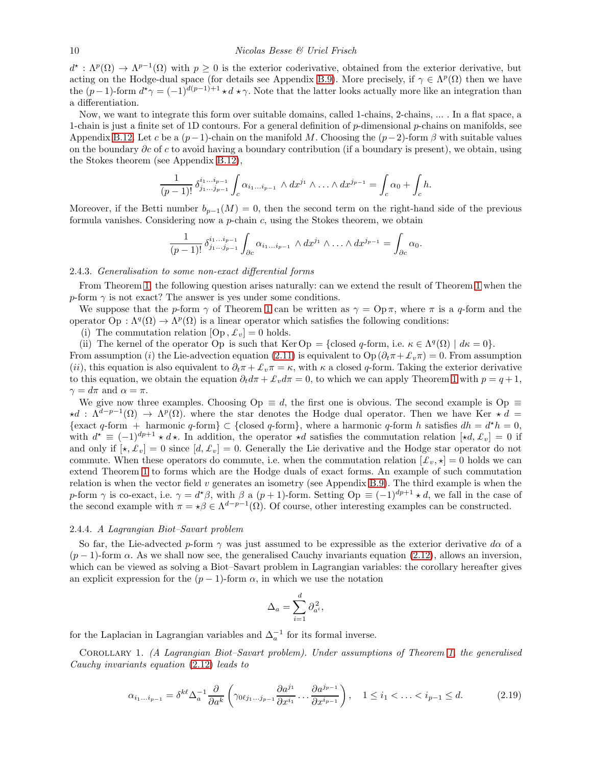$d^* : \Lambda^p(\Omega) \to \Lambda^{p-1}(\Omega)$  with  $p \geq 0$  is the exterior coderivative, obtained from the exterior derivative, but acting on the Hodge-dual space (for details see Appendix [B.9\)](#page-39-1). More precisely, if  $\gamma \in \Lambda^p(\Omega)$  then we have the  $(p-1)$ -form  $d^*\gamma = (-1)^{d(p-1)+1} \star d \star \gamma$ . Note that the latter looks actually more like an integration than a differentiation.

Now, we want to integrate this form over suitable domains, called 1-chains, 2-chains, ... . In a flat space, a 1-chain is just a finite set of 1D contours. For a general definition of  $p$ -dimensional  $p$ -chains on manifolds, see Appendix [B.12.](#page-43-0) Let c be a  $(p-1)$ -chain on the manifold M. Choosing the  $(p-2)$ -form  $\beta$  with suitable values on the boundary  $\partial c$  of c to avoid having a boundary contribution (if a boundary is present), we obtain, using the Stokes theorem (see Appendix [B.12\)](#page-43-0),

$$
\frac{1}{(p-1)!} \, \delta^{i_1...i_{p-1}}_{j_1...j_{p-1}} \int_c \alpha_{i_1...i_{p-1}} \wedge dx^{j_1} \wedge ... \wedge dx^{j_{p-1}} = \int_c \alpha_0 + \int_c h.
$$

Moreover, if the Betti number  $b_{p-1}(M) = 0$ , then the second term on the right-hand side of the previous formula vanishes. Considering now a  $p$ -chain  $c$ , using the Stokes theorem, we obtain

$$
\frac{1}{(p-1)!} \,\delta^{i_1\ldots i_{p-1}}_{j_1\ldots j_{p-1}} \int_{\partial c} \alpha_{i_1\ldots i_{p-1}} \wedge dx^{j_1} \wedge \ldots \wedge dx^{j_{p-1}} = \int_{\partial c} \alpha_0.
$$

# 2.4.3. Generalisation to some non-exact differential forms

From Theorem [1,](#page-5-0) the following question arises naturally: can we extend the result of Theorem [1](#page-5-0) when the p-form  $\gamma$  is not exact? The answer is yes under some conditions.

We suppose that the p-form  $\gamma$  of Theorem [1](#page-5-0) can be written as  $\gamma = \text{Op}\,\pi$ , where  $\pi$  is a q-form and the operator  $\text{Op}: \Lambda^q(\Omega) \to \Lambda^p(\Omega)$  is a linear operator which satisfies the following conditions:

(i) The commutation relation  $[Op, \pounds_v] = 0$  holds.

(ii) The kernel of the operator Op is such that Ker Op = {closed q-form, i.e.  $\kappa \in \Lambda^q(\Omega) \mid d\kappa = 0$ }.

From assumption (i) the Lie-advection equation [\(2.11\)](#page-5-4) is equivalent to Op ( $\partial_t \pi + \mathcal{L}_v \pi$ ) = 0. From assumption (ii), this equation is also equivalent to  $\partial_t \pi + \mathcal{L}_v \pi = \kappa$ , with  $\kappa$  a closed q-form. Taking the exterior derivative to this equation, we obtain the equation  $\partial_t d\pi + \mathcal{L}_v d\pi = 0$ , to which we can apply Theorem [1](#page-5-0) with  $p = q + 1$ ,  $\gamma = d\pi$  and  $\alpha = \pi$ .

We give now three examples. Choosing Op  $\equiv d$ , the first one is obvious. The second example is Op  $\equiv$  $\star d$  :  $\Lambda^{d-p-1}(\Omega) \to \Lambda^p(\Omega)$ . where the star denotes the Hodge dual operator. Then we have Ker  $\star d =$ {exact q-form + harmonic q-form} ⊂ {closed q-form}, where a harmonic q-form h satisfies  $dh = d^*h = 0$ , with  $d^* \equiv (-1)^{dp+1} \star d \star$ . In addition, the operator  $\star d$  satisfies the commutation relation  $[\star d, \mathcal{L}_v] = 0$  if and only if  $[\star, \mathcal{L}_v] = 0$  since  $[d, \mathcal{L}_v] = 0$ . Generally the Lie derivative and the Hodge star operator do not commute. When these operators do commute, i.e. when the commutation relation  $[\mathcal{L}_v, \star] = 0$  holds we can extend Theorem [1](#page-5-0) to forms which are the Hodge duals of exact forms. An example of such commutation relation is when the vector field  $v$  generates an isometry (see Appendix [B.9\)](#page-39-1). The third example is when the p-form  $\gamma$  is co-exact, i.e.  $\gamma = d^*\beta$ , with  $\beta$  a  $(p+1)$ -form. Setting  $\text{Op} \equiv (-1)^{dp+1} \star d$ , we fall in the case of the second example with  $\pi = \star \beta \in \Lambda^{d-p-1}(\Omega)$ . Of course, other interesting examples can be constructed.

#### 2.4.4. A Lagrangian Biot–Savart problem

So far, the Lie-advected p-form  $\gamma$  was just assumed to be expressible as the exterior derivative d $\alpha$  of a  $(p-1)$ -form  $\alpha$ . As we shall now see, the generalised Cauchy invariants equation [\(2.12\)](#page-6-4), allows an inversion, which can be viewed as solving a Biot–Savart problem in Lagrangian variables: the corollary hereafter gives an explicit expression for the  $(p-1)$ -form  $\alpha$ , in which we use the notation

$$
\Delta_a = \sum_{i=1}^d \partial_{a^i}^{\,2},
$$

<span id="page-9-1"></span>for the Laplacian in Lagrangian variables and  $\Delta_a^{-1}$  for its formal inverse.

Corollary 1. (A Lagrangian Biot–Savart problem). Under assumptions of Theorem [1,](#page-5-0) the generalised Cauchy invariants equation [\(2.12\)](#page-6-4) leads to

<span id="page-9-0"></span>
$$
\alpha_{i_1\ldots i_{p-1}} = \delta^{k\ell} \Delta_a^{-1} \frac{\partial}{\partial a^k} \left( \gamma_{0\ell j_1\ldots j_{p-1}} \frac{\partial a^{j_1}}{\partial x^{i_1}} \ldots \frac{\partial a^{j_{p-1}}}{\partial x^{i_{p-1}}} \right), \quad 1 \le i_1 < \ldots < i_{p-1} \le d. \tag{2.19}
$$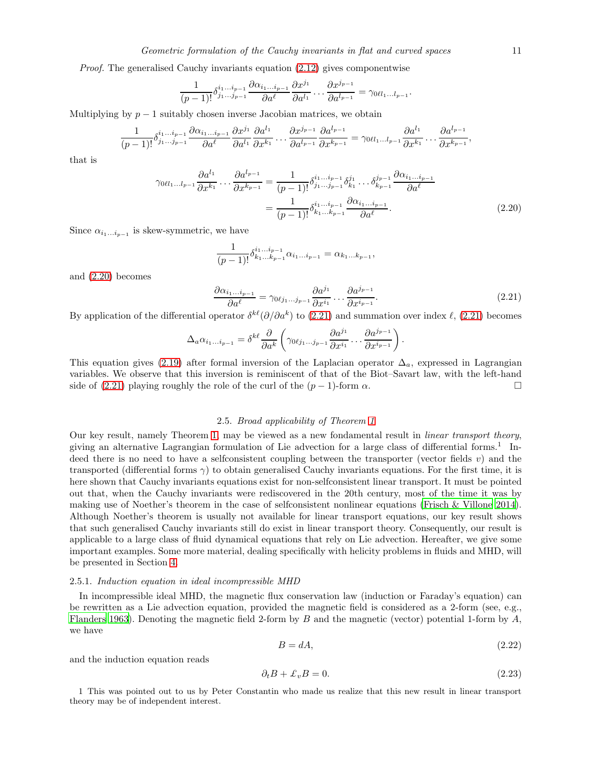Proof. The generalised Cauchy invariants equation [\(2.12\)](#page-6-4) gives componentwise

$$
\frac{1}{(p-1)!} \delta^{i_1 \dots i_{p-1}}_{j_1 \dots j_{p-1}} \frac{\partial \alpha_{i_1 \dots i_{p-1}}}{\partial a^{\ell}} \frac{\partial x^{j_1}}{\partial a^{l_1}} \dots \frac{\partial x^{j_{p-1}}}{\partial a^{l_{p-1}}} = \gamma_{0\ell l_1 \dots l_{p-1}}.
$$

Multiplying by  $p-1$  suitably chosen inverse Jacobian matrices, we obtain

$$
\frac{1}{(p-1)!} \delta_{j_1\ldots j_{p-1}}^{i_1\ldots i_{p-1}} \frac{\partial \alpha_{i_1\ldots i_{p-1}}}{\partial a^{\ell}} \frac{\partial x^{j_1}}{\partial a^{l_1}} \frac{\partial a^{l_1}}{\partial x^{k_1}} \ldots \frac{\partial x^{j_{p-1}}}{\partial a^{l_{p-1}}} \frac{\partial a^{l_{p-1}}}{\partial x^{k_{p-1}}} = \gamma_{0\ell l_1\ldots l_{p-1}} \frac{\partial a^{l_1}}{\partial x^{k_1}} \ldots \frac{\partial a^{l_{p-1}}}{\partial x^{k_{p-1}}},
$$

that is

<span id="page-10-2"></span>
$$
\gamma_{0\ell l_{1}...l_{p-1}} \frac{\partial a^{l_{1}}}{\partial x^{k_{1}}} \dots \frac{\partial a^{l_{p-1}}}{\partial x^{k_{p-1}}} = \frac{1}{(p-1)!} \delta_{j_{1}...j_{p-1}}^{i_{1}...i_{p-1}} \delta_{k_{1}}^{j_{1}} \dots \delta_{k_{p-1}}^{j_{p-1}} \frac{\partial \alpha_{i_{1}...i_{p-1}}}{\partial a^{\ell}} = \frac{1}{(p-1)!} \delta_{k_{1}...k_{p-1}}^{i_{1}...i_{p-1}} \frac{\partial \alpha_{i_{1}...i_{p-1}}}{\partial a^{\ell}}.
$$
(2.20)

Since  $\alpha_{i_1...i_{p-1}}$  is skew-symmetric, we have

$$
\frac{1}{(p-1)!} \delta^{i_1...i_{p-1}}_{k_1...k_{p-1}} \alpha_{i_1...i_{p-1}} = \alpha_{k_1...k_{p-1}},
$$

and [\(2.20\)](#page-10-2) becomes

<span id="page-10-3"></span>
$$
\frac{\partial \alpha_{i_1\ldots i_{p-1}}}{\partial a^{\ell}} = \gamma_{0\ell j_1\ldots j_{p-1}} \frac{\partial a^{j_1}}{\partial x^{i_1}} \ldots \frac{\partial a^{j_{p-1}}}{\partial x^{i_{p-1}}}.
$$
\n(2.21)

.

By application of the differential operator  $\delta^{k\ell}(\partial/\partial a^k)$  to [\(2.21\)](#page-10-3) and summation over index  $\ell$ , (2.21) becomes

$$
\Delta_a \alpha_{i_1...i_{p-1}} = \delta^{k\ell} \frac{\partial}{\partial a^k} \left( \gamma_{0\ell j_1...j_{p-1}} \frac{\partial a^{j_1}}{\partial x^{i_1}} \dots \frac{\partial a^{j_{p-1}}}{\partial x^{i_{p-1}}} \right)
$$

This equation gives [\(2.19\)](#page-9-0) after formal inversion of the Laplacian operator  $\Delta_a$ , expressed in Lagrangian variables. We observe that this inversion is reminiscent of that of the Biot–Savart law, with the left-hand side of [\(2.21\)](#page-10-3) playing roughly the role of the curl of the  $(p-1)$ -form  $\alpha$ .

# 2.5. Broad applicability of Theorem [1](#page-5-0)

<span id="page-10-1"></span>Our key result, namely Theorem [1,](#page-5-0) may be viewed as a new fondamental result in linear transport theory, giving an alternative Lagrangian formulation of Lie advection for a large class of differential forms.<sup>1</sup> Indeed there is no need to have a selfconsistent coupling between the transporter (vector fields  $v$ ) and the transported (differential forms  $\gamma$ ) to obtain generalised Cauchy invariants equations. For the first time, it is here shown that Cauchy invariants equations exist for non-selfconsistent linear transport. It must be pointed out that, when the Cauchy invariants were rediscovered in the 20th century, most of the time it was by making use of Noether's theorem in the case of selfconsistent nonlinear equations [\(Frisch & Villone 2014](#page-47-3)). Although Noether's theorem is usually not available for linear transport equations, our key result shows that such generalised Cauchy invariants still do exist in linear transport theory. Consequently, our result is applicable to a large class of fluid dynamical equations that rely on Lie advection. Hereafter, we give some important examples. Some more material, dealing specifically with helicity problems in fluids and MHD, will be presented in Section [4.](#page-18-0)

#### <span id="page-10-0"></span>2.5.1. Induction equation in ideal incompressible MHD

In incompressible ideal MHD, the magnetic flux conservation law (induction or Faraday's equation) can be rewritten as a Lie advection equation, provided the magnetic field is considered as a 2-form (see, e.g., [Flanders 1963\)](#page-47-12). Denoting the magnetic field 2-form by B and the magnetic (vector) potential 1-form by  $A$ , we have

<span id="page-10-5"></span>
$$
B = dA,\tag{2.22}
$$

and the induction equation reads

<span id="page-10-4"></span>
$$
\partial_t B + \pounds_v B = 0. \tag{2.23}
$$

1 This was pointed out to us by Peter Constantin who made us realize that this new result in linear transport theory may be of independent interest.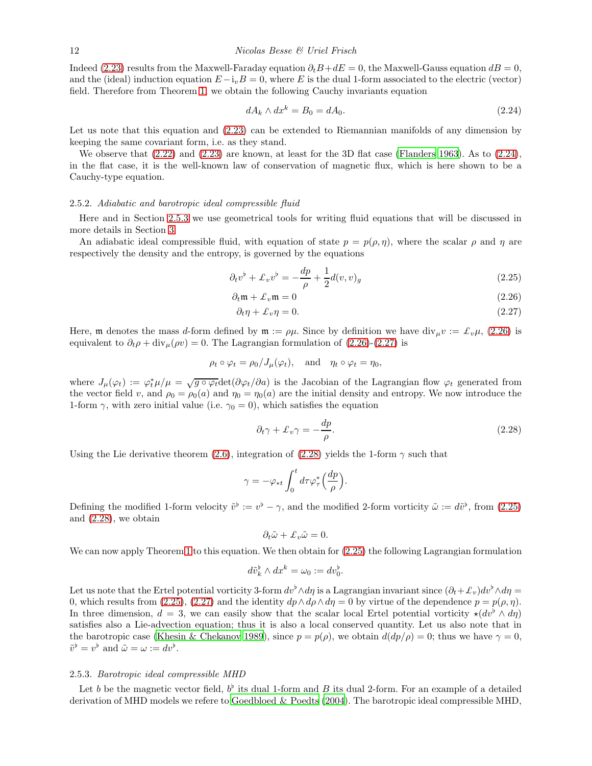Indeed [\(2.23\)](#page-10-4) results from the Maxwell-Faraday equation  $\partial_t B + dE = 0$ , the Maxwell-Gauss equation  $dB = 0$ , and the (ideal) induction equation  $E-i<sub>v</sub>B = 0$ , where E is the dual 1-form associated to the electric (vector) field. Therefore from Theorem [1,](#page-5-0) we obtain the following Cauchy invariants equation

<span id="page-11-2"></span>
$$
dA_k \wedge dx^k = B_0 = dA_0. \tag{2.24}
$$

Let us note that this equation and  $(2.23)$  can be extended to Riemannian manifolds of any dimension by keeping the same covariant form, i.e. as they stand.

We observe that [\(2.22\)](#page-10-5) and [\(2.23\)](#page-10-4) are known, at least for the 3D flat case [\(Flanders 1963](#page-47-12)). As to [\(2.24\)](#page-11-2), in the flat case, it is the well-known law of conservation of magnetic flux, which is here shown to be a Cauchy-type equation.

#### <span id="page-11-0"></span>2.5.2. Adiabatic and barotropic ideal compressible fluid

Here and in Section [2.5.3](#page-11-1) we use geometrical tools for writing fluid equations that will be discussed in more details in Section [3.](#page-14-0)

An adiabatic ideal compressible fluid, with equation of state  $p = p(\rho, \eta)$ , where the scalar  $\rho$  and  $\eta$  are respectively the density and the entropy, is governed by the equations

<span id="page-11-3"></span>
$$
\partial_t v^\flat + \mathcal{L}_v v^\flat = -\frac{dp}{\rho} + \frac{1}{2}d(v, v)_g \tag{2.25}
$$

$$
\partial_t \mathfrak{m} + \mathcal{L}_v \mathfrak{m} = 0 \tag{2.26}
$$

$$
\partial_t \eta + \mathcal{L}_v \eta = 0. \tag{2.27}
$$

Here, m denotes the mass d-form defined by  $\mathfrak{m} := \rho\mu$ . Since by definition we have div<sub>u</sub>v :=  $\mathcal{L}_v\mu$ , [\(2.26\)](#page-11-3) is equivalent to  $\partial_t \rho + \text{div}_{\mu}(\rho v) = 0$ . The Lagrangian formulation of [\(2.26\)](#page-11-3)-[\(2.27\)](#page-11-3) is

$$
\rho_t \circ \varphi_t = \rho_0 / J_\mu(\varphi_t), \text{ and } \eta_t \circ \varphi_t = \eta_0,
$$

where  $J_{\mu}(\varphi_t) := \varphi_t^* \mu / \mu = \sqrt{g \circ \varphi_t} \det(\partial \varphi_t / \partial a)$  is the Jacobian of the Lagrangian flow  $\varphi_t$  generated from the vector field v, and  $\rho_0 = \rho_0(a)$  and  $\eta_0 = \eta_0(a)$  are the initial density and entropy. We now introduce the 1-form  $\gamma$ , with zero initial value (i.e.  $\gamma_0 = 0$ ), which satisfies the equation

<span id="page-11-4"></span>
$$
\partial_t \gamma + \pounds_v \gamma = -\frac{dp}{\rho}.\tag{2.28}
$$

Using the Lie derivative theorem [\(2.6\)](#page-5-1), integration of [\(2.28\)](#page-11-4) yields the 1-form  $\gamma$  such that

$$
\gamma = -\varphi_{*t} \int_0^t d\tau \varphi_\tau^* \Big(\frac{dp}{\rho}\Big).
$$

Defining the modified 1-form velocity  $\tilde{v}^{\flat} := v^{\flat} - \gamma$ , and the modified 2-form vorticity  $\tilde{\omega} := d\tilde{v}^{\flat}$ , from [\(2.25\)](#page-11-3) and [\(2.28\)](#page-11-4), we obtain

$$
\partial_t \tilde{\omega} + \mathcal{L}_v \tilde{\omega} = 0.
$$

We can now apply Theorem [1](#page-5-0) to this equation. We then obtain for  $(2.25)$  the following Lagrangian formulation

$$
d\tilde{v}_k^{\flat} \wedge dx^k = \omega_0 := dv_0^{\flat}.
$$

Let us note that the Ertel potential vorticity 3-form  $dv^{\flat} \wedge d\eta$  is a Lagrangian invariant since  $(\partial_t + \mathcal{L}_v)dv^{\flat} \wedge d\eta =$ 0, which results from [\(2.25\)](#page-11-3), [\(2.27\)](#page-11-3) and the identity  $dp \wedge d\rho \wedge d\eta = 0$  by virtue of the dependence  $p = p(\rho, \eta)$ . In three dimension,  $d = 3$ , we can easily show that the scalar local Ertel potential vorticity  $\star (dv^{\flat} \wedge d\eta)$ satisfies also a Lie-advection equation; thus it is also a local conserved quantity. Let us also note that in the barotropic case [\(Khesin & Chekanov 1989\)](#page-48-12), since  $p = p(\rho)$ , we obtain  $d(dp/\rho) = 0$ ; thus we have  $\gamma = 0$ ,  $\tilde{v}^{\flat} = v^{\flat}$  and  $\tilde{\omega} = \omega := dv^{\flat}$ .

#### <span id="page-11-1"></span>2.5.3. Barotropic ideal compressible MHD

Let b be the magnetic vector field,  $b^{\flat}$  its dual 1-form and B its dual 2-form. For an example of a detailed derivation of MHD models we refere to [Goedbloed & Poedts \(2004\)](#page-47-13). The barotropic ideal compressible MHD,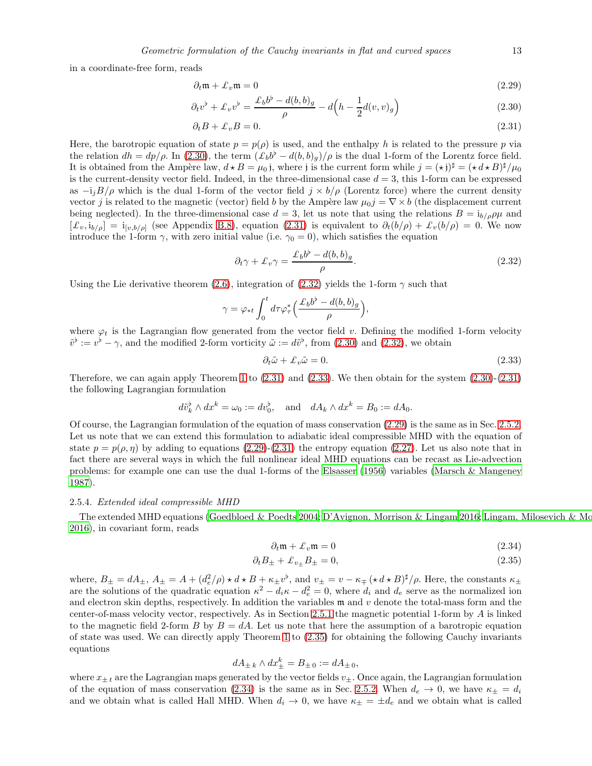in a coordinate-free form, reads

<span id="page-12-1"></span>
$$
\partial_t \mathfrak{m} + \mathcal{L}_v \mathfrak{m} = 0 \tag{2.29}
$$

$$
\partial_t v^\flat + \pounds_v v^\flat = \frac{\pounds_b b^\flat - d(b, b)_g}{\rho} - d\left(h - \frac{1}{2}d(v, v)_g\right) \tag{2.30}
$$

$$
\partial_t B + \mathcal{L}_v B = 0. \tag{2.31}
$$

Here, the barotropic equation of state  $p = p(\rho)$  is used, and the enthalpy h is related to the pressure p via the relation  $dh = dp/\rho$ . In [\(2.30\)](#page-12-1), the term  $(\mathcal{L}_b b^b - d(b, b)g)/\rho$  is the dual 1-form of the Lorentz force field. It is obtained from the Ampère law,  $d \star B = \mu_0$  j, where j is the current form while  $j = (\star j)^{\sharp} = (\star d \star B)^{\sharp}/\mu_0$ is the current-density vector field. Indeed, in the three-dimensional case  $d = 3$ , this 1-form can be expressed as  $-i<sub>i</sub>B/\rho$  which is the dual 1-form of the vector field  $j \times b/\rho$  (Lorentz force) where the current density vector j is related to the magnetic (vector) field b by the Ampère law  $\mu_0$ j =  $\nabla \times b$  (the displacement current being neglected). In the three-dimensional case  $d = 3$ , let us note that using the relations  $B = i_{b/\rho}\rho\mu$  and  $[f_v, i_{b/\rho}] = i_{[v,b/\rho]}$  (see Appendix [B.8\)](#page-39-0), equation [\(2.31\)](#page-12-1) is equivalent to  $\partial_t(b/\rho) + \mathcal{L}_v(b/\rho) = 0$ . We now introduce the 1-form  $\gamma$ , with zero initial value (i.e.  $\gamma_0 = 0$ ), which satisfies the equation

<span id="page-12-2"></span>
$$
\partial_t \gamma + \pounds_v \gamma = \frac{\pounds_b b^b - d(b, b)_g}{\rho}.
$$
\n(2.32)

Using the Lie derivative theorem [\(2.6\)](#page-5-1), integration of [\(2.32\)](#page-12-2) yields the 1-form  $\gamma$  such that

$$
\gamma = \varphi_{*t} \int_0^t d\tau \varphi_{\tau}^* \left( \frac{\mathcal{L}_b b^{\flat} - d(b, b)_g}{\rho} \right),
$$

where  $\varphi_t$  is the Lagrangian flow generated from the vector field v. Defining the modified 1-form velocity  $\tilde{v}^{\flat} := v^{\flat} - \gamma$ , and the modified 2-form vorticity  $\tilde{\omega} := d\tilde{v}^{\flat}$ , from [\(2.30\)](#page-12-1) and [\(2.32\)](#page-12-2), we obtain

<span id="page-12-3"></span>
$$
\partial_t \tilde{\omega} + \mathcal{L}_v \tilde{\omega} = 0. \tag{2.33}
$$

Therefore, we can again apply Theorem [1](#page-5-0) to  $(2.31)$  and  $(2.33)$ . We then obtain for the system  $(2.30)-(2.31)$ the following Lagrangian formulation

$$
d\tilde{v}_k^{\flat} \wedge dx^k = \omega_0 := dv_0^{\flat}, \quad \text{and} \quad dA_k \wedge dx^k = B_0 := dA_0.
$$

Of course, the Lagrangian formulation of the equation of mass conservation [\(2.29\)](#page-12-1) is the same as in Sec. [2.5.2.](#page-11-0) Let us note that we can extend this formulation to adiabatic ideal compressible MHD with the equation of state  $p = p(\rho, \eta)$  by adding to equations [\(2.29\)](#page-12-1)-[\(2.31\)](#page-12-1) the entropy equation [\(2.27\)](#page-11-3). Let us also note that in fact there are several ways in which the full nonlinear ideal MHD equations can be recast as Lie-advection problems: for example one can use the dual 1-forms of the [Elsasser \(1956](#page-47-14)) variables [\(Marsch & Mangeney](#page-48-13) [1987\)](#page-48-13).

#### <span id="page-12-0"></span>2.5.4. Extended ideal compressible MHD

The extended MHD equations [\(Goedbloed & Poedts 2004](#page-47-13); D'Avignon, [Morrison & Lingam 2016;](#page-47-15) Lingam, Milosevich & Mo [2016\)](#page-48-1), in covariant form, reads

<span id="page-12-4"></span>
$$
\partial_t \mathfrak{m} + \mathcal{L}_v \mathfrak{m} = 0 \tag{2.34}
$$

$$
\partial_t B_{\pm} + \mathcal{L}_{v_{\pm}} B_{\pm} = 0,\tag{2.35}
$$

where,  $B_{\pm} = dA_{\pm}$ ,  $A_{\pm} = A + (d_e^2/\rho) \star d \star B + \kappa_{\pm} v^{\flat}$ , and  $v_{\pm} = v - \kappa_{\mp} (\star d \star B)^{\sharp}/\rho$ . Here, the constants  $\kappa_{\pm}$ are the solutions of the quadratic equation  $\kappa^2 - d_i \kappa - d_e^2 = 0$ , where  $d_i$  and  $d_e$  serve as the normalized ion and electron skin depths, respectively. In addition the variables  $\mathfrak{m}$  and  $v$  denote the total-mass form and the center-of-mass velocity vector, respectively. As in Section [2.5.1](#page-10-0) the magnetic potential 1-form by A is linked to the magnetic field 2-form B by  $B = dA$ . Let us note that here the assumption of a barotropic equation of state was used. We can directly apply Theorem [1](#page-5-0) to [\(2.35\)](#page-12-4) for obtaining the following Cauchy invariants equations

$$
dA_{\pm k} \wedge dx_{\pm}^k = B_{\pm 0} := dA_{\pm 0},
$$

where  $x_{+t}$  are the Lagrangian maps generated by the vector fields  $v_{+}$ . Once again, the Lagrangian formulation of the equation of mass conservation [\(2.34\)](#page-12-4) is the same as in Sec. [2.5.2.](#page-11-0) When  $d_e \to 0$ , we have  $\kappa_{\pm} = d_i$ and we obtain what is called Hall MHD. When  $d_i \to 0$ , we have  $\kappa_{\pm} = \pm d_e$  and we obtain what is called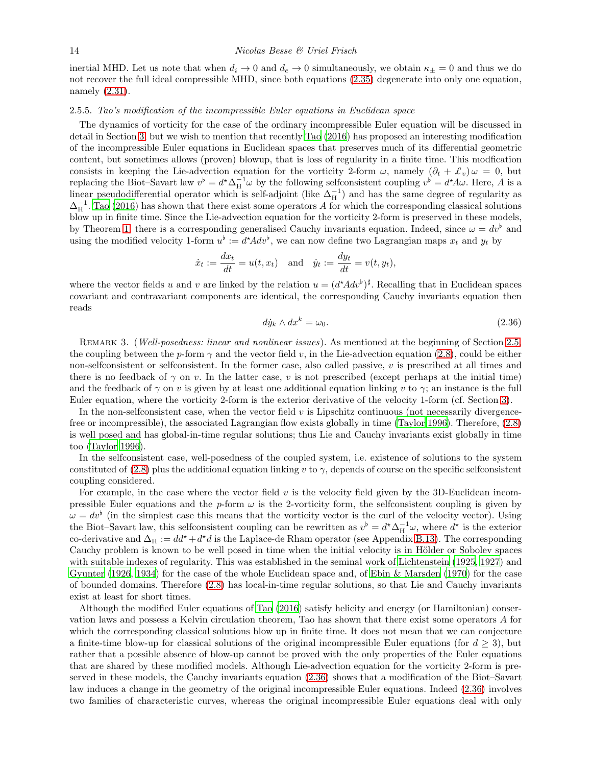inertial MHD. Let us note that when  $d_i \to 0$  and  $d_e \to 0$  simultaneously, we obtain  $\kappa_{\pm} = 0$  and thus we do not recover the full ideal compressible MHD, since both equations [\(2.35\)](#page-12-4) degenerate into only one equation, namely [\(2.31\)](#page-12-1).

# <span id="page-13-0"></span>2.5.5. Tao's modification of the incompressible Euler equations in Euclidean space

The dynamics of vorticity for the case of the ordinary incompressible Euler equation will be discussed in detail in Section [3,](#page-14-0) but we wish to mention that recently [Tao \(2016\)](#page-49-0) has proposed an interesting modification of the incompressible Euler equations in Euclidean spaces that preserves much of its differential geometric content, but sometimes allows (proven) blowup, that is loss of regularity in a finite time. This modfication consists in keeping the Lie-advection equation for the vorticity 2-form  $\omega$ , namely  $(\partial_t + \mathcal{L}_v)\omega = 0$ , but replacing the Biot–Savart law  $v^{\flat} = d^{\star} \Delta_H^{-1} \omega$  by the following selfconsistent coupling  $v^{\flat} = d^{\star} A \omega$ . Here, A is a linear pseudodifferential operator which is self-adjoint (like  $\Delta_{\rm H}^{-1}$ ) and has the same degree of regularity as  $\Delta_{\rm H}^{-1}$ . [Tao \(2016\)](#page-49-0) has shown that there exist some operators A for which the corresponding classical solutions blow up in finite time. Since the Lie-advection equation for the vorticity 2-form is preserved in these models, by Theorem [1,](#page-5-0) there is a corresponding generalised Cauchy invariants equation. Indeed, since  $\omega = dv^{\flat}$  and using the modified velocity 1-form  $u^{\flat} := d^* A dv^{\flat}$ , we can now define two Lagrangian maps  $x_t$  and  $y_t$  by

$$
\dot{x}_t := \frac{dx_t}{dt} = u(t, x_t)
$$
 and  $\dot{y}_t := \frac{dy_t}{dt} = v(t, y_t),$ 

where the vector fields u and v are linked by the relation  $u = (d^*Adv^{\flat})^{\sharp}$ . Recalling that in Euclidean spaces covariant and contravariant components are identical, the corresponding Cauchy invariants equation then reads

<span id="page-13-1"></span>
$$
d\dot{y}_k \wedge dx^k = \omega_0. \tag{2.36}
$$

REMARK 3. (Well-posedness: linear and nonlinear issues). As mentioned at the beginning of Section [2.5,](#page-10-1) the coupling between the p-form  $\gamma$  and the vector field v, in the Lie-advection equation [\(2.8\)](#page-5-2), could be either non-selfconsistent or selfconsistent. In the former case, also called passive,  $v$  is prescribed at all times and there is no feedback of  $\gamma$  on v. In the latter case, v is not prescribed (except perhaps at the initial time) and the feedback of  $\gamma$  on v is given by at least one additional equation linking v to  $\gamma$ ; an instance is the full Euler equation, where the vorticity 2-form is the exterior derivative of the velocity 1-form (cf. Section [3\)](#page-14-0).

In the non-selfconsistent case, when the vector field  $v$  is Lipschitz continuous (not necessarily divergencefree or incompressible), the associated Lagrangian flow exists globally in time [\(Taylor 1996\)](#page-49-8). Therefore, [\(2.8\)](#page-5-2) is well posed and has global-in-time regular solutions; thus Lie and Cauchy invariants exist globally in time too [\(Taylor 1996\)](#page-49-8).

In the selfconsistent case, well-posedness of the coupled system, i.e. existence of solutions to the system constituted of [\(2.8\)](#page-5-2) plus the additional equation linking v to  $\gamma$ , depends of course on the specific selfconsistent coupling considered.

For example, in the case where the vector field  $v$  is the velocity field given by the 3D-Euclidean incompressible Euler equations and the p-form  $\omega$  is the 2-vorticity form, the selfconsistent coupling is given by  $\omega = dv^{\flat}$  (in the simplest case this means that the vorticity vector is the curl of the velocity vector). Using the Biot–Savart law, this selfconsistent coupling can be rewritten as  $v^{\flat} = d^{\star} \Delta_H^{-1} \omega$ , where  $d^{\star}$  is the exterior co-derivative and  $\Delta_H := dd^* + d^*d$  is the Laplace-de Rham operator (see Appendix [B.13\)](#page-44-0). The corresponding Cauchy problem is known to be well posed in time when the initial velocity is in Hölder or Sobolev spaces with suitable indexes of regularity. This was established in the seminal work of [Lichtenstein \(1925,](#page-48-14) [1927\)](#page-48-15) and [Gyunter \(1926](#page-47-16), [1934\)](#page-47-17) for the case of the whole Euclidean space and, of [Ebin & Marsden \(1970\)](#page-47-18) for the case of bounded domains. Therefore [\(2.8\)](#page-5-2) has local-in-time regular solutions, so that Lie and Cauchy invariants exist at least for short times.

Although the modified Euler equations of [Tao \(2016\)](#page-49-0) satisfy helicity and energy (or Hamiltonian) conservation laws and possess a Kelvin circulation theorem, Tao has shown that there exist some operators A for which the corresponding classical solutions blow up in finite time. It does not mean that we can conjecture a finite-time blow-up for classical solutions of the original incompressible Euler equations (for  $d \geq 3$ ), but rather that a possible absence of blow-up cannot be proved with the only properties of the Euler equations that are shared by these modified models. Although Lie-advection equation for the vorticity 2-form is preserved in these models, the Cauchy invariants equation [\(2.36\)](#page-13-1) shows that a modification of the Biot–Savart law induces a change in the geometry of the original incompressible Euler equations. Indeed [\(2.36\)](#page-13-1) involves two families of characteristic curves, whereas the original incompressible Euler equations deal with only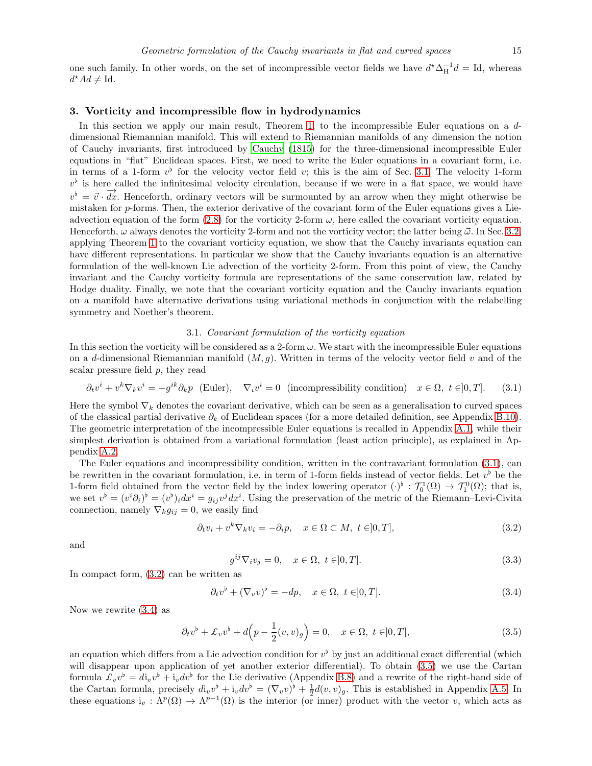one such family. In other words, on the set of incompressible vector fields we have  $d^* \Delta_H^{-1} d = Id$ , whereas  $d^*Ad \neq \text{Id}.$ 

# <span id="page-14-0"></span>3. Vorticity and incompressible flow in hydrodynamics

In this section we apply our main result, Theorem [1,](#page-5-0) to the incompressible Euler equations on a ddimensional Riemannian manifold. This will extend to Riemannian manifolds of any dimension the notion of Cauchy invariants, first introduced by [Cauchy \(1815](#page-47-2)) for the three-dimensional incompressible Euler equations in "flat" Euclidean spaces. First, we need to write the Euler equations in a covariant form, i.e. in terms of a 1-form  $v^{\flat}$  for the velocity vector field v; this is the aim of Sec. [3.1.](#page-14-1) The velocity 1-form  $v^{\flat}$  is here called the infinitesimal velocity circulation, because if we were in a flat space, we would have  $v^{\flat} = \vec{v} \cdot \vec{dx}$ . Henceforth, ordinary vectors will be surmounted by an arrow when they might otherwise be mistaken for p-forms. Then, the exterior derivative of the covariant form of the Euler equations gives a Lieadvection equation of the form  $(2.8)$  for the vorticity 2-form  $\omega$ , here called the covariant vorticity equation. Henceforth,  $\omega$  always denotes the vorticity 2-form and not the vorticity vector; the latter being  $\vec{\omega}$ . In Sec. [3.2,](#page-15-0) applying Theorem [1](#page-5-0) to the covariant vorticity equation, we show that the Cauchy invariants equation can have different representations. In particular we show that the Cauchy invariants equation is an alternative formulation of the well-known Lie advection of the vorticity 2-form. From this point of view, the Cauchy invariant and the Cauchy vorticity formula are representations of the same conservation law, related by Hodge duality. Finally, we note that the covariant vorticity equation and the Cauchy invariants equation on a manifold have alternative derivations using variational methods in conjunction with the relabelling symmetry and Noether's theorem.

# 3.1. Covariant formulation of the vorticity equation

<span id="page-14-1"></span>In this section the vorticity will be considered as a 2-form  $\omega$ . We start with the incompressible Euler equations on a d-dimensional Riemannian manifold  $(M, g)$ . Written in terms of the velocity vector field v and of the scalar pressure field p, they read

<span id="page-14-2"></span>
$$
\partial_t v^i + v^k \nabla_k v^i = -g^{ik} \partial_k p \quad \text{(Euler)}, \quad \nabla_i v^i = 0 \quad \text{(incompressibility condition)} \quad x \in \Omega, \ t \in ]0, T]. \tag{3.1}
$$

Here the symbol  $\nabla_k$  denotes the covariant derivative, which can be seen as a generalisation to curved spaces of the classical partial derivative  $\partial_k$  of Euclidean spaces (for a more detailed definition, see Appendix [B.10\)](#page-41-0). The geometric interpretation of the incompressible Euler equations is recalled in Appendix [A.1,](#page-24-1) while their simplest derivation is obtained from a variational formulation (least action principle), as explained in Appendix [A.2.](#page-26-0)

The Euler equations and incompressibility condition, written in the contravariant formulation [\(3.1\)](#page-14-2), can be rewritten in the covariant formulation, i.e. in term of 1-form fields instead of vector fields. Let  $v^{\flat}$  be the 1-form field obtained from the vector field by the index lowering operator  $(\cdot)^{\flat} : \mathcal{T}_0^1(\Omega) \to \mathcal{T}_1^0(\Omega)$ ; that is, we set  $v^{\flat} = (v^{i} \partial_{i})^{\flat} = (v^{j})_{i} dx^{i} = g_{ij} v^{j} dx^{i}$ . Using the preservation of the metric of the Riemann–Levi-Civita connection, namely  $\nabla_k g_{ij} = 0$ , we easily find

<span id="page-14-3"></span>
$$
\partial_t v_i + v^k \nabla_k v_i = -\partial_i p, \quad x \in \Omega \subset M, \ t \in ]0, T], \tag{3.2}
$$

and

$$
g^{ij}\nabla_i v_j = 0, \quad x \in \Omega, \ t \in ]0, T]. \tag{3.3}
$$

In compact form, [\(3.2\)](#page-14-3) can be written as

<span id="page-14-4"></span>
$$
\partial_t v^\flat + (\nabla_v v)^\flat = -dp, \quad x \in \Omega, \ t \in ]0, T]. \tag{3.4}
$$

Now we rewrite [\(3.4\)](#page-14-4) as

<span id="page-14-5"></span>
$$
\partial_t v^\flat + \mathcal{L}_v v^\flat + d\Big(p - \frac{1}{2}(v, v)_g\Big) = 0, \quad x \in \Omega, \ t \in ]0, T], \tag{3.5}
$$

an equation which differs from a Lie advection condition for  $v^{\flat}$  by just an additional exact differential (which will disappear upon application of yet another exterior differential). To obtain [\(3.5\)](#page-14-5) we use the Cartan formula  $\pounds_v v^{\flat} = d i_v v^{\flat} + i_v dv^{\flat}$  for the Lie derivative (Appendix [B.8\)](#page-39-0) and a rewrite of the right-hand side of the Cartan formula, precisely  $d_{iv}v^{\flat} + i_{v}dv^{\flat} = (\nabla_{v}v)^{\flat} + \frac{1}{2}d(v, v)_{g}$ . This is established in Appendix [A.5.](#page-31-0) In these equations  $i_v : \Lambda^p(\Omega) \to \Lambda^{p-1}(\Omega)$  is the interior (or inner) product with the vector v, which acts as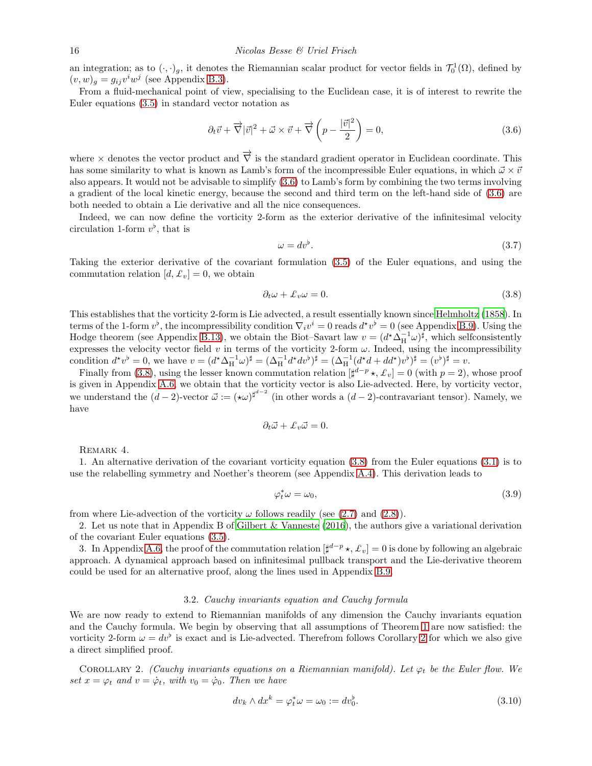an integration; as to  $(\cdot, \cdot)_g$ , it denotes the Riemannian scalar product for vector fields in  $\mathcal{T}_0^1(\Omega)$ , defined by  $(v, w)_g = g_{ij}v^iw^j$  (see Appendix [B.3\)](#page-35-1).

From a fluid-mechanical point of view, specialising to the Euclidean case, it is of interest to rewrite the Euler equations [\(3.5\)](#page-14-5) in standard vector notation as

<span id="page-15-1"></span>
$$
\partial_t \vec{v} + \vec{\nabla} |\vec{v}|^2 + \vec{\omega} \times \vec{v} + \vec{\nabla} \left( p - \frac{|\vec{v}|^2}{2} \right) = 0, \tag{3.6}
$$

where  $\times$  denotes the vector product and  $\overrightarrow{\nabla}$  is the standard gradient operator in Euclidean coordinate. This has some similarity to what is known as Lamb's form of the incompressible Euler equations, in which  $\vec{\omega} \times \vec{v}$ also appears. It would not be advisable to simplify [\(3.6\)](#page-15-1) to Lamb's form by combining the two terms involving a gradient of the local kinetic energy, because the second and third term on the left-hand side of [\(3.6\)](#page-15-1) are both needed to obtain a Lie derivative and all the nice consequences.

Indeed, we can now define the vorticity 2-form as the exterior derivative of the infinitesimal velocity circulation 1-form  $v^{\flat}$ , that is

$$
\omega = dv^{\flat}.
$$
\n(3.7)

Taking the exterior derivative of the covariant formulation [\(3.5\)](#page-14-5) of the Euler equations, and using the commutation relation  $[d, \mathcal{L}_v] = 0$ , we obtain

<span id="page-15-2"></span>
$$
\partial_t \omega + \mathcal{L}_v \omega = 0. \tag{3.8}
$$

This establishes that the vorticity 2-form is Lie advected, a result essentially known since [Helmholtz \(1858\)](#page-48-11). In terms of the 1-form  $v^{\flat}$ , the incompressibility condition  $\nabla_i v^i = 0$  reads  $d^*v^{\flat} = 0$  (see Appendix [B.9\)](#page-39-1). Using the Hodge theorem (see Appendix [B.13\)](#page-44-0), we obtain the Biot–Savart law  $v = (d^* \Delta_H^{-1} \omega)^{\sharp}$ , which selfconsistently expresses the velocity vector field v in terms of the vorticity 2-form  $\omega$ . Indeed, using the incompressibility condition  $d^*v^{\flat} = 0$ , we have  $v = (d^*\Delta_H^{-1}\omega)^{\sharp} = (\Delta_H^{-1}d^*dv^{\flat})^{\sharp} = (\Delta_H^{-1}(d^*d + dd^*)v^{\flat})^{\sharp} = (v^{\flat})^{\sharp} = v$ .

Finally from [\(3.8\)](#page-15-2), using the lesser known commutation relation  $[\sharp^{d-p} \star, \mathcal{L}_v] = 0$  (with  $p = 2$ ), whose proof is given in Appendix [A.6,](#page-31-1) we obtain that the vorticity vector is also Lie-advected. Here, by vorticity vector, we understand the  $(d-2)$ -vector  $\vec{\omega} := (\star \omega)^{\sharp^{d-2}}$  (in other words a  $(d-2)$ -contravariant tensor). Namely, we have

$$
\partial_t \vec{\omega} + \mathcal{L}_v \vec{\omega} = 0.
$$

REMARK 4.

1. An alternative derivation of the covariant vorticity equation [\(3.8\)](#page-15-2) from the Euler equations [\(3.1\)](#page-14-2) is to use the relabelling symmetry and Noether's theorem (see Appendix [A.4\)](#page-29-0). This derivation leads to

$$
\varphi_t^* \omega = \omega_0,\tag{3.9}
$$

from where Lie-advection of the vorticity  $\omega$  follows readily (see [\(2.7\)](#page-5-5) and [\(2.8\)](#page-5-2)).

2. Let us note that in Appendix B of [Gilbert & Vanneste \(2016\)](#page-47-11), the authors give a variational derivation of the covariant Euler equations [\(3.5\)](#page-14-5).

3. In Appendix [A.6,](#page-31-1) the proof of the commutation relation  $[\sharp^{d-p} \star, \pounds_v] = 0$  is done by following an algebraic approach. A dynamical approach based on infinitesimal pullback transport and the Lie-derivative theorem could be used for an alternative proof, along the lines used in Appendix [B.9.](#page-39-1)

#### <span id="page-15-3"></span>3.2. Cauchy invariants equation and Cauchy formula

<span id="page-15-0"></span>We are now ready to extend to Riemannian manifolds of any dimension the Cauchy invariants equation and the Cauchy formula. We begin by observing that all assumptions of Theorem [1](#page-5-0) are now satisfied: the vorticity [2](#page-15-3)-form  $\omega = dv^{\flat}$  is exact and is Lie-advected. Therefrom follows Corollary 2 for which we also give a direct simplified proof.

COROLLARY 2. (Cauchy invariants equations on a Riemannian manifold). Let  $\varphi_t$  be the Euler flow. We set  $x = \varphi_t$  and  $v = \dot{\varphi}_t$ , with  $v_0 = \dot{\varphi}_0$ . Then we have

<span id="page-15-4"></span>
$$
dv_k \wedge dx^k = \varphi_t^* \omega = \omega_0 := dv_0^{\flat}.
$$
\n(3.10)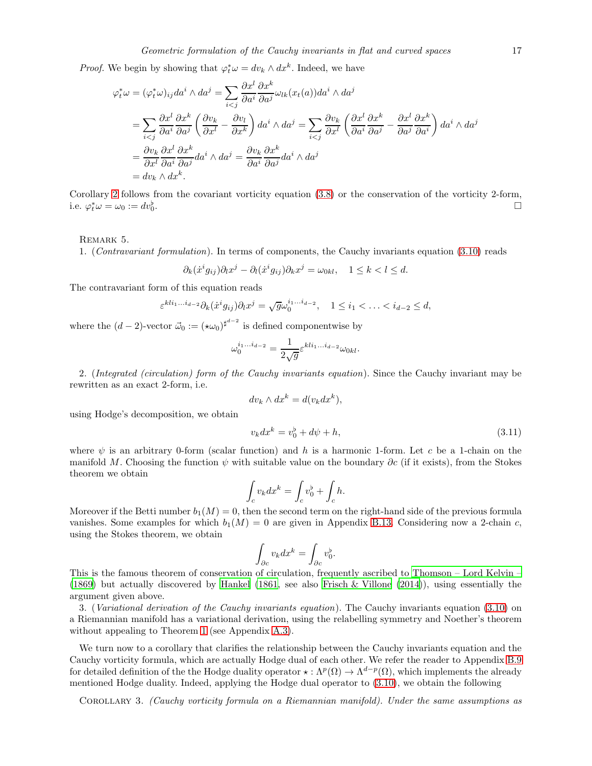*Proof.* We begin by showing that  $\varphi_t^* \omega = dv_k \wedge dx^k$ . Indeed, we have

$$
\varphi_t^* \omega = (\varphi_t^* \omega)_{ij} da^i \wedge da^j = \sum_{i < j} \frac{\partial x^l}{\partial a^i} \frac{\partial x^k}{\partial a^j} \omega_{lk}(x_t(a)) da^i \wedge da^j
$$
\n
$$
= \sum_{i < j} \frac{\partial x^l}{\partial a^i} \frac{\partial x^k}{\partial a^j} \left( \frac{\partial v_k}{\partial x^l} - \frac{\partial v_l}{\partial x^k} \right) da^i \wedge da^j = \sum_{i < j} \frac{\partial v_k}{\partial x^l} \left( \frac{\partial x^l}{\partial a^i} \frac{\partial x^k}{\partial a^j} - \frac{\partial x^l}{\partial a^j} \frac{\partial x^k}{\partial a^i} \right) da^i \wedge da^j
$$
\n
$$
= \frac{\partial v_k}{\partial x^l} \frac{\partial x^l}{\partial a^i} \frac{\partial x^k}{\partial a^j} da^i \wedge da^j = \frac{\partial v_k}{\partial a^i} \frac{\partial x^k}{\partial a^j} da^i \wedge da^j
$$
\n
$$
= dv_k \wedge dx^k.
$$

Corollary [2](#page-15-3) follows from the covariant vorticity equation [\(3.8\)](#page-15-2) or the conservation of the vorticity 2-form, i.e.  $\varphi_t^* \omega = \omega_0 := dv_0^{\flat}$ .

# REMARK 5.

1. (Contravariant formulation). In terms of components, the Cauchy invariants equation [\(3.10\)](#page-15-4) reads

$$
\partial_k(\dot{x}^i g_{ij}) \partial_l x^j - \partial_l(\dot{x}^i g_{ij}) \partial_k x^j = \omega_{0kl}, \quad 1 \le k < l \le d.
$$

The contravariant form of this equation reads

$$
\varepsilon^{kli_1...i_{d-2}}\partial_k(\dot{x}^ig_{ij})\partial_lx^j=\sqrt{g}\omega_0^{i_1...i_{d-2}},\quad 1\leq i_1<\ldots
$$

where the  $(d-2)$ -vector  $\vec{\omega}_0 := (\star \omega_0)^{\sharp^{d-2}}$  is defined componentwise by

$$
\omega_0^{i_1...i_{d-2}} = \frac{1}{2\sqrt{g}} \varepsilon^{kli_1...i_{d-2}} \omega_{0kl}.
$$

2. (Integrated (circulation) form of the Cauchy invariants equation). Since the Cauchy invariant may be rewritten as an exact 2-form, i.e.

$$
dv_k \wedge dx^k = d(v_k dx^k),
$$

using Hodge's decomposition, we obtain

$$
v_k dx^k = v_0^{\flat} + d\psi + h,\tag{3.11}
$$

where  $\psi$  is an arbitrary 0-form (scalar function) and h is a harmonic 1-form. Let c be a 1-chain on the manifold M. Choosing the function  $\psi$  with suitable value on the boundary ∂c (if it exists), from the Stokes theorem we obtain

$$
\int_c v_k dx^k = \int_c v_0^\flat + \int_c h.
$$

Moreover if the Betti number  $b_1(M) = 0$ , then the second term on the right-hand side of the previous formula vanishes. Some examples for which  $b_1(M) = 0$  are given in Appendix [B.13.](#page-44-0) Considering now a 2-chain c, using the Stokes theorem, we obtain

$$
\int_{\partial c} v_k dx^k = \int_{\partial c} v_0^{\flat}.
$$

This is the famous theorem of conservation of circulation, frequently ascribed to [Thomson – Lord Kelvin –](#page-49-9) [\(1869\)](#page-49-9) but actually discovered by [Hankel \(1861,](#page-47-19) see also [Frisch & Villone \(2014\)](#page-47-3)), using essentially the argument given above.

3. (Variational derivation of the Cauchy invariants equation). The Cauchy invariants equation [\(3.10\)](#page-15-4) on a Riemannian manifold has a variational derivation, using the relabelling symmetry and Noether's theorem without appealing to Theorem [1](#page-5-0) (see Appendix [A.3\)](#page-27-0).

We turn now to a corollary that clarifies the relationship between the Cauchy invariants equation and the Cauchy vorticity formula, which are actually Hodge dual of each other. We refer the reader to Appendix [B.9](#page-39-1) for detailed definition of the the Hodge duality operator  $\star : \Lambda^p(\Omega) \to \Lambda^{d-p}(\Omega)$ , which implements the already mentioned Hodge duality. Indeed, applying the Hodge dual operator to [\(3.10\)](#page-15-4), we obtain the following

COROLLARY 3. (Cauchy vorticity formula on a Riemannian manifold). Under the same assumptions as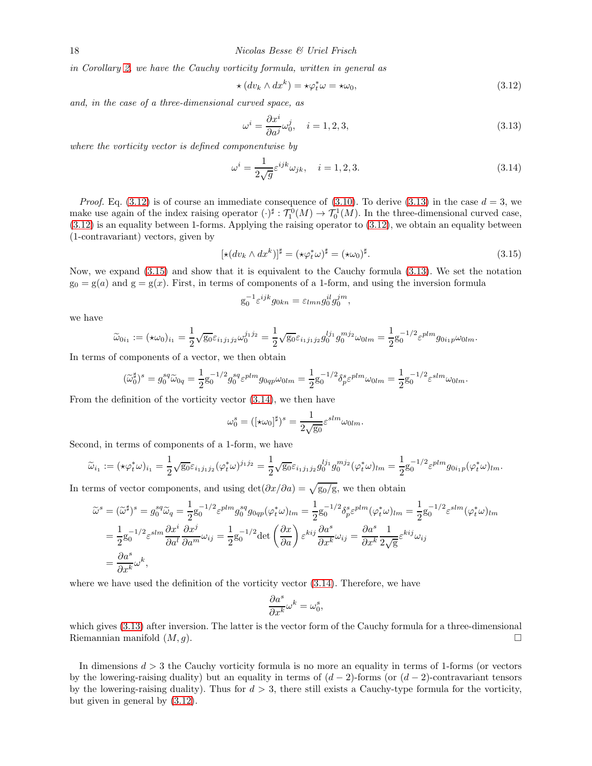in Corollary [2,](#page-15-3) we have the Cauchy vorticity formula, written in general as

<span id="page-17-0"></span>
$$
\star (dv_k \wedge dx^k) = \star \varphi_t^* \omega = \star \omega_0,\tag{3.12}
$$

and, in the case of a three-dimensional curved space, as

<span id="page-17-1"></span>
$$
\omega^i = \frac{\partial x^i}{\partial a^j} \omega_0^j, \quad i = 1, 2, 3,
$$
\n(3.13)

where the vorticity vector is defined componentwise by

<span id="page-17-3"></span>
$$
\omega^i = \frac{1}{2\sqrt{g}} \varepsilon^{ijk} \omega_{jk}, \quad i = 1, 2, 3. \tag{3.14}
$$

*Proof.* Eq. [\(3.12\)](#page-17-0) is of course an immediate consequence of [\(3.10\)](#page-15-4). To derive [\(3.13\)](#page-17-1) in the case  $d = 3$ , we make use again of the index raising operator  $(\cdot)^{\sharp}: \mathcal{T}_{1}^{0}(M) \to \mathcal{T}_{0}^{1}(M)$ . In the three-dimensional curved case, [\(3.12\)](#page-17-0) is an equality between 1-forms. Applying the raising operator to [\(3.12\)](#page-17-0), we obtain an equality between (1-contravariant) vectors, given by

<span id="page-17-2"></span>
$$
[\star(dv_k \wedge dx^k)]^{\sharp} = (\star \varphi_t^* \omega)^{\sharp} = (\star \omega_0)^{\sharp}.
$$
\n(3.15)

Now, we expand [\(3.15\)](#page-17-2) and show that it is equivalent to the Cauchy formula [\(3.13\)](#page-17-1). We set the notation  $g_0 = g(a)$  and  $g = g(x)$ . First, in terms of components of a 1-form, and using the inversion formula

$$
g_0^{-1} \varepsilon^{ijk} g_{0kn} = \varepsilon_{lmn} g_0^{il} g_0^{jm},
$$

we have

$$
\widetilde{\omega}_{0i_1} := (\star \omega_0)_{i_1} = \frac{1}{2} \sqrt{g_0} \varepsilon_{i_1 j_1 j_2} \omega_0^{j_1 j_2} = \frac{1}{2} \sqrt{g_0} \varepsilon_{i_1 j_1 j_2} g_0^{l j_1} g_0^{m j_2} \omega_{0lm} = \frac{1}{2} g_0^{-1/2} \varepsilon^{plm} g_{0i_1 p} \omega_{0lm}.
$$

In terms of components of a vector, we then obtain

$$
(\widetilde{\omega}_0^{\sharp})^s=g_0^{sq}\widetilde{\omega}_{0q}=\frac{1}{2}g_0^{-1/2}g_0^{sq}\varepsilon^{plm}g_{0qp}\omega_{0lm}=\frac{1}{2}g_0^{-1/2}\delta^s_p\varepsilon^{plm}\omega_{0lm}=\frac{1}{2}g_0^{-1/2}\varepsilon^{slm}\omega_{0lm}.
$$

From the definition of the vorticity vector [\(3.14\)](#page-17-3), we then have

$$
\omega_0^s = ([\star \omega_0]^\sharp)^s = \frac{1}{2\sqrt{\mathrm{g}_0}} \varepsilon^{slm} \omega_{0lm}.
$$

Second, in terms of components of a 1-form, we have

$$
\widetilde{\omega}_{i_1} := (\star \varphi_t^* \omega)_{i_1} = \frac{1}{2} \sqrt{\mathrm{g}_0} \varepsilon_{i_1 j_1 j_2} (\varphi_t^* \omega)^{j_1 j_2} = \frac{1}{2} \sqrt{\mathrm{g}_0} \varepsilon_{i_1 j_1 j_2} g_0^{l j_1} g_0^{m j_2} (\varphi_t^* \omega)_{l m} = \frac{1}{2} \mathrm{g}_0^{-1/2} \varepsilon^{p l m} g_{0 i_1 p} (\varphi_t^* \omega)_{l m}.
$$

In terms of vector components, and using  $\det(\partial x/\partial a) = \sqrt{g_0/g}$ , we then obtain

$$
\widetilde{\omega}^{s} = (\widetilde{\omega}^{\sharp})^{s} = g_{0}^{sq}\widetilde{\omega}_{q} = \frac{1}{2}g_{0}^{-1/2}\varepsilon^{plm}g_{0}^{sq}g_{0qp}(\varphi_{t}^{*}\omega)_{lm} = \frac{1}{2}g_{0}^{-1/2}\delta_{p}^{s}\varepsilon^{plm}(\varphi_{t}^{*}\omega)_{lm} = \frac{1}{2}g_{0}^{-1/2}\varepsilon^{slm}(\varphi_{t}^{*}\omega)_{lm}
$$
\n
$$
= \frac{1}{2}g_{0}^{-1/2}\varepsilon^{slm}\frac{\partial x^{i}}{\partial a^{l}}\frac{\partial x^{j}}{\partial a^{m}}\omega_{ij} = \frac{1}{2}g_{0}^{-1/2}\det\left(\frac{\partial x}{\partial a}\right)\varepsilon^{kij}\frac{\partial a^{s}}{\partial x^{k}}\omega_{ij} = \frac{\partial a^{s}}{\partial x^{k}}\frac{1}{2\sqrt{g}}\varepsilon^{kij}\omega_{ij}
$$
\n
$$
= \frac{\partial a^{s}}{\partial x^{k}}\omega^{k},
$$

where we have used the definition of the vorticity vector [\(3.14\)](#page-17-3). Therefore, we have

$$
\frac{\partial a^s}{\partial x^k}\omega^k=\omega_0^s,
$$

which gives [\(3.13\)](#page-17-1) after inversion. The latter is the vector form of the Cauchy formula for a three-dimensional Riemannian manifold  $(M, g)$ .

In dimensions  $d > 3$  the Cauchy vorticity formula is no more an equality in terms of 1-forms (or vectors by the lowering-raising duality) but an equality in terms of  $(d-2)$ -forms (or  $(d-2)$ -contravariant tensors by the lowering-raising duality). Thus for  $d > 3$ , there still exists a Cauchy-type formula for the vorticity, but given in general by [\(3.12\)](#page-17-0).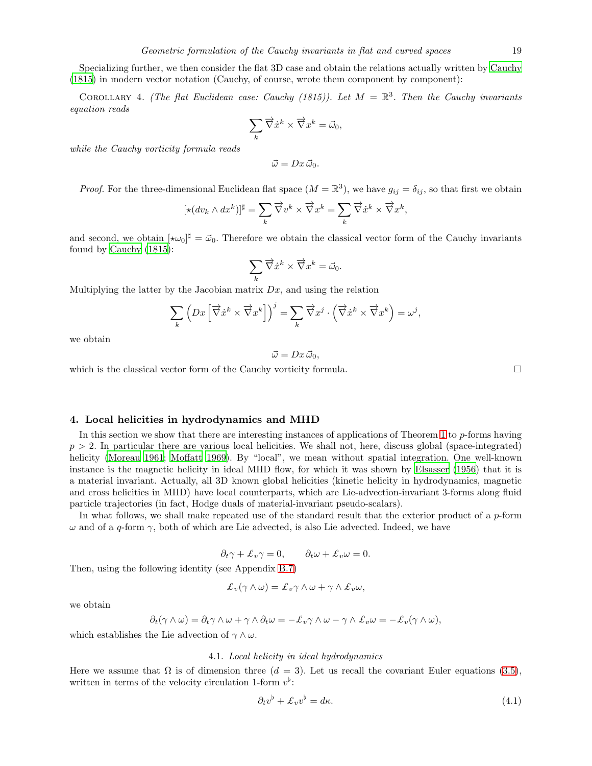Specializing further, we then consider the flat 3D case and obtain the relations actually written by [Cauchy](#page-47-2) [\(1815\)](#page-47-2) in modern vector notation (Cauchy, of course, wrote them component by component):

COROLLARY 4. (The flat Euclidean case: Cauchy (1815)). Let  $M = \mathbb{R}^3$ . Then the Cauchy invariants equation reads

$$
\sum_{k} \overrightarrow{\nabla} \dot{x}^{k} \times \overrightarrow{\nabla} x^{k} = \vec{\omega}_{0},
$$

while the Cauchy vorticity formula reads

$$
\vec{\omega} = Dx \, \vec{\omega}_0.
$$

*Proof.* For the three-dimensional Euclidean flat space  $(M = \mathbb{R}^3)$ , we have  $g_{ij} = \delta_{ij}$ , so that first we obtain

,

,

$$
[\star(dv_k \wedge dx^k)]^{\sharp} = \sum_{k} \overrightarrow{\nabla} v^k \times \overrightarrow{\nabla} x^k = \sum_{k} \overrightarrow{\nabla} \dot{x}^k \times \overrightarrow{\nabla} x^k
$$

and second, we obtain  $[\star \omega_0]^{\sharp} = \vec{\omega}_0$ . Therefore we obtain the classical vector form of the Cauchy invariants found by [Cauchy \(1815\)](#page-47-2):

$$
\sum_{k} \overrightarrow{\nabla} \dot{x}^{k} \times \overrightarrow{\nabla} x^{k} = \vec{\omega}_{0}.
$$

Multiplying the latter by the Jacobian matrix  $Dx$ , and using the relation

$$
\sum_{k} \left( Dx \left[ \overrightarrow{\nabla} \dot{x}^{k} \times \overrightarrow{\nabla} x^{k} \right] \right)^{j} = \sum_{k} \overrightarrow{\nabla} x^{j} \cdot \left( \overrightarrow{\nabla} \dot{x}^{k} \times \overrightarrow{\nabla} x^{k} \right) = \omega^{j}
$$

we obtain

$$
\vec{\omega} = Dx \, \vec{\omega}_0,
$$

which is the classical vector form of the Cauchy vorticity formula.

# <span id="page-18-0"></span>4. Local helicities in hydrodynamics and MHD

In this section we show that there are interesting instances of applications of Theorem [1](#page-5-0) to p-forms having  $p > 2$ . In particular there are various local helicities. We shall not, here, discuss global (space-integrated) helicity [\(Moreau 1961;](#page-48-16) [Moffatt 1969\)](#page-48-17). By "local", we mean without spatial integration. One well-known instance is the magnetic helicity in ideal MHD flow, for which it was shown by [Elsasser \(1956](#page-47-14)) that it is a material invariant. Actually, all 3D known global helicities (kinetic helicity in hydrodynamics, magnetic and cross helicities in MHD) have local counterparts, which are Lie-advection-invariant 3-forms along fluid particle trajectories (in fact, Hodge duals of material-invariant pseudo-scalars).

In what follows, we shall make repeated use of the standard result that the exterior product of a  $p$ -form  $ω$  and of a q-form  $γ$ , both of which are Lie advected, is also Lie advected. Indeed, we have

$$
\partial_t \gamma + \pounds_v \gamma = 0, \qquad \partial_t \omega + \pounds_v \omega = 0.
$$

Then, using the following identity (see Appendix [B.7\)](#page-38-0)

$$
\pounds_v(\gamma \wedge \omega) = \pounds_v \gamma \wedge \omega + \gamma \wedge \pounds_v \omega,
$$

we obtain

$$
\partial_t(\gamma\wedge\omega)=\partial_t\gamma\wedge\omega+\gamma\wedge\partial_t\omega=-\pounds_v\gamma\wedge\omega-\gamma\wedge\pounds_v\omega=-\pounds_v(\gamma\wedge\omega),
$$

<span id="page-18-2"></span>which establishes the Lie advection of  $\gamma \wedge \omega$ .

# 4.1. Local helicity in ideal hydrodynamics

Here we assume that  $\Omega$  is of dimension three  $(d = 3)$ . Let us recall the covariant Euler equations [\(3.5\)](#page-14-5), written in terms of the velocity circulation 1-form  $v^{\flat}$ :

<span id="page-18-1"></span>
$$
\partial_t v^\flat + \mathcal{L}_v v^\flat = d\kappa. \tag{4.1}
$$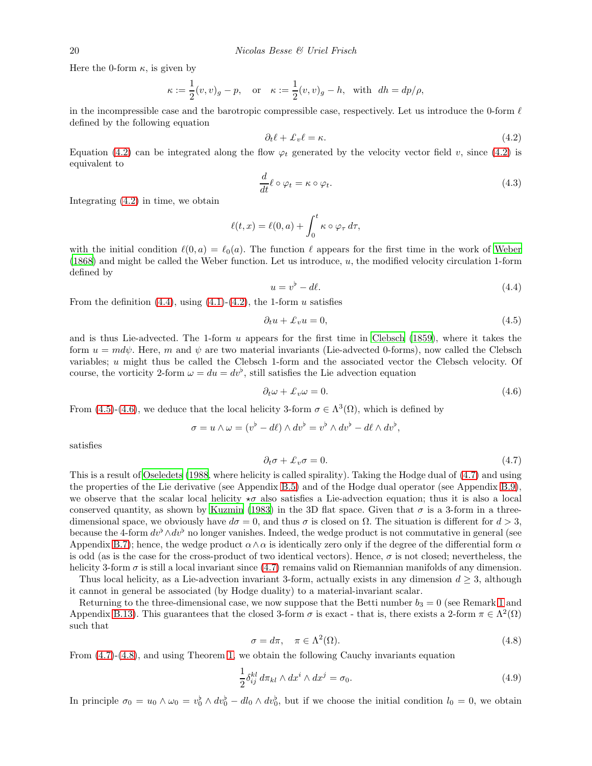Here the 0-form  $\kappa$ , is given by

$$
\kappa := \frac{1}{2}(v, v)_g - p, \quad \text{or} \quad \kappa := \frac{1}{2}(v, v)_g - h, \quad \text{with} \quad dh = dp/\rho,
$$

in the incompressible case and the barotropic compressible case, respectively. Let us introduce the 0-form  $\ell$ defined by the following equation

<span id="page-19-0"></span>
$$
\partial_t \ell + \pounds_v \ell = \kappa. \tag{4.2}
$$

Equation [\(4.2\)](#page-19-0) can be integrated along the flow  $\varphi_t$  generated by the velocity vector field v, since (4.2) is equivalent to

$$
\frac{d}{dt}\ell \circ \varphi_t = \kappa \circ \varphi_t.
$$
\n(4.3)

Integrating [\(4.2\)](#page-19-0) in time, we obtain

$$
\ell(t,x) = \ell(0,a) + \int_0^t \kappa \circ \varphi_\tau d\tau,
$$

with the initial condition  $\ell(0, a) = \ell_0(a)$ . The function  $\ell$  appears for the first time in the work of [Weber](#page-49-10) [\(1868\)](#page-49-10) and might be called the Weber function. Let us introduce, u, the modified velocity circulation 1-form defined by

<span id="page-19-1"></span>
$$
u = v^{\flat} - d\ell. \tag{4.4}
$$

From the definition  $(4.4)$ , using  $(4.1)-(4.2)$  $(4.1)-(4.2)$ , the 1-form u satisfies

<span id="page-19-2"></span>
$$
\partial_t u + \mathcal{L}_v u = 0,\tag{4.5}
$$

and is thus Lie-advected. The 1-form u appears for the first time in [Clebsch \(1859\)](#page-47-20), where it takes the form  $u = m d\psi$ . Here, m and  $\psi$  are two material invariants (Lie-advected 0-forms), now called the Clebsch variables; u might thus be called the Clebsch 1-form and the associated vector the Clebsch velocity. Of course, the vorticity 2-form  $\omega = du = dv^{\flat}$ , still satisfies the Lie advection equation

<span id="page-19-3"></span>
$$
\partial_t \omega + \mathcal{L}_v \omega = 0. \tag{4.6}
$$

From [\(4.5\)](#page-19-2)-[\(4.6\)](#page-19-3), we deduce that the local helicity 3-form  $\sigma \in \Lambda^3(\Omega)$ , which is defined by

$$
\sigma = u \wedge \omega = (v^{\flat} - d\ell) \wedge dv^{\flat} = v^{\flat} \wedge dv^{\flat} - d\ell \wedge dv^{\flat},
$$

satisfies

<span id="page-19-4"></span>
$$
\partial_t \sigma + \pounds_v \sigma = 0. \tag{4.7}
$$

This is a result of [Oseledets \(1988,](#page-48-18) where helicity is called spirality). Taking the Hodge dual of [\(4.7\)](#page-19-4) and using the properties of the Lie derivative (see Appendix [B.5\)](#page-36-0) and of the Hodge dual operator (see Appendix [B.9\)](#page-39-1), we observe that the scalar local helicity  $\star\sigma$  also satisfies a Lie-advection equation; thus it is also a local conserved quantity, as shown by [Kuzmin \(1983\)](#page-48-19) in the 3D flat space. Given that  $\sigma$  is a 3-form in a threedimensional space, we obviously have  $d\sigma = 0$ , and thus  $\sigma$  is closed on  $\Omega$ . The situation is different for  $d > 3$ , because the 4-form  $dv<sup>b</sup> \wedge dv<sup>b</sup>$  no longer vanishes. Indeed, the wedge product is not commutative in general (see Appendix [B.7\)](#page-38-0); hence, the wedge product  $\alpha \wedge \alpha$  is identically zero only if the degree of the differential form  $\alpha$ is odd (as is the case for the cross-product of two identical vectors). Hence,  $\sigma$  is not closed; nevertheless, the helicity 3-form  $\sigma$  is still a local invariant since [\(4.7\)](#page-19-4) remains valid on Riemannian manifolds of any dimension.

Thus local helicity, as a Lie-advection invariant 3-form, actually exists in any dimension  $d \geq 3$ , although it cannot in general be associated (by Hodge duality) to a material-invariant scalar.

Returning to the three-dimensional case, we now suppose that the Betti number  $b_3 = 0$  (see Remark [1](#page-7-0) and Appendix [B.13\)](#page-44-0). This guarantees that the closed 3-form  $\sigma$  is exact - that is, there exists a 2-form  $\pi \in \Lambda^2(\Omega)$ such that

<span id="page-19-5"></span>
$$
\sigma = d\pi, \quad \pi \in \Lambda^2(\Omega). \tag{4.8}
$$

From [\(4.7\)](#page-19-4)-[\(4.8\)](#page-19-5), and using Theorem [1,](#page-5-0) we obtain the following Cauchy invariants equation

<span id="page-19-6"></span>
$$
\frac{1}{2}\delta_{ij}^{kl} d\pi_{kl} \wedge dx^i \wedge dx^j = \sigma_0.
$$
\n(4.9)

In principle  $\sigma_0 = u_0 \wedge \omega_0 = v_0^{\flat} \wedge dv_0^{\flat} - dl_0 \wedge dv_0^{\flat}$ , but if we choose the initial condition  $l_0 = 0$ , we obtain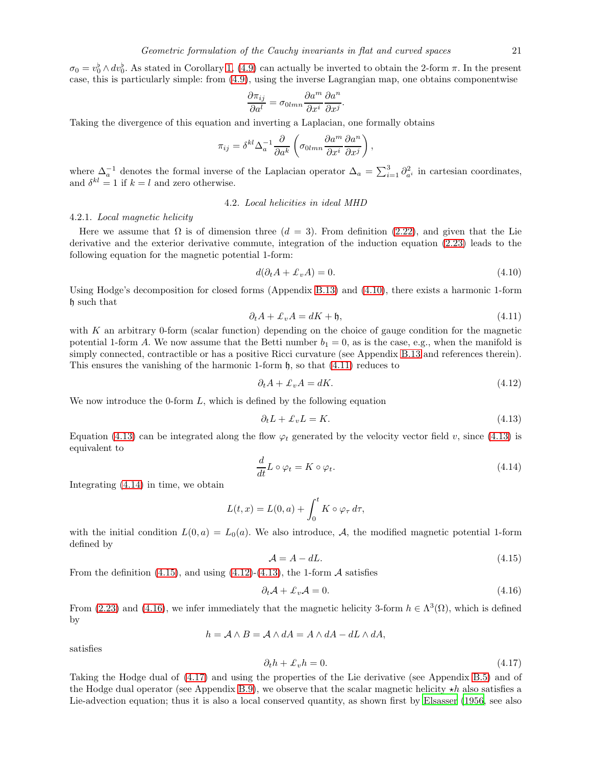$\sigma_0 = v_0^{\flat} \wedge dv_0^{\flat}$ . As stated in Corollary [1,](#page-9-1) [\(4.9\)](#page-19-6) can actually be inverted to obtain the 2-form  $\pi$ . In the present case, this is particularly simple: from [\(4.9\)](#page-19-6), using the inverse Lagrangian map, one obtains componentwise

$$
\frac{\partial \pi_{ij}}{\partial a^l} = \sigma_{0lmn} \frac{\partial a^m}{\partial x^i} \frac{\partial a^n}{\partial x^j}.
$$

Taking the divergence of this equation and inverting a Laplacian, one formally obtains

$$
\pi_{ij} = \delta^{kl} \Delta_a^{-1} \frac{\partial}{\partial a^k} \left( \sigma_{0lmn} \frac{\partial a^m}{\partial x^i} \frac{\partial a^n}{\partial x^j} \right),
$$

where  $\Delta_a^{-1}$  denotes the formal inverse of the Laplacian operator  $\Delta_a = \sum_{i=1}^3 \partial_a^2$  in cartesian coordinates, and  $\delta^{kl} = 1$  if  $k = l$  and zero otherwise.

# 4.2. Local helicities in ideal MHD

#### <span id="page-20-8"></span>4.2.1. Local magnetic helicity

Here we assume that  $\Omega$  is of dimension three  $(d = 3)$ . From definition [\(2.22\)](#page-10-5), and given that the Lie derivative and the exterior derivative commute, integration of the induction equation [\(2.23\)](#page-10-4) leads to the following equation for the magnetic potential 1-form:

<span id="page-20-0"></span>
$$
d(\partial_t A + \mathcal{L}_v A) = 0. \tag{4.10}
$$

Using Hodge's decomposition for closed forms (Appendix [B.13\)](#page-44-0) and [\(4.10\)](#page-20-0), there exists a harmonic 1-form h such that

<span id="page-20-1"></span>
$$
\partial_t A + \mathcal{L}_v A = dK + \mathfrak{h},\tag{4.11}
$$

with  $K$  an arbitrary 0-form (scalar function) depending on the choice of gauge condition for the magnetic potential 1-form A. We now assume that the Betti number  $b_1 = 0$ , as is the case, e.g., when the manifold is simply connected, contractible or has a positive Ricci curvature (see Appendix [B.13](#page-44-0) and references therein). This ensures the vanishing of the harmonic 1-form  $\mathfrak{h}$ , so that  $(4.11)$  reduces to

<span id="page-20-5"></span>
$$
\partial_t A + \mathcal{L}_v A = dK. \tag{4.12}
$$

We now introduce the 0-form  $L$ , which is defined by the following equation

<span id="page-20-2"></span>
$$
\partial_t L + \mathcal{L}_v L = K. \tag{4.13}
$$

Equation [\(4.13\)](#page-20-2) can be integrated along the flow  $\varphi_t$  generated by the velocity vector field v, since (4.13) is equivalent to

<span id="page-20-3"></span>
$$
\frac{d}{dt}L \circ \varphi_t = K \circ \varphi_t. \tag{4.14}
$$

Integrating [\(4.14\)](#page-20-3) in time, we obtain

$$
L(t,x) = L(0,a) + \int_0^t K \circ \varphi_\tau d\tau,
$$

with the initial condition  $L(0, a) = L_0(a)$ . We also introduce, A, the modified magnetic potential 1-form defined by

<span id="page-20-4"></span>
$$
\mathcal{A} = A - dL. \tag{4.15}
$$

From the definition [\(4.15\)](#page-20-4), and using [\(4.12\)](#page-20-5)-[\(4.13\)](#page-20-2), the 1-form  $A$  satisfies

<span id="page-20-6"></span>
$$
\partial_t \mathcal{A} + \mathcal{L}_v \mathcal{A} = 0. \tag{4.16}
$$

From [\(2.23\)](#page-10-4) and [\(4.16\)](#page-20-6), we infer immediately that the magnetic helicity 3-form  $h \in \Lambda^3(\Omega)$ , which is defined by

 $h = A \wedge B = A \wedge dA = A \wedge dA - dL \wedge dA,$ 

satisfies

<span id="page-20-7"></span>
$$
\partial_t h + \mathcal{L}_v h = 0. \tag{4.17}
$$

Taking the Hodge dual of [\(4.17\)](#page-20-7) and using the properties of the Lie derivative (see Appendix [B.5\)](#page-36-0) and of the Hodge dual operator (see Appendix [B.9\)](#page-39-1), we observe that the scalar magnetic helicity  $\star h$  also satisfies a Lie-advection equation; thus it is also a local conserved quantity, as shown first by [Elsasser \(1956,](#page-47-14) see also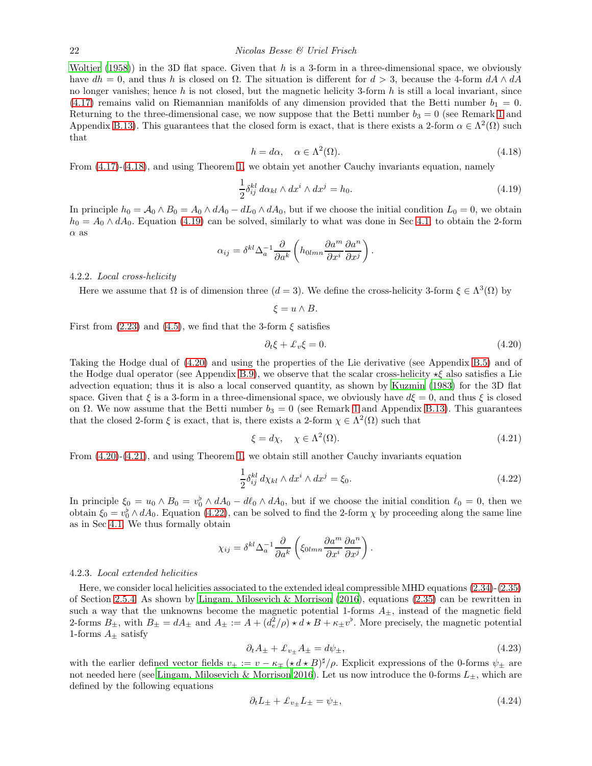[Woltjer \(1958](#page-49-11))) in the 3D flat space. Given that h is a 3-form in a three-dimensional space, we obviously have  $dh = 0$ , and thus h is closed on  $\Omega$ . The situation is different for  $d > 3$ , because the 4-form  $dA \wedge dA$ no longer vanishes; hence h is not closed, but the magnetic helicity 3-form h is still a local invariant, since  $(4.17)$  remains valid on Riemannian manifolds of any dimension provided that the Betti number  $b_1 = 0$ . Returning to the three-dimensional case, we now suppose that the Betti number  $b_3 = 0$  (see Remark [1](#page-7-0) and Appendix [B.13\)](#page-44-0). This guarantees that the closed form is exact, that is there exists a 2-form  $\alpha \in \Lambda^2(\Omega)$  such that

<span id="page-21-0"></span>
$$
h = d\alpha, \quad \alpha \in \Lambda^2(\Omega). \tag{4.18}
$$

From [\(4.17\)](#page-20-7)-[\(4.18\)](#page-21-0), and using Theorem [1,](#page-5-0) we obtain yet another Cauchy invariants equation, namely

<span id="page-21-1"></span>
$$
\frac{1}{2}\delta_{ij}^{kl} d\alpha_{kl} \wedge dx^i \wedge dx^j = h_0.
$$
\n(4.19)

In principle  $h_0 = \mathcal{A}_0 \wedge B_0 = A_0 \wedge dA_0 - dL_0 \wedge dA_0$ , but if we choose the initial condition  $L_0 = 0$ , we obtain  $h_0 = A_0 \wedge dA_0$ . Equation [\(4.19\)](#page-21-1) can be solved, similarly to what was done in Sec [4.1,](#page-18-2) to obtain the 2-form  $\alpha$  as

$$
\alpha_{ij} = \delta^{kl} \Delta_a^{-1} \frac{\partial}{\partial a^k} \left( h_{0lmn} \frac{\partial a^m}{\partial x^i} \frac{\partial a^n}{\partial x^j} \right).
$$

4.2.2. Local cross-helicity

Here we assume that  $\Omega$  is of dimension three  $(d = 3)$ . We define the cross-helicity 3-form  $\xi \in \Lambda^3(\Omega)$  by

 $\xi = u \wedge B$ .

First from  $(2.23)$  and  $(4.5)$ , we find that the 3-form  $\xi$  satisfies

<span id="page-21-2"></span>
$$
\partial_t \xi + \mathcal{L}_v \xi = 0. \tag{4.20}
$$

Taking the Hodge dual of [\(4.20\)](#page-21-2) and using the properties of the Lie derivative (see Appendix [B.5\)](#page-36-0) and of the Hodge dual operator (see Appendix [B.9\)](#page-39-1), we observe that the scalar cross-helicity  $\star\xi$  also satisfies a Lie advection equation; thus it is also a local conserved quantity, as shown by [Kuzmin \(1983\)](#page-48-19) for the 3D flat space. Given that  $\xi$  is a 3-form in a three-dimensional space, we obviously have  $d\xi = 0$ , and thus  $\xi$  is closed on  $\Omega$ . We now assume that the Betti number  $b_3 = 0$  (see Remark [1](#page-7-0) and Appendix [B.13\)](#page-44-0). This guarantees that the closed 2-form  $\xi$  is exact, that is, there exists a 2-form  $\chi \in \Lambda^2(\Omega)$  such that

<span id="page-21-3"></span>
$$
\xi = d\chi, \quad \chi \in \Lambda^2(\Omega). \tag{4.21}
$$

From [\(4.20\)](#page-21-2)-[\(4.21\)](#page-21-3), and using Theorem [1,](#page-5-0) we obtain still another Cauchy invariants equation

<span id="page-21-4"></span>
$$
\frac{1}{2}\delta_{ij}^{kl} d\chi_{kl} \wedge dx^i \wedge dx^j = \xi_0.
$$
\n(4.22)

In principle  $\xi_0 = u_0 \wedge B_0 = v_0^{\flat} \wedge dA_0 - d\ell_0 \wedge dA_0$ , but if we choose the initial condition  $\ell_0 = 0$ , then we obtain  $\xi_0 = v_0^{\flat} \wedge dA_0$ . Equation [\(4.22\)](#page-21-4), can be solved to find the 2-form  $\chi$  by proceeding along the same line as in Sec [4.1.](#page-18-2) We thus formally obtain

$$
\chi_{ij} = \delta^{kl} \Delta_a^{-1} \frac{\partial}{\partial a^k} \left( \xi_{0lmn} \frac{\partial a^m}{\partial x^i} \frac{\partial a^n}{\partial x^j} \right).
$$

#### 4.2.3. Local extended helicities

Here, we consider local helicities associated to the extended ideal compressible MHD equations [\(2.34\)](#page-12-4)-[\(2.35\)](#page-12-4) of Section [2.5.4.](#page-12-0) As shown by [Lingam, Milosevich & Morrison \(2016](#page-48-1)), equations [\(2.35\)](#page-12-4) can be rewritten in such a way that the unknowns become the magnetic potential 1-forms  $A_{\pm}$ , instead of the magnetic field 2-forms  $B_{\pm}$ , with  $B_{\pm} = dA_{\pm}$  and  $A_{\pm} := A + (d_e^2/\rho) \star d \star B + \kappa_{\pm} v^{\flat}$ . More precisely, the magnetic potential 1-forms  $A_{\pm}$  satisfy

<span id="page-21-6"></span>
$$
\partial_t A_{\pm} + \mathcal{L}_{v_{\pm}} A_{\pm} = d\psi_{\pm},\tag{4.23}
$$

with the earlier defined vector fields  $v_{\pm} := v - \kappa_{\mp} (\star d \star B)^{\sharp}/\rho$ . Explicit expressions of the 0-forms  $\psi_{\pm}$  are not needed here (see [Lingam, Milosevich & Morrison 2016\)](#page-48-1). Let us now introduce the 0-forms  $L_{\pm}$ , which are defined by the following equations

<span id="page-21-5"></span>
$$
\partial_t L_{\pm} + \mathcal{L}_{v_{\pm}} L_{\pm} = \psi_{\pm},\tag{4.24}
$$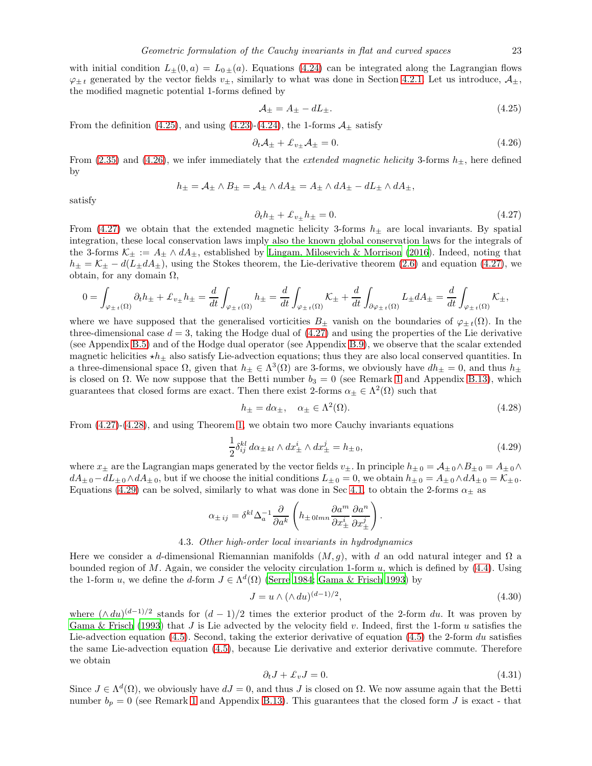with initial condition  $L_{\pm}(0, a) = L_{0\pm}(a)$ . Equations [\(4.24\)](#page-21-5) can be integrated along the Lagrangian flows  $\varphi_{\pm t}$  generated by the vector fields  $v_{\pm}$ , similarly to what was done in Section [4.2.1.](#page-20-8) Let us introduce,  $\mathcal{A}_{\pm}$ , the modified magnetic potential 1-forms defined by

<span id="page-22-0"></span>
$$
\mathcal{A}_{\pm} = A_{\pm} - dL_{\pm}.\tag{4.25}
$$

From the definition [\(4.25\)](#page-22-0), and using [\(4.23\)](#page-21-6)-[\(4.24\)](#page-21-5), the 1-forms  $\mathcal{A}_{\pm}$  satisfy

<span id="page-22-1"></span>
$$
\partial_t \mathcal{A}_\pm + \mathcal{L}_{v_\pm} \mathcal{A}_\pm = 0. \tag{4.26}
$$

From [\(2.35\)](#page-12-4) and [\(4.26\)](#page-22-1), we infer immediately that the *extended magnetic helicity* 3-forms  $h_{\pm}$ , here defined by

$$
h_{\pm} = A_{\pm} \wedge B_{\pm} = A_{\pm} \wedge dA_{\pm} = A_{\pm} \wedge dA_{\pm} - dL_{\pm} \wedge dA_{\pm},
$$

satisfy

<span id="page-22-2"></span>
$$
\partial_t h_{\pm} + \mathcal{L}_{v_{\pm}} h_{\pm} = 0. \tag{4.27}
$$

From [\(4.27\)](#page-22-2) we obtain that the extended magnetic helicity 3-forms  $h_{\pm}$  are local invariants. By spatial integration, these local conservation laws imply also the known global conservation laws for the integrals of the 3-forms  $\mathcal{K}_{\pm} := A_{\pm} \wedge dA_{\pm}$ , established by [Lingam, Milosevich & Morrison \(2016\)](#page-48-1). Indeed, noting that  $h_{\pm} = \mathcal{K}_{\pm} - d(L_{\pm}dA_{\pm})$ , using the Stokes theorem, the Lie-derivative theorem [\(2.6\)](#page-5-1) and equation [\(4.27\)](#page-22-2), we obtain, for any domain  $\Omega$ ,

$$
0 = \int_{\varphi_{\pm t}(\Omega)} \partial_t h_{\pm} + \mathcal{L}_{v_{\pm}} h_{\pm} = \frac{d}{dt} \int_{\varphi_{\pm t}(\Omega)} h_{\pm} = \frac{d}{dt} \int_{\varphi_{\pm t}(\Omega)} \mathcal{K}_{\pm} + \frac{d}{dt} \int_{\partial \varphi_{\pm t}(\Omega)} L_{\pm} dA_{\pm} = \frac{d}{dt} \int_{\varphi_{\pm t}(\Omega)} \mathcal{K}_{\pm},
$$

where we have supposed that the generalised vorticities  $B_+$  vanish on the boundaries of  $\varphi_{+t}(\Omega)$ . In the three-dimensional case  $d = 3$ , taking the Hodge dual of [\(4.27\)](#page-22-2) and using the properties of the Lie derivative (see Appendix [B.5\)](#page-36-0) and of the Hodge dual operator (see Appendix [B.9\)](#page-39-1), we observe that the scalar extended magnetic helicities  $\star h_{\pm}$  also satisfy Lie-advection equations; thus they are also local conserved quantities. In a three-dimensional space  $\Omega$ , given that  $h_{\pm} \in \Lambda^3(\Omega)$  are 3-forms, we obviously have  $dh_{\pm} = 0$ , and thus  $h_{\pm}$ is closed on  $\Omega$ . We now suppose that the Betti number  $b_3 = 0$  (see Remark [1](#page-7-0) and Appendix [B.13\)](#page-44-0), which guarantees that closed forms are exact. Then there exist 2-forms  $\alpha_{\pm} \in \Lambda^2(\Omega)$  such that

<span id="page-22-3"></span>
$$
h_{\pm} = d\alpha_{\pm}, \quad \alpha_{\pm} \in \Lambda^2(\Omega). \tag{4.28}
$$

From [\(4.27\)](#page-22-2)-[\(4.28\)](#page-22-3), and using Theorem [1,](#page-5-0) we obtain two more Cauchy invariants equations

<span id="page-22-4"></span>
$$
\frac{1}{2}\delta_{ij}^{kl} d\alpha_{\pm kl} \wedge dx_{\pm}^i \wedge dx_{\pm}^j = h_{\pm 0},\tag{4.29}
$$

where  $x_\pm$  are the Lagrangian maps generated by the vector fields  $v_\pm$ . In principle  $h_{\pm 0} = A_{\pm 0} \wedge B_{\pm 0} = A_{\pm 0} \wedge$  $dA_{\pm 0} - dL_{\pm 0} \wedge dA_{\pm 0}$ , but if we choose the initial conditions  $L_{\pm 0} = 0$ , we obtain  $h_{\pm 0} = A_{\pm 0} \wedge dA_{\pm 0} = \mathcal{K}_{\pm 0}$ . Equations [\(4.29\)](#page-22-4) can be solved, similarly to what was done in Sec [4.1,](#page-18-2) to obtain the 2-forms  $\alpha_{\pm}$  as

$$
\alpha_{\pm\, ij} = \delta^{kl} \Delta_a^{-1} \frac{\partial}{\partial a^k} \left( h_{\pm\, 0 l m n} \frac{\partial a^m}{\partial x^i_{\pm}} \frac{\partial a^n}{\partial x^j_{\pm}} \right)
$$

# 4.3. Other high-order local invariants in hydrodynamics

Here we consider a d-dimensional Riemannian manifolds  $(M, g)$ , with d an odd natural integer and  $\Omega$  a bounded region of M. Again, we consider the velocity circulation 1-form  $u$ , which is defined by [\(4.4\)](#page-19-1). Using the 1-form u, we define the d-form  $J \in \Lambda^d(\Omega)$  [\(Serre 1984;](#page-49-12) [Gama & Frisch 1993](#page-47-21)) by

<span id="page-22-5"></span>
$$
J = u \wedge (\wedge du)^{(d-1)/2},\tag{4.30}
$$

.

where  $(\wedge du)^{(d-1)/2}$  stands for  $(d-1)/2$  times the exterior product of the 2-form du. It was proven by [Gama & Frisch \(1993\)](#page-47-21) that J is Lie advected by the velocity field v. Indeed, first the 1-form u satisfies the Lie-advection equation [\(4.5\)](#page-19-2). Second, taking the exterior derivative of equation (4.5) the 2-form du satisfies the same Lie-advection equation [\(4.5\)](#page-19-2), because Lie derivative and exterior derivative commute. Therefore we obtain

<span id="page-22-6"></span>
$$
\partial_t J + \pounds_v J = 0. \tag{4.31}
$$

Since  $J \in \Lambda^d(\Omega)$ , we obviously have  $dJ = 0$ , and thus J is closed on  $\Omega$ . We now assume again that the Betti number  $b_p = 0$  (see Remark [1](#page-7-0) and Appendix [B.13\)](#page-44-0). This guarantees that the closed form J is exact - that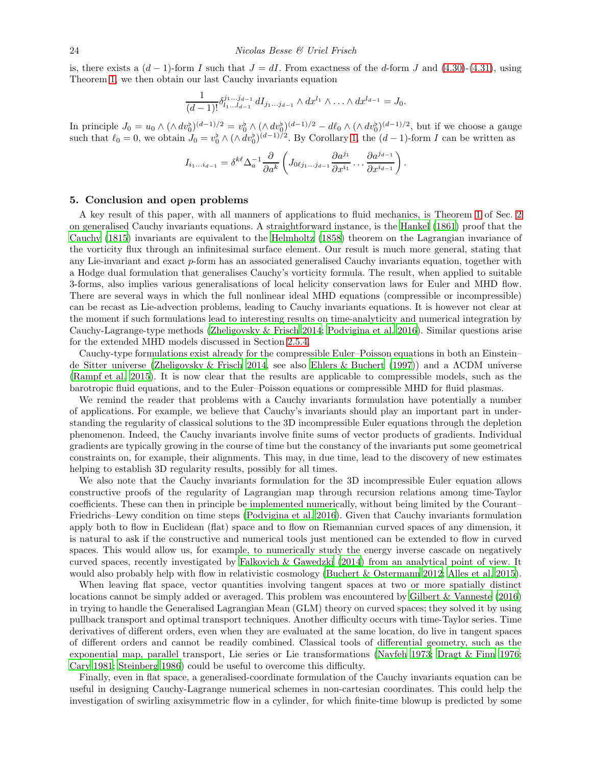is, there exists a  $(d-1)$ -form I such that  $J = dI$ . From exactness of the d-form J and [\(4.30\)](#page-22-5)-[\(4.31\)](#page-22-6), using Theorem [1,](#page-5-0) we then obtain our last Cauchy invariants equation

$$
\frac{1}{(d-1)!} \delta_{l_1...l_{d-1}}^{j_1...j_{d-1}} dI_{j_1...j_{d-1}} \wedge dx^{l_1} \wedge ... \wedge dx^{l_{d-1}} = J_0.
$$

In principle  $J_0 = u_0 \wedge (\wedge dv_0^{\flat})^{(d-1)/2} = v_0^{\flat} \wedge (\wedge dv_0^{\flat})^{(d-1)/2} - d\ell_0 \wedge (\wedge dv_0^{\flat})^{(d-1)/2}$ , but if we choose a gauge such that  $\ell_0 = 0$ , we obtain  $J_0 = v_0^{\flat} \wedge (\wedge dv_0^{\flat})^{(d-1)/2}$ . By Corollary [1,](#page-9-1) the  $(d-1)$ -form I can be written as

$$
I_{i_1...i_{d-1}}=\delta^{k\ell}\Delta_a^{-1}\frac{\partial}{\partial a^k}\left(J_{0\ell j_1...j_{d-1}}\frac{\partial a^{j_1}}{\partial x^{i_1}}\ldots\frac{\partial a^{j_{d-1}}}{\partial x^{i_{d-1}}}\right)
$$

.

# <span id="page-23-0"></span>5. Conclusion and open problems

A key result of this paper, with all manners of applications to fluid mechanics, is Theorem [1](#page-5-0) of Sec. [2](#page-1-0) on generalised Cauchy invariants equations. A straightforward instance, is the [Hankel \(1861\)](#page-47-19) proof that the [Cauchy \(1815\)](#page-47-2) invariants are equivalent to the [Helmholtz \(1858\)](#page-48-11) theorem on the Lagrangian invariance of the vorticity flux through an infinitesimal surface element. Our result is much more general, stating that any Lie-invariant and exact p-form has an associated generalised Cauchy invariants equation, together with a Hodge dual formulation that generalises Cauchy's vorticity formula. The result, when applied to suitable 3-forms, also implies various generalisations of local helicity conservation laws for Euler and MHD flow. There are several ways in which the full nonlinear ideal MHD equations (compressible or incompressible) can be recast as Lie-advection problems, leading to Cauchy invariants equations. It is however not clear at the moment if such formulations lead to interesting results on time-analyticity and numerical integration by Cauchy-Lagrange-type methods [\(Zheligovsky & Frisch 2014;](#page-49-3) [Podvigina et al. 2016\)](#page-48-0). Similar questions arise for the extended MHD models discussed in Section [2.5.4.](#page-12-0)

Cauchy-type formulations exist already for the compressible Euler–Poisson equations in both an Einstein– de Sitter universe [\(Zheligovsky & Frisch 2014,](#page-49-3) see also [Ehlers & Buchert \(1997](#page-47-22))) and a ΛCDM universe [\(Rampf et al. 2015](#page-48-3)). It is now clear that the results are applicable to compressible models, such as the barotropic fluid equations, and to the Euler–Poisson equations or compressible MHD for fluid plasmas.

We remind the reader that problems with a Cauchy invariants formulation have potentially a number of applications. For example, we believe that Cauchy's invariants should play an important part in understanding the regularity of classical solutions to the 3D incompressible Euler equations through the depletion phenomenon. Indeed, the Cauchy invariants involve finite sums of vector products of gradients. Individual gradients are typically growing in the course of time but the constancy of the invariants put some geometrical constraints on, for example, their alignments. This may, in due time, lead to the discovery of new estimates helping to establish 3D regularity results, possibly for all times.

We also note that the Cauchy invariants formulation for the 3D incompressible Euler equation allows constructive proofs of the regularity of Lagrangian map through recursion relations among time-Taylor coefficients. These can then in principle be implemented numerically, without being limited by the Courant– Friedrichs–Lewy condition on time steps [\(Podvigina et al. 2016\)](#page-48-0). Given that Cauchy invariants formulation apply both to flow in Euclidean (flat) space and to flow on Riemannian curved spaces of any dimension, it is natural to ask if the constructive and numerical tools just mentioned can be extended to flow in curved spaces. This would allow us, for example, to numerically study the energy inverse cascade on negatively curved spaces, recently investigated by [Falkovich & Gawedzki \(2014](#page-47-9)) from an analytical point of view. It would also probably help with flow in relativistic cosmology [\(Buchert & Ostermann 2012;](#page-47-23) [Alles et al. 2015](#page-46-3)).

When leaving flat space, vector quantities involving tangent spaces at two or more spatially distinct locations cannot be simply added or averaged. This problem was encountered by [Gilbert & Vanneste \(2016\)](#page-47-11) in trying to handle the Generalised Lagrangian Mean (GLM) theory on curved spaces; they solved it by using pullback transport and optimal transport techniques. Another difficulty occurs with time-Taylor series. Time derivatives of different orders, even when they are evaluated at the same location, do live in tangent spaces of different orders and cannot be readily combined. Classical tools of differential geometry, such as the exponential map, parallel transport, Lie series or Lie transformations [\(Nayfeh 1973;](#page-48-20) [Dragt & Finn 1976](#page-47-24); [Cary 1981;](#page-47-25) [Steinberg 1986\)](#page-49-13) could be useful to overcome this difficulty.

Finally, even in flat space, a generalised-coordinate formulation of the Cauchy invariants equation can be useful in designing Cauchy-Lagrange numerical schemes in non-cartesian coordinates. This could help the investigation of swirling axisymmetric flow in a cylinder, for which finite-time blowup is predicted by some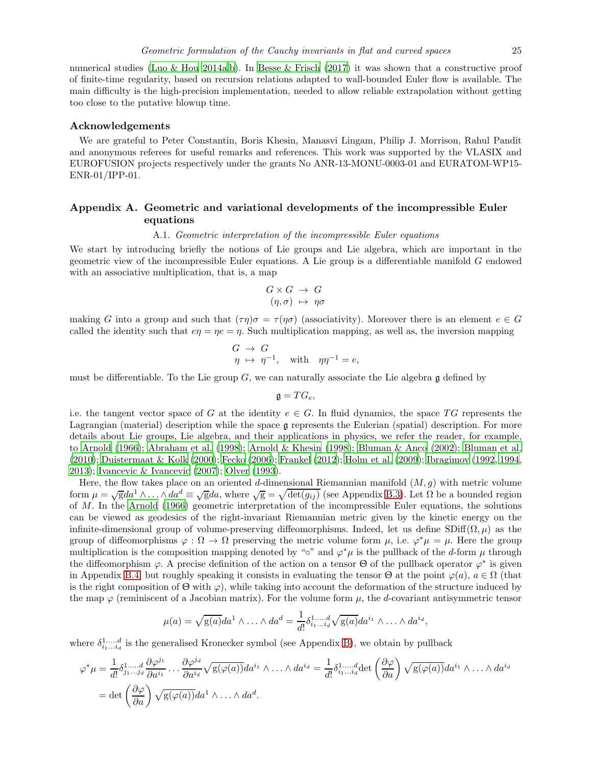numerical studies [\(Luo & Hou 2014a](#page-48-21)[,b\)](#page-48-22). In [Besse & Frisch \(2017](#page-47-5)) it was shown that a constructive proof of finite-time regularity, based on recursion relations adapted to wall-bounded Euler flow is available. The main difficulty is the high-precision implementation, needed to allow reliable extrapolation without getting too close to the putative blowup time.

# Acknowledgements

We are grateful to Peter Constantin, Boris Khesin, Manasvi Lingam, Philip J. Morrison, Rahul Pandit and anonymous referees for useful remarks and references. This work was supported by the VLASIX and EUROFUSION projects respectively under the grants No ANR-13-MONU-0003-01 and EURATOM-WP15- ENR-01/IPP-01.

# <span id="page-24-1"></span><span id="page-24-0"></span>Appendix A. Geometric and variational developments of the incompressible Euler equations

# A.1. Geometric interpretation of the incompressible Euler equations

We start by introducing briefly the notions of Lie groups and Lie algebra, which are important in the geometric view of the incompressible Euler equations. A Lie group is a differentiable manifold G endowed with an associative multiplication, that is, a map

$$
G \times G \rightarrow G
$$

$$
(\eta, \sigma) \mapsto \eta \sigma
$$

making G into a group and such that  $(\tau \eta)\sigma = \tau(\eta \sigma)$  (associativity). Moreover there is an element  $e \in G$ called the identity such that  $e\eta = \eta e = \eta$ . Such multiplication mapping, as well as, the inversion mapping

$$
G \rightarrow G
$$
  

$$
\eta \mapsto \eta^{-1}, \text{ with } \eta \eta^{-1} = e,
$$

must be differentiable. To the Lie group  $G$ , we can naturally associate the Lie algebra  $\mathfrak g$  defined by

$$
\mathfrak{g}=TG_e,
$$

i.e. the tangent vector space of G at the identity  $e \in G$ . In fluid dynamics, the space TG represents the Lagrangian (material) description while the space g represents the Eulerian (spatial) description. For more details about Lie groups, Lie algebra, and their applications in physics, we refer the reader, for example, to [Arnold \(1966\)](#page-47-1); [Abraham et al. \(1998](#page-46-2)); [Arnold & Khesin \(1998](#page-47-10)); [Bluman & Anco \(2002\)](#page-47-26); [Bluman et al.](#page-47-27) [\(2010\)](#page-47-27); [Duistermaat & Kolk \(2000\)](#page-47-28); [Fecko \(2006](#page-47-29)); [Frankel \(2012\)](#page-47-30); [Holm et al. \(2009](#page-48-23)); [Ibragimov \(1992,](#page-48-24) [1994,](#page-48-25) [2013\)](#page-48-26); [Ivancevic & Ivancevic \(2007\)](#page-48-27); [Olver \(1993\)](#page-48-28).

Here, the flow takes place on an oriented d-dimensional Riemannian manifold  $(M, g)$  with metric volume form  $\mu = \sqrt{g}da^1 \wedge \ldots \wedge da^d \equiv \sqrt{g}da$ , where  $\sqrt{g} = \sqrt{\det(g_{ij})}$  (see Appendix [B.3\)](#page-35-1). Let  $\Omega$  be a bounded region of M. In the [Arnold \(1966\)](#page-47-1) geometric interpretation of the incompressible Euler equations, the solutions can be viewed as geodesics of the right-invariant Riemannian metric given by the kinetic energy on the infinite-dimensional group of volume-preserving diffeomorphisms. Indeed, let us define SDiff $(\Omega, \mu)$  as the group of diffeomorphisms  $\varphi : \Omega \to \Omega$  preserving the metric volume form  $\mu$ , i.e.  $\varphi^* \mu = \mu$ . Here the group multiplication is the composition mapping denoted by "∘" and  $\varphi^*\mu$  is the pullback of the d-form  $\mu$  through the diffeomorphism  $\varphi$ . A precise definition of the action on a tensor  $\Theta$  of the pullback operator  $\varphi^*$  is given in Appendix [B.4,](#page-35-0) but roughly speaking it consists in evaluating the tensor  $\Theta$  at the point  $\varphi(a)$ ,  $a \in \Omega$  (that is the right composition of  $\Theta$  with  $\varphi$ ), while taking into account the deformation of the structure induced by the map  $\varphi$  (reminiscent of a Jacobian matrix). For the volume form  $\mu$ , the d-covariant antisymmetric tensor

$$
\mu(a) = \sqrt{g(a)}da^1 \wedge \ldots \wedge da^d = \frac{1}{d!} \delta^{1 \ldots d}_{i_1 \ldots i_d} \sqrt{g(a)}da^{i_1} \wedge \ldots \wedge da^{i_d},
$$

where  $\delta^{1,...,d}_{i_1...i_d}$  is the generalised Kronecker symbol (see Appendix [B\)](#page-33-0), we obtain by pullback

$$
\varphi^* \mu = \frac{1}{d!} \delta_{j_1...j_d}^{1,...,d} \frac{\partial \varphi^{j_1}}{\partial a^{i_1}} \dots \frac{\partial \varphi^{j_d}}{\partial a^{i_d}} \sqrt{\mathbf{g}(\varphi(a))} da^{i_1} \wedge \dots \wedge da^{i_d} = \frac{1}{d!} \delta_{i_1...i_d}^{1,...,d} \det \left(\frac{\partial \varphi}{\partial a}\right) \sqrt{\mathbf{g}(\varphi(a))} da^{i_1} \wedge \dots \wedge da^{i_d}
$$

$$
= \det \left(\frac{\partial \varphi}{\partial a}\right) \sqrt{\mathbf{g}(\varphi(a))} da^1 \wedge \dots \wedge da^d.
$$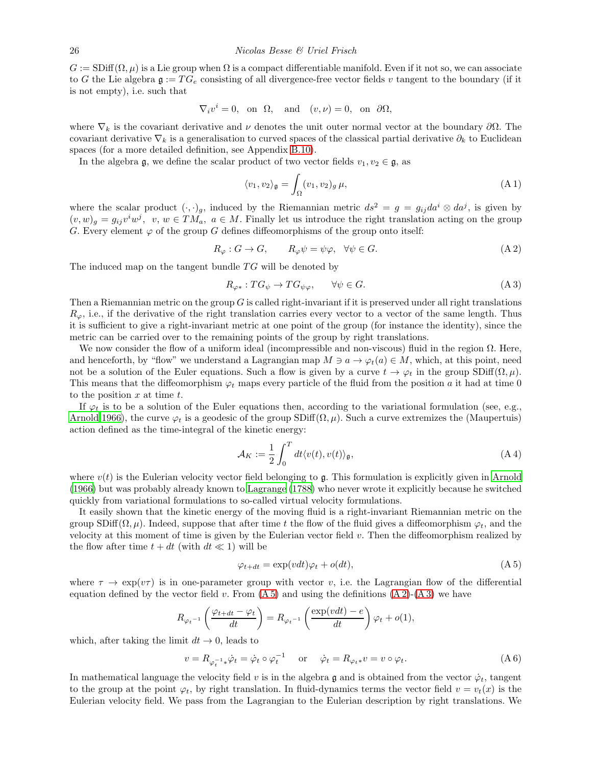$G := \text{SDiff}(\Omega, \mu)$  is a Lie group when  $\Omega$  is a compact differentiable manifold. Even if it not so, we can associate to G the Lie algebra  $\mathfrak{g} := TG_e$  consisting of all divergence-free vector fields v tangent to the boundary (if it is not empty), i.e. such that

$$
\nabla_i v^i = 0, \text{ on } \Omega, \text{ and } (v, \nu) = 0, \text{ on } \partial \Omega,
$$

where  $\nabla_k$  is the covariant derivative and  $\nu$  denotes the unit outer normal vector at the boundary  $\partial\Omega$ . The covariant derivative  $\nabla_k$  is a generalisation to curved spaces of the classical partial derivative  $\partial_k$  to Euclidean spaces (for a more detailed definition, see Appendix [B.10\)](#page-41-0).

In the algebra g, we define the scalar product of two vector fields  $v_1, v_2 \in \mathfrak{g}$ , as

<span id="page-25-3"></span>
$$
\langle v_1, v_2 \rangle_{\mathfrak{g}} = \int_{\Omega} (v_1, v_2)_{g} \,\mu,\tag{A.1}
$$

where the scalar product  $(\cdot, \cdot)_g$ , induced by the Riemannian metric  $ds^2 = g = g_{ij} da^i \otimes da^j$ , is given by  $(v, w)_g = g_{ij}v^iw^j$ ,  $v, w \in TM_a$ ,  $a \in M$ . Finally let us introduce the right translation acting on the group G. Every element  $\varphi$  of the group G defines diffeomorphisms of the group onto itself:

<span id="page-25-1"></span>
$$
R_{\varphi} : G \to G, \qquad R_{\varphi} \psi = \psi \varphi, \quad \forall \psi \in G. \tag{A.2}
$$

The induced map on the tangent bundle  $TG$  will be denoted by

<span id="page-25-2"></span>
$$
R_{\varphi*}: TG_{\psi} \to TG_{\psi\varphi}, \qquad \forall \psi \in G. \tag{A 3}
$$

Then a Riemannian metric on the group  $G$  is called right-invariant if it is preserved under all right translations  $R_{\varphi}$ , i.e., if the derivative of the right translation carries every vector to a vector of the same length. Thus it is sufficient to give a right-invariant metric at one point of the group (for instance the identity), since the metric can be carried over to the remaining points of the group by right translations.

We now consider the flow of a uniform ideal (incompressible and non-viscous) fluid in the region Ω. Here, and henceforth, by "flow" we understand a Lagrangian map  $M \ni a \to \varphi_t(a) \in M$ , which, at this point, need not be a solution of the Euler equations. Such a flow is given by a curve  $t \to \varphi_t$  in the group SDiff( $\Omega, \mu$ ). This means that the diffeomorphism  $\varphi_t$  maps every particle of the fluid from the position a it had at time 0 to the position  $x$  at time  $t$ .

If  $\varphi_t$  is to be a solution of the Euler equations then, according to the variational formulation (see, e.g., [Arnold 1966](#page-47-1)), the curve  $\varphi_t$  is a geodesic of the group SDiff( $\Omega, \mu$ ). Such a curve extremizes the (Maupertuis) action defined as the time-integral of the kinetic energy:

<span id="page-25-5"></span>
$$
\mathcal{A}_K := \frac{1}{2} \int_0^T dt \langle v(t), v(t) \rangle_{\mathfrak{g}}, \tag{A4}
$$

where  $v(t)$  is the Eulerian velocity vector field belonging to g. This formulation is explicitly given in [Arnold](#page-47-1) [\(1966\)](#page-47-1) but was probably already known to [Lagrange \(1788\)](#page-48-29) who never wrote it explicitly because he switched quickly from variational formulations to so-called virtual velocity formulations.

It easily shown that the kinetic energy of the moving fluid is a right-invariant Riemannian metric on the group  $\text{SDiff}(\Omega, \mu)$ . Indeed, suppose that after time t the flow of the fluid gives a diffeomorphism  $\varphi_t$ , and the velocity at this moment of time is given by the Eulerian vector field v. Then the diffeomorphism realized by the flow after time  $t + dt$  (with  $dt \ll 1$ ) will be

<span id="page-25-0"></span>
$$
\varphi_{t+dt} = \exp(vdt)\varphi_t + o(dt),\tag{A.5}
$$

where  $\tau \to \exp(v\tau)$  is in one-parameter group with vector v, i.e. the Lagrangian flow of the differential equation defined by the vector field v. From  $(A 5)$  and using the definitions  $(A 2)-(A 3)$  $(A 2)-(A 3)$  we have

$$
R_{\varphi_t} \circ \iota_t \left( \frac{\varphi_{t+dt} - \varphi_t}{dt} \right) = R_{\varphi_t} \circ \iota_t \left( \frac{\exp(vdt) - e}{dt} \right) \varphi_t + o(1),
$$

which, after taking the limit  $dt \to 0$ , leads to

<span id="page-25-4"></span>
$$
v = R_{\varphi_t^{-1} *} \dot{\varphi}_t = \dot{\varphi}_t \circ \varphi_t^{-1} \quad \text{or} \quad \dot{\varphi}_t = R_{\varphi_t *} v = v \circ \varphi_t.
$$
 (A 6)

In mathematical language the velocity field v is in the algebra g and is obtained from the vector  $\dot{\varphi}_t$ , tangent to the group at the point  $\varphi_t$ , by right translation. In fluid-dynamics terms the vector field  $v = v_t(x)$  is the Eulerian velocity field. We pass from the Lagrangian to the Eulerian description by right translations. We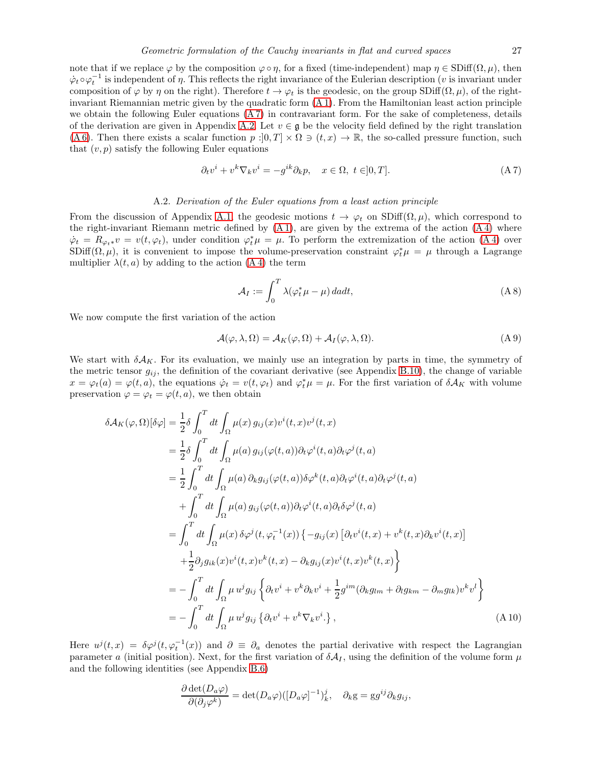note that if we replace  $\varphi$  by the composition  $\varphi \circ \eta$ , for a fixed (time-independent) map  $\eta \in SDiff(\Omega, \mu)$ , then  $\dot{\varphi}_t \circ \varphi_t^{-1}$  is independent of  $\eta$ . This reflects the right invariance of the Eulerian description (*v* is invariant under composition of  $\varphi$  by  $\eta$  on the right). Therefore  $t \to \varphi_t$  is the geodesic, on the group SDiff( $\Omega, \mu$ ), of the rightinvariant Riemannian metric given by the quadratic form [\(A 1\)](#page-25-3). From the Hamiltonian least action principle we obtain the following Euler equations [\(A 7\)](#page-26-1) in contravariant form. For the sake of completeness, details of the derivation are given in Appendix [A.2.](#page-26-0) Let  $v \in \mathfrak{g}$  be the velocity field defined by the right translation [\(A 6\)](#page-25-4). Then there exists a scalar function  $p:]0,T]\times\Omega\ni(t,x)\to\mathbb{R}$ , the so-called pressure function, such that  $(v, p)$  satisfy the following Euler equations

<span id="page-26-1"></span>
$$
\partial_t v^i + v^k \nabla_k v^i = -g^{ik} \partial_k p, \quad x \in \Omega, \ t \in ]0, T]. \tag{A 7}
$$

# A.2. Derivation of the Euler equations from a least action principle

<span id="page-26-0"></span>From the discussion of Appendix [A.1,](#page-24-1) the geodesic motions  $t \to \varphi_t$  on  $SDiff(\Omega, \mu)$ , which correspond to the right-invariant Riemann metric defined by [\(A 1\)](#page-25-3), are given by the extrema of the action [\(A 4\)](#page-25-5) where  $\dot{\varphi}_t = R_{\varphi_t * v} = v(t, \varphi_t)$ , under condition  $\varphi_t^* \mu = \mu$ . To perform the extremization of the action (A4) over SDiff( $\Omega, \mu$ ), it is convenient to impose the volume-preservation constraint  $\varphi_t^* \mu = \mu$  through a Lagrange multiplier  $\lambda(t, a)$  by adding to the action [\(A 4\)](#page-25-5) the term

$$
\mathcal{A}_I := \int_0^T \lambda(\varphi_t^* \mu - \mu) \, da dt,\tag{A 8}
$$

We now compute the first variation of the action

<span id="page-26-2"></span>
$$
\mathcal{A}(\varphi,\lambda,\Omega) = \mathcal{A}_K(\varphi,\Omega) + \mathcal{A}_I(\varphi,\lambda,\Omega). \tag{A 9}
$$

We start with  $\delta A_K$ . For its evaluation, we mainly use an integration by parts in time, the symmetry of the metric tensor  $g_{ij}$ , the definition of the covariant derivative (see Appendix [B.10\)](#page-41-0), the change of variable  $x = \varphi_t(a) = \varphi(t, a)$ , the equations  $\dot{\varphi}_t = v(t, \varphi_t)$  and  $\varphi_t^* \mu = \mu$ . For the first variation of  $\delta A_K$  with volume preservation  $\varphi = \varphi_t = \varphi(t, a)$ , we then obtain

<span id="page-26-3"></span>
$$
\delta \mathcal{A}_{K}(\varphi,\Omega)[\delta \varphi] = \frac{1}{2}\delta \int_{0}^{T} dt \int_{\Omega} \mu(x) g_{ij}(x)v^{i}(t,x)v^{j}(t,x)
$$
  
\n
$$
= \frac{1}{2}\delta \int_{0}^{T} dt \int_{\Omega} \mu(a) g_{ij}(\varphi(t,a))\partial_{t}\varphi^{i}(t,a)\partial_{t}\varphi^{j}(t,a)
$$
  
\n
$$
= \frac{1}{2}\int_{0}^{T} dt \int_{\Omega} \mu(a) \partial_{k}g_{ij}(\varphi(t,a))\delta \varphi^{k}(t,a)\partial_{t}\varphi^{i}(t,a)\partial_{t}\varphi^{j}(t,a)
$$
  
\n
$$
+ \int_{0}^{T} dt \int_{\Omega} \mu(a) g_{ij}(\varphi(t,a))\partial_{t}\varphi^{i}(t,a)\partial_{t}\delta \varphi^{j}(t,a)
$$
  
\n
$$
= \int_{0}^{T} dt \int_{\Omega} \mu(x) \delta \varphi^{j}(t, \varphi_{t}^{-1}(x)) \{-g_{ij}(x) [\partial_{t}v^{i}(t,x) + v^{k}(t,x)\partial_{k}v^{i}(t,x)]
$$
  
\n
$$
+ \frac{1}{2}\partial_{j}g_{ik}(x)v^{i}(t,x)v^{k}(t,x) - \partial_{k}g_{ij}(x)v^{i}(t,x)v^{k}(t,x)\}
$$
  
\n
$$
= -\int_{0}^{T} dt \int_{\Omega} \mu u^{j}g_{ij} \{\partial_{t}v^{i} + v^{k}\partial_{k}v^{i} + \frac{1}{2}g^{im}(\partial_{k}g_{lm} + \partial_{l}g_{km} - \partial_{m}g_{lk})v^{k}v^{l}\}
$$
  
\n
$$
= -\int_{0}^{T} dt \int_{\Omega} \mu u^{j}g_{ij} \{\partial_{t}v^{i} + v^{k}\nabla_{k}v^{i}\}, \qquad (A10)
$$

Here  $u^j(t,x) = \delta \varphi^j(t, \varphi_t^{-1}(x))$  and  $\partial \equiv \partial_a$  denotes the partial derivative with respect the Lagrangian parameter a (initial position). Next, for the first variation of  $\delta A_I$ , using the definition of the volume form  $\mu$ and the following identities (see Appendix [B.6\)](#page-37-0)

$$
\frac{\partial \det(D_a \varphi)}{\partial(\partial_j \varphi^k)} = \det(D_a \varphi) ([D_a \varphi]^{-1})_k^j, \quad \partial_k g = g g^{ij} \partial_k g_{ij},
$$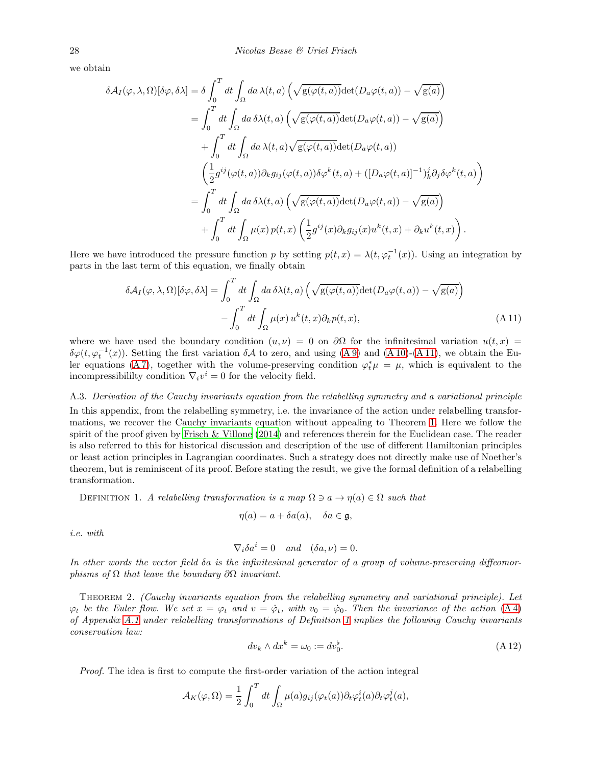we obtain

$$
\delta \mathcal{A}_I(\varphi, \lambda, \Omega)[\delta \varphi, \delta \lambda] = \delta \int_0^T dt \int_{\Omega} da \,\lambda(t, a) \left( \sqrt{g(\varphi(t, a))} \det(D_a \varphi(t, a)) - \sqrt{g(a)} \right)
$$
  
\n
$$
= \int_0^T dt \int_{\Omega} da \,\delta \lambda(t, a) \left( \sqrt{g(\varphi(t, a))} \det(D_a \varphi(t, a)) - \sqrt{g(a)} \right)
$$
  
\n
$$
+ \int_0^T dt \int_{\Omega} da \,\lambda(t, a) \sqrt{g(\varphi(t, a))} \det(D_a \varphi(t, a))
$$
  
\n
$$
\left( \frac{1}{2} g^{ij} (\varphi(t, a)) \partial_k g_{ij} (\varphi(t, a)) \delta \varphi^k(t, a) + ([D_a \varphi(t, a)]^{-1})_k^j \partial_j \delta \varphi^k(t, a) \right)
$$
  
\n
$$
= \int_0^T dt \int_{\Omega} da \,\delta \lambda(t, a) \left( \sqrt{g(\varphi(t, a))} \det(D_a \varphi(t, a)) - \sqrt{g(a)} \right)
$$
  
\n
$$
+ \int_0^T dt \int_{\Omega} \mu(x) p(t, x) \left( \frac{1}{2} g^{ij}(x) \partial_k g_{ij}(x) u^k(t, x) + \partial_k u^k(t, x) \right).
$$

Here we have introduced the pressure function p by setting  $p(t,x) = \lambda(t, \varphi_t^{-1}(x))$ . Using an integration by parts in the last term of this equation, we finally obtain

<span id="page-27-1"></span>
$$
\delta \mathcal{A}_I(\varphi, \lambda, \Omega)[\delta \varphi, \delta \lambda] = \int_0^T dt \int_{\Omega} da \, \delta \lambda(t, a) \left( \sqrt{g(\varphi(t, a))} \det(D_a \varphi(t, a)) - \sqrt{g(a)} \right) - \int_0^T dt \int_{\Omega} \mu(x) u^k(t, x) \partial_k p(t, x), \tag{A.11}
$$

where we have used the boundary condition  $(u, \nu) = 0$  on  $\partial\Omega$  for the infinitesimal variation  $u(t, x) =$ δ $\phi(t, \varphi_t^{-1}(x))$ . Setting the first variation δA to zero, and using [\(A 9\)](#page-26-2) and [\(A 10\)](#page-26-3)-[\(A 11\)](#page-27-1), we obtain the Euler equations (A7), together with the volume-preserving condition  $\varphi_t^* \mu = \mu$ , which is equivalent to the incompressibililty condition  $\nabla_i v^i = 0$  for the velocity field.

#### <span id="page-27-0"></span>A.3. Derivation of the Cauchy invariants equation from the relabelling symmetry and a variational principle

In this appendix, from the relabelling symmetry, i.e. the invariance of the action under relabelling transformations, we recover the Cauchy invariants equation without appealing to Theorem [1.](#page-5-0) Here we follow the spirit of the proof given by [Frisch & Villone \(2014\)](#page-47-3) and references therein for the Euclidean case. The reader is also referred to this for historical discussion and description of the use of different Hamiltonian principles or least action principles in Lagrangian coordinates. Such a strategy does not directly make use of Noether's theorem, but is reminiscent of its proof. Before stating the result, we give the formal definition of a relabelling transformation.

<span id="page-27-2"></span>DEFINITION 1. A relabelling transformation is a map  $\Omega \ni a \to \eta(a) \in \Omega$  such that

$$
\eta(a) = a + \delta a(a), \quad \delta a \in \mathfrak{g},
$$

i.e. with

$$
\nabla_i \delta a^i = 0 \quad and \quad (\delta a, \nu) = 0.
$$

In other words the vector field δa is the infinitesimal generator of a group of volume-preserving diffeomorphisms of  $\Omega$  that leave the boundary  $\partial\Omega$  invariant.

Theorem 2. (Cauchy invariants equation from the relabelling symmetry and variational principle). Let  $\varphi_t$  be the Euler flow. We set  $x = \varphi_t$  and  $v = \varphi_t$ , with  $v_0 = \varphi_0$ . Then the invariance of the action [\(A 4\)](#page-25-5) of Appendix [A.1](#page-24-1) under relabelling transformations of Definition [1](#page-27-2) implies the following Cauchy invariants conservation law:

$$
dv_k \wedge dx^k = \omega_0 := dv_0^{\flat}.
$$
\n(A 12)

Proof. The idea is first to compute the first-order variation of the action integral

$$
\mathcal{A}_K(\varphi,\Omega) = \frac{1}{2} \int_0^T dt \int_{\Omega} \mu(a) g_{ij}(\varphi_t(a)) \partial_t \varphi_t^i(a) \partial_t \varphi_t^j(a),
$$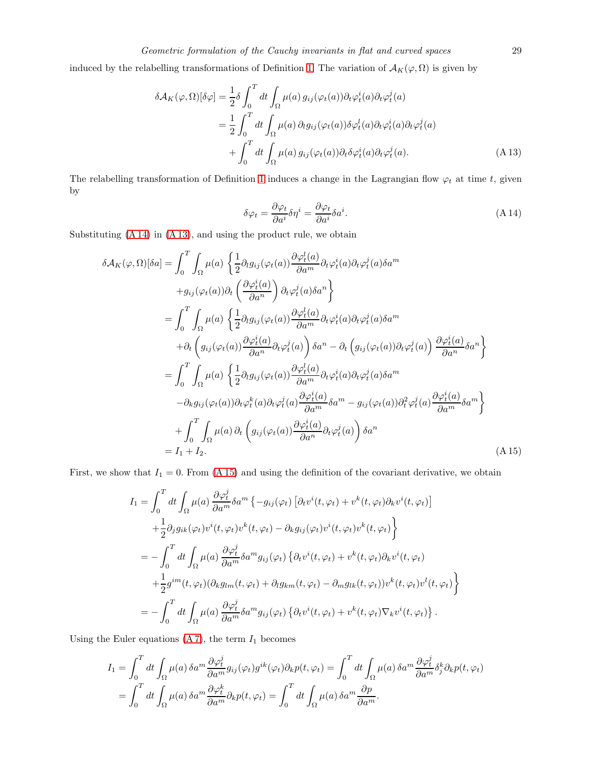induced by the relabelling transformations of Definition [1.](#page-27-2) The variation of  $A_K(\varphi, \Omega)$  is given by

<span id="page-28-1"></span>
$$
\delta \mathcal{A}_{K}(\varphi,\Omega)[\delta \varphi] = \frac{1}{2}\delta \int_{0}^{T} dt \int_{\Omega} \mu(a) g_{ij}(\varphi_{t}(a)) \partial_{t} \varphi_{t}^{i}(a) \partial_{t} \varphi_{t}^{j}(a)
$$
  

$$
= \frac{1}{2} \int_{0}^{T} dt \int_{\Omega} \mu(a) \partial_{t} g_{ij}(\varphi_{t}(a)) \delta \varphi_{t}^{i}(a) \partial_{t} \varphi_{t}^{i}(a) \partial_{t} \varphi_{t}^{j}(a)
$$
  

$$
+ \int_{0}^{T} dt \int_{\Omega} \mu(a) g_{ij}(\varphi_{t}(a)) \partial_{t} \delta \varphi_{t}^{i}(a) \partial_{t} \varphi_{t}^{j}(a). \tag{A.13}
$$

The relabelling transformation of Definition [1](#page-27-2) induces a change in the Lagrangian flow  $\varphi_t$  at time t, given by

<span id="page-28-0"></span>
$$
\delta\varphi_t = \frac{\partial\varphi_t}{\partial a^i} \delta\eta^i = \frac{\partial\varphi_t}{\partial a^i} \delta a^i.
$$
\n(A 14)

Substituting [\(A 14\)](#page-28-0) in [\(A 13\)](#page-28-1), and using the product rule, we obtain

<span id="page-28-2"></span>
$$
\delta \mathcal{A}_{K}(\varphi,\Omega)[\delta a] = \int_{0}^{T} \int_{\Omega} \mu(a) \left\{ \frac{1}{2} \partial_{l} g_{ij}(\varphi_{t}(a)) \frac{\partial \varphi_{t}^{i}(a)}{\partial a^{m}} \partial_{t} \varphi_{t}^{i}(a) \partial_{t} \varphi_{t}^{j}(a) \delta a^{m} \right\}
$$
  
\n
$$
+g_{ij}(\varphi_{t}(a)) \partial_{t} \left( \frac{\partial \varphi_{t}^{i}(a)}{\partial a^{n}} \right) \partial_{t} \varphi_{t}^{j}(a) \delta a^{n} \right\}
$$
  
\n
$$
= \int_{0}^{T} \int_{\Omega} \mu(a) \left\{ \frac{1}{2} \partial_{l} g_{ij}(\varphi_{t}(a)) \frac{\partial \varphi_{t}^{i}(a)}{\partial a^{m}} \partial_{t} \varphi_{t}^{i}(a) \partial_{t} \varphi_{t}^{j}(a) \delta a^{m} \right\}
$$
  
\n
$$
+ \partial_{t} \left( g_{ij}(\varphi_{t}(a)) \frac{\partial \varphi_{t}^{i}(a)}{\partial a^{n}} \partial_{t} \varphi_{t}^{j}(a) \right) \delta a^{n} - \partial_{t} \left( g_{ij}(\varphi_{t}(a)) \partial_{t} \varphi_{t}^{j}(a) \right) \frac{\partial \varphi_{t}^{i}(a)}{\partial a^{n}} \delta a^{n} \right\}
$$
  
\n
$$
= \int_{0}^{T} \int_{\Omega} \mu(a) \left\{ \frac{1}{2} \partial_{l} g_{ij}(\varphi_{t}(a)) \frac{\partial \varphi_{t}^{i}(a)}{\partial a^{m}} \partial_{t} \varphi_{t}^{i}(a) \partial_{t} \varphi_{t}^{j}(a) \delta a^{m} \right\}
$$
  
\n
$$
- \partial_{k} g_{ij}(\varphi_{t}(a)) \partial_{t} \varphi_{t}^{k}(a) \partial_{t} \varphi_{t}^{j}(a) \frac{\partial \varphi_{t}^{i}(a)}{\partial a^{m}} \delta a^{m} - g_{ij}(\varphi_{t}(a)) \partial_{t}^{2} \varphi_{t}^{j}(a) \frac{\partial \varphi_{t}^{i}(a)}{\partial a^{m}} \delta a^{m} \right\}
$$
  
\n<

First, we show that  $I_1 = 0$ . From [\(A 15\)](#page-28-2) and using the definition of the covariant derivative, we obtain

$$
I_{1} = \int_{0}^{T} dt \int_{\Omega} \mu(a) \frac{\partial \varphi_{t}^{j}}{\partial a^{m}} \delta a^{m} \left\{ -g_{ij}(\varphi_{t}) \left[ \partial_{t} v^{i}(t, \varphi_{t}) + v^{k}(t, \varphi_{t}) \partial_{k} v^{i}(t, \varphi_{t}) \right] \right.+ \frac{1}{2} \partial_{j} g_{ik}(\varphi_{t}) v^{i}(t, \varphi_{t}) v^{k}(t, \varphi_{t}) - \partial_{k} g_{ij}(\varphi_{t}) v^{i}(t, \varphi_{t}) v^{k}(t, \varphi_{t}) \right\}= -\int_{0}^{T} dt \int_{\Omega} \mu(a) \frac{\partial \varphi_{t}^{j}}{\partial a^{m}} \delta a^{m} g_{ij}(\varphi_{t}) \left\{ \partial_{t} v^{i}(t, \varphi_{t}) + v^{k}(t, \varphi_{t}) \partial_{k} v^{i}(t, \varphi_{t}) \right.+ \frac{1}{2} g^{im}(t, \varphi_{t}) (\partial_{k} g_{lm}(t, \varphi_{t}) + \partial_{l} g_{km}(t, \varphi_{t}) - \partial_{m} g_{lk}(t, \varphi_{t})) v^{k}(t, \varphi_{t}) v^{l}(t, \varphi_{t}) \right\}= -\int_{0}^{T} dt \int_{\Omega} \mu(a) \frac{\partial \varphi_{t}^{j}}{\partial a^{m}} \delta a^{m} g_{ij}(\varphi_{t}) \left\{ \partial_{t} v^{i}(t, \varphi_{t}) + v^{k}(t, \varphi_{t}) \nabla_{k} v^{i}(t, \varphi_{t}) \right\}.
$$

Using the Euler equations [\(A 7\)](#page-26-1), the term  ${\cal I}_1$  becomes

$$
I_1 = \int_0^T dt \int_{\Omega} \mu(a) \, \delta a^m \frac{\partial \varphi_t^j}{\partial a^m} g_{ij}(\varphi_t) g^{ik}(\varphi_t) \partial_k p(t, \varphi_t) = \int_0^T dt \int_{\Omega} \mu(a) \, \delta a^m \frac{\partial \varphi_t^j}{\partial a^m} \delta_j^k \partial_k p(t, \varphi_t)
$$
  
= 
$$
\int_0^T dt \int_{\Omega} \mu(a) \, \delta a^m \frac{\partial \varphi_t^k}{\partial a^m} \partial_k p(t, \varphi_t) = \int_0^T dt \int_{\Omega} \mu(a) \, \delta a^m \frac{\partial p}{\partial a^m}.
$$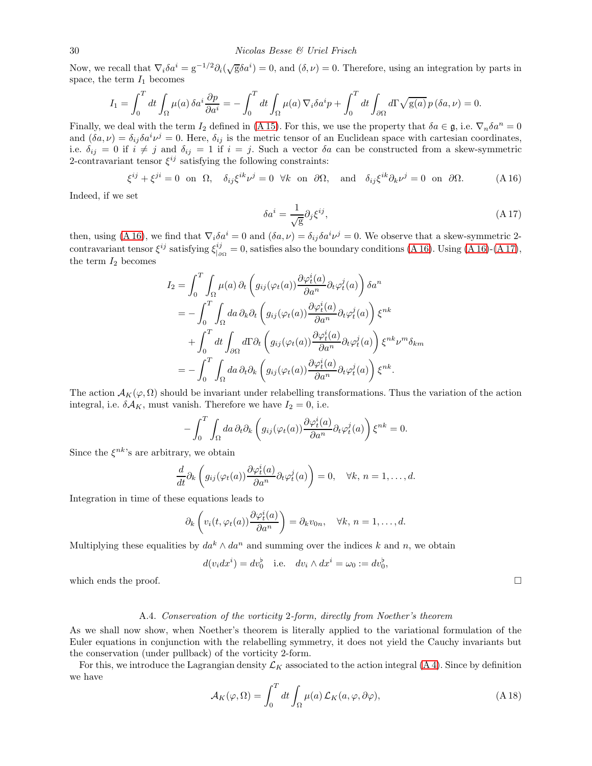Now, we recall that  $\nabla_i \delta a^i = g^{-1/2} \partial_i (\sqrt{g} \delta a^i) = 0$ , and  $(\delta, \nu) = 0$ . Therefore, using an integration by parts in space, the term  $I_1$  becomes

$$
I_1 = \int_0^T dt \int_{\Omega} \mu(a) \, \delta a^i \frac{\partial p}{\partial a^i} = -\int_0^T dt \int_{\Omega} \mu(a) \, \nabla_i \delta a^i p + \int_0^T dt \int_{\partial \Omega} d\Gamma \sqrt{g(a)} \, p \, (\delta a, \nu) = 0.
$$

Finally, we deal with the term I<sub>2</sub> defined in [\(A 15\)](#page-28-2). For this, we use the property that  $\delta a \in \mathfrak{g}$ , i.e.  $\nabla_n \delta a^n = 0$ and  $(\delta a, \nu) = \delta_{ij} \delta a^i \nu^j = 0$ . Here,  $\delta_{ij}$  is the metric tensor of an Euclidean space with cartesian coordinates, i.e.  $\delta_{ij} = 0$  if  $i \neq j$  and  $\delta_{ij} = 1$  if  $i = j$ . Such a vector  $\delta a$  can be constructed from a skew-symmetric 2-contravariant tensor  $\xi^{ij}$  satisfying the following constraints:

<span id="page-29-1"></span>
$$
\xi^{ij} + \xi^{ji} = 0 \text{ on } \Omega, \quad \delta_{ij}\xi^{ik}\nu^j = 0 \quad \forall k \text{ on } \partial\Omega, \quad \text{and} \quad \delta_{ij}\xi^{ik}\partial_k\nu^j = 0 \text{ on } \partial\Omega. \tag{A.16}
$$

Indeed, if we set

<span id="page-29-2"></span>
$$
\delta a^i = \frac{1}{\sqrt{g}} \partial_j \xi^{ij},\tag{A.17}
$$

then, using [\(A 16\)](#page-29-1), we find that  $\nabla_i \delta a^i = 0$  and  $(\delta a, \nu) = \delta_{ij} \delta a^i \nu^j = 0$ . We observe that a skew-symmetric 2contravariant tensor  $\xi^{ij}$  satisfying  $\xi_{i}^{ij}$  $j_{\parallel o\Omega}^{ij} = 0$ , satisfies also the boundary conditions [\(A 16\)](#page-29-1). Using (A 16)-[\(A 17\)](#page-29-2), the term  $I_2$  becomes

$$
I_2 = \int_0^T \int_{\Omega} \mu(a) \, \partial_t \left( g_{ij}(\varphi_t(a)) \frac{\partial \varphi_t^i(a)}{\partial a^n} \partial_t \varphi_t^j(a) \right) \delta a^n
$$
  
\n
$$
= -\int_0^T \int_{\Omega} da \, \partial_k \partial_t \left( g_{ij}(\varphi_t(a)) \frac{\partial \varphi_t^i(a)}{\partial a^n} \partial_t \varphi_t^j(a) \right) \xi^{nk}
$$
  
\n
$$
+ \int_0^T dt \int_{\partial \Omega} d\Gamma \partial_t \left( g_{ij}(\varphi_t(a)) \frac{\partial \varphi_t^i(a)}{\partial a^n} \partial_t \varphi_t^j(a) \right) \xi^{nk} \nu^m \delta_{km}
$$
  
\n
$$
= -\int_0^T \int_{\Omega} da \, \partial_t \partial_k \left( g_{ij}(\varphi_t(a)) \frac{\partial \varphi_t^i(a)}{\partial a^n} \partial_t \varphi_t^j(a) \right) \xi^{nk}.
$$

The action  $\mathcal{A}_K(\varphi,\Omega)$  should be invariant under relabelling transformations. Thus the variation of the action integral, i.e.  $\delta A_K$ , must vanish. Therefore we have  $I_2 = 0$ , i.e.

$$
-\int_0^T \int_{\Omega} da \, \partial_t \partial_k \left( g_{ij}(\varphi_t(a)) \frac{\partial \varphi_t^i(a)}{\partial a^n} \partial_t \varphi_t^j(a) \right) \xi^{nk} = 0.
$$

Since the  $\xi^{nk}$ 's are arbitrary, we obtain

$$
\frac{d}{dt}\partial_k\left(g_{ij}(\varphi_t(a))\frac{\partial\varphi_t^i(a)}{\partial a^n}\partial_t\varphi_t^j(a)\right)=0, \quad \forall k, n=1,\ldots,d.
$$

Integration in time of these equations leads to

$$
\partial_k \left( v_i(t, \varphi_t(a)) \frac{\partial \varphi_t^i(a)}{\partial a^n} \right) = \partial_k v_{0n}, \quad \forall k, n = 1, \dots, d.
$$

Multiplying these equalities by  $da^k \wedge da^n$  and summing over the indices k and n, we obtain

$$
d(v_i dx^i) = dv_0^{\flat}
$$
 i.e.  $dv_i \wedge dx^i = \omega_0 := dv_0^{\flat}$ ,

<span id="page-29-0"></span>which ends the proof.  $\Box$ 

#### A.4. Conservation of the vorticity 2-form, directly from Noether's theorem

As we shall now show, when Noether's theorem is literally applied to the variational formulation of the Euler equations in conjunction with the relabelling symmetry, it does not yield the Cauchy invariants but the conservation (under pullback) of the vorticity 2-form.

For this, we introduce the Lagrangian density  $\mathcal{L}_K$  associated to the action integral [\(A 4\)](#page-25-5). Since by definition we have

<span id="page-29-3"></span>
$$
\mathcal{A}_K(\varphi,\Omega) = \int_0^T dt \int_{\Omega} \mu(a) \mathcal{L}_K(a,\varphi,\partial\varphi), \tag{A.18}
$$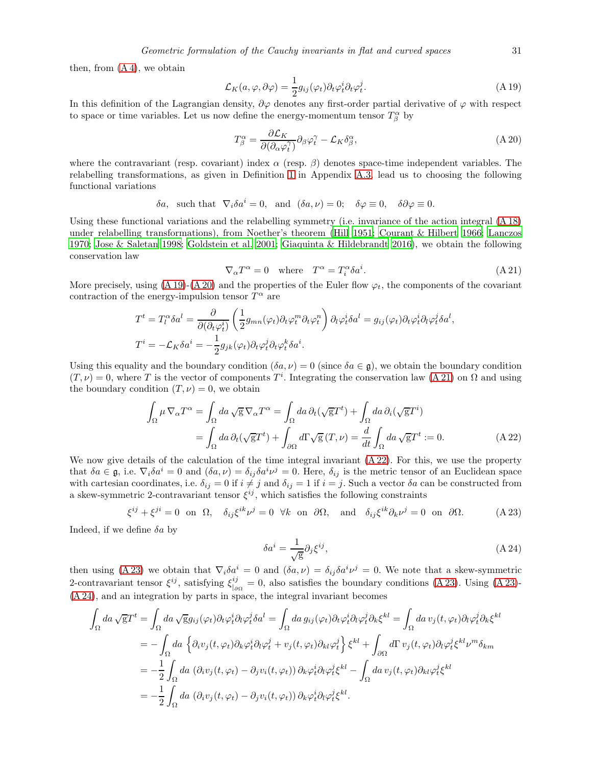then, from  $(A 4)$ , we obtain

<span id="page-30-0"></span>
$$
\mathcal{L}_K(a,\varphi,\partial\varphi) = \frac{1}{2}g_{ij}(\varphi_t)\partial_t\varphi_t^i\partial_t\varphi_t^j.
$$
\n(A 19)

In this definition of the Lagrangian density,  $\partial \varphi$  denotes any first-order partial derivative of  $\varphi$  with respect to space or time variables. Let us now define the energy-momentum tensor  $T^{\alpha}_{\beta}$  by

<span id="page-30-1"></span>
$$
T^{\alpha}_{\beta} = \frac{\partial \mathcal{L}_K}{\partial (\partial_{\alpha} \varphi_t^{\gamma})} \partial_{\beta} \varphi_t^{\gamma} - \mathcal{L}_K \delta^{\alpha}_{\beta}, \tag{A.20}
$$

where the contravariant (resp. covariant) index  $\alpha$  (resp.  $\beta$ ) denotes space-time independent variables. The relabelling transformations, as given in Definition [1](#page-27-2) in Appendix [A.3,](#page-27-0) lead us to choosing the following functional variations

$$
\delta a
$$
, such that  $\nabla_i \delta a^i = 0$ , and  $(\delta a, \nu) = 0$ ;  $\delta \varphi \equiv 0$ ,  $\delta \partial \varphi \equiv 0$ .

Using these functional variations and the relabelling symmetry (i.e. invariance of the action integral [\(A 18\)](#page-29-3) under relabelling transformations), from Noether's theorem [\(Hill 1951](#page-48-30); [Courant & Hilbert 1966;](#page-47-31) [Lanczos](#page-48-31) [1970;](#page-48-31) [Jose & Saletan 1998;](#page-48-32) [Goldstein et al. 2001](#page-47-32); [Giaquinta & Hildebrandt 2016\)](#page-47-33), we obtain the following conservation law

<span id="page-30-2"></span>
$$
\nabla_{\alpha} T^{\alpha} = 0 \quad \text{where} \quad T^{\alpha} = T_i^{\alpha} \delta a^i. \tag{A.21}
$$

More precisely, using  $(A 19)-(A 20)$  $(A 19)-(A 20)$  and the properties of the Euler flow  $\varphi_t$ , the components of the covariant contraction of the energy-impulsion tensor  $T^{\alpha}$  are

$$
T^{t} = T_{l}^{\alpha} \delta a^{l} = \frac{\partial}{\partial(\partial_{t} \varphi_{t}^{i})} \left(\frac{1}{2} g_{mn}(\varphi_{t}) \partial_{t} \varphi_{t}^{m} \partial_{t} \varphi_{t}^{n}\right) \partial_{l} \varphi_{t}^{i} \delta a^{l} = g_{ij}(\varphi_{t}) \partial_{t} \varphi_{t}^{i} \partial_{l} \varphi_{t}^{j} \delta a^{l},
$$
  

$$
T^{i} = -\mathcal{L}_{K} \delta a^{i} = -\frac{1}{2} g_{jk}(\varphi_{t}) \partial_{t} \varphi_{t}^{j} \partial_{t} \varphi_{t}^{k} \delta a^{i}.
$$

Using this equality and the boundary condition  $(\delta a, \nu) = 0$  (since  $\delta a \in \mathfrak{g}$ ), we obtain the boundary condition  $(T, \nu) = 0$ , where T is the vector of components T<sup>i</sup>. Integrating the conservation law [\(A 21\)](#page-30-2) on  $\Omega$  and using the boundary condition  $(T, \nu) = 0$ , we obtain

<span id="page-30-3"></span>
$$
\int_{\Omega} \mu \nabla_{\alpha} T^{\alpha} = \int_{\Omega} da \sqrt{\mathbf{g}} \nabla_{\alpha} T^{\alpha} = \int_{\Omega} da \, \partial_{t} (\sqrt{\mathbf{g}} T^{t}) + \int_{\Omega} da \, \partial_{i} (\sqrt{\mathbf{g}} T^{i})
$$
\n
$$
= \int_{\Omega} da \, \partial_{t} (\sqrt{\mathbf{g}} T^{t}) + \int_{\partial \Omega} d\Gamma \sqrt{\mathbf{g}} (T, \nu) = \frac{d}{dt} \int_{\Omega} da \sqrt{\mathbf{g}} T^{t} := 0. \tag{A 22}
$$

We now give details of the calculation of the time integral invariant  $(A 22)$ . For this, we use the property that  $\delta a \in \mathfrak{g}$ , i.e.  $\nabla_i \delta a^i = 0$  and  $(\delta a, \nu) = \delta_{ij} \delta a^i \nu^j = 0$ . Here,  $\delta_{ij}$  is the metric tensor of an Euclidean space with cartesian coordinates, i.e.  $\delta_{ij} = 0$  if  $i \neq j$  and  $\delta_{ij} = 1$  if  $i = j$ . Such a vector  $\delta a$  can be constructed from a skew-symmetric 2-contravariant tensor  $\xi^{ij}$ , which satisfies the following constraints

<span id="page-30-4"></span>
$$
\xi^{ij} + \xi^{ji} = 0 \text{ on } \Omega, \quad \delta_{ij}\xi^{ik}\nu^j = 0 \quad \forall k \text{ on } \partial\Omega, \quad \text{and} \quad \delta_{ij}\xi^{ik}\partial_k\nu^j = 0 \text{ on } \partial\Omega. \tag{A.23}
$$

Indeed, if we define  $\delta a$  by

<span id="page-30-5"></span>
$$
\delta a^i = \frac{1}{\sqrt{g}} \partial_j \xi^{ij},\tag{A.24}
$$

then using [\(A 23\)](#page-30-4) we obtain that  $\nabla_i \delta a^i = 0$  and  $(\delta a, \nu) = \delta_{ij} \delta a^i \nu^j = 0$ . We note that a skew-symmetric 2-contravariant tensor  $\xi^{ij}$ , satisfying  $\xi_{i}^{ij}$  $\frac{ij}{\log 2} = 0$ , also satisfies the boundary conditions [\(A 23\)](#page-30-4). Using (A 23)-[\(A 24\)](#page-30-5), and an integration by parts in space, the integral invariant becomes

$$
\int_{\Omega} da \sqrt{g}T^{t} = \int_{\Omega} da \sqrt{g}g_{ij}(\varphi_{t})\partial_{t}\varphi_{t}^{i}\partial_{l}\varphi_{t}^{j}\delta a^{l} = \int_{\Omega} da g_{ij}(\varphi_{t})\partial_{t}\varphi_{t}^{i}\partial_{l}\varphi_{t}^{j}\partial_{k}\xi^{kl} = \int_{\Omega} da v_{j}(t, \varphi_{t})\partial_{l}\varphi_{t}^{j}\partial_{k}\xi^{kl}
$$
\n
$$
= -\int_{\Omega} da \left\{\partial_{i}v_{j}(t, \varphi_{t})\partial_{k}\varphi_{t}^{i}\partial_{l}\varphi_{t}^{j} + v_{j}(t, \varphi_{t})\partial_{kl}\varphi_{t}^{j}\right\}\xi^{kl} + \int_{\partial\Omega} d\Gamma v_{j}(t, \varphi_{t})\partial_{l}\varphi_{t}^{j}\xi^{kl}\nu^{m}\delta_{km}
$$
\n
$$
= -\frac{1}{2} \int_{\Omega} da (\partial_{i}v_{j}(t, \varphi_{t}) - \partial_{j}v_{i}(t, \varphi_{t})) \partial_{k}\varphi_{t}^{i}\partial_{l}\varphi_{t}^{j}\xi^{kl} - \int_{\Omega} da v_{j}(t, \varphi_{t})\partial_{kl}\varphi_{t}^{j}\xi^{kl}
$$
\n
$$
= -\frac{1}{2} \int_{\Omega} da (\partial_{i}v_{j}(t, \varphi_{t}) - \partial_{j}v_{i}(t, \varphi_{t})) \partial_{k}\varphi_{t}^{i}\partial_{l}\varphi_{t}^{j}\xi^{kl}.
$$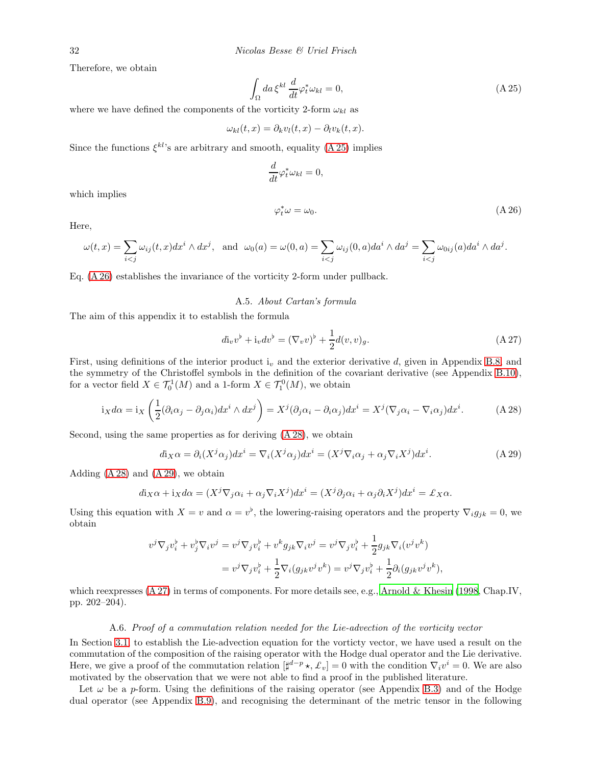Therefore, we obtain

<span id="page-31-2"></span>
$$
\int_{\Omega} da \,\xi^{kl} \frac{d}{dt} \varphi_t^* \omega_{kl} = 0,\tag{A.25}
$$

where we have defined the components of the vorticity 2-form  $\omega_{kl}$  as

$$
\omega_{kl}(t,x) = \partial_k v_l(t,x) - \partial_l v_k(t,x).
$$

Since the functions  $\xi^{kl}$ 's are arbitrary and smooth, equality [\(A 25\)](#page-31-2) implies

$$
\frac{d}{dt}\varphi_t^*\omega_{kl}=0,
$$

which implies

<span id="page-31-3"></span>
$$
\varphi_t^* \omega = \omega_0. \tag{A.26}
$$

Here,

$$
\omega(t,x) = \sum_{i < j} \omega_{ij}(t,x) dx^i \wedge dx^j, \text{ and } \omega_0(a) = \omega(0,a) = \sum_{i < j} \omega_{ij}(0,a) da^i \wedge da^j = \sum_{i < j} \omega_{0ij}(a) da^i \wedge da^j.
$$

<span id="page-31-0"></span>Eq. [\(A 26\)](#page-31-3) establishes the invariance of the vorticity 2-form under pullback.

#### A.5. About Cartan's formula

The aim of this appendix it to establish the formula

<span id="page-31-6"></span>
$$
di_v v^{\flat} + i_v dv^{\flat} = (\nabla_v v)^{\flat} + \frac{1}{2}d(v, v)_g.
$$
\n(A 27)

First, using definitions of the interior product  $i<sub>v</sub>$  and the exterior derivative d, given in Appendix [B.8,](#page-39-0) and the symmetry of the Christoffel symbols in the definition of the covariant derivative (see Appendix [B.10\)](#page-41-0), for a vector field  $X \in \mathcal{T}_0^1(M)$  and a 1-form  $X \in \mathcal{T}_1^0(M)$ , we obtain

<span id="page-31-4"></span>
$$
i_X d\alpha = i_X \left( \frac{1}{2} (\partial_i \alpha_j - \partial_j \alpha_i) dx^i \wedge dx^j \right) = X^j (\partial_j \alpha_i - \partial_i \alpha_j) dx^i = X^j (\nabla_j \alpha_i - \nabla_i \alpha_j) dx^i.
$$
 (A 28)

Second, using the same properties as for deriving [\(A 28\)](#page-31-4), we obtain

<span id="page-31-5"></span>
$$
d\mathbf{i}_X\alpha = \partial_i(X^j\alpha_j)dx^i = \nabla_i(X^j\alpha_j)dx^i = (X^j\nabla_i\alpha_j + \alpha_j\nabla_iX^j)dx^i.
$$
 (A 29)

Adding  $(A 28)$  and  $(A 29)$ , we obtain

$$
d\mathbf{i}_X\alpha + \mathbf{i}_Xd\alpha = (X^j\nabla_j\alpha_i + \alpha_j\nabla_iX^j)dx^i = (X^j\partial_j\alpha_i + \alpha_j\partial_iX^j)dx^i = \mathcal{L}_X\alpha.
$$

Using this equation with  $X = v$  and  $\alpha = v^{\flat}$ , the lowering-raising operators and the property  $\nabla_i g_{jk} = 0$ , we obtain

$$
v^j \nabla_j v_i^{\flat} + v_j^{\flat} \nabla_i v^j = v^j \nabla_j v_i^{\flat} + v^k g_{jk} \nabla_i v^j = v^j \nabla_j v_i^{\flat} + \frac{1}{2} g_{jk} \nabla_i (v^j v^k)
$$
  
= 
$$
v^j \nabla_j v_i^{\flat} + \frac{1}{2} \nabla_i (g_{jk} v^j v^k) = v^j \nabla_j v_i^{\flat} + \frac{1}{2} \partial_i (g_{jk} v^j v^k),
$$

which reexpresses  $(A 27)$  in terms of components. For more details see, e.g., [Arnold & Khesin \(1998,](#page-47-10) Chap.IV, pp. 202–204).

#### A.6. Proof of a commutation relation needed for the Lie-advection of the vorticity vector

<span id="page-31-1"></span>In Section [3.1,](#page-14-1) to establish the Lie-advection equation for the vorticty vector, we have used a result on the commutation of the composition of the raising operator with the Hodge dual operator and the Lie derivative. Here, we give a proof of the commutation relation  $[\sharp^{d-p} \star, \pounds_v] = 0$  with the condition  $\nabla_i v^i = 0$ . We are also motivated by the observation that we were not able to find a proof in the published literature.

Let  $\omega$  be a p-form. Using the definitions of the raising operator (see Appendix [B.3\)](#page-35-1) and of the Hodge dual operator (see Appendix [B.9\)](#page-39-1), and recognising the determinant of the metric tensor in the following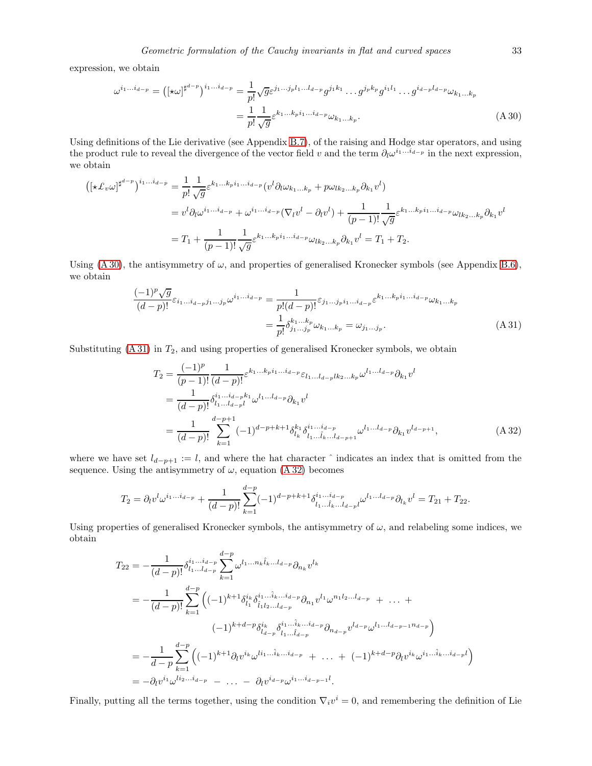expression, we obtain

<span id="page-32-0"></span>
$$
\omega^{i_1...i_{d-p}} = \left( [\star \omega]^{\sharp^{d-p}} \right)^{i_1...i_{d-p}} = \frac{1}{p!} \sqrt{g} \varepsilon^{j_1...j_p l_1...l_{d-p}} g^{j_1 k_1} \dots g^{j_p k_p} g^{i_1 l_1} \dots g^{i_{d-p} l_{d-p}} \omega_{k_1...k_p}
$$

$$
= \frac{1}{p!} \frac{1}{\sqrt{g}} \varepsilon^{k_1...k_p i_1...i_{d-p}} \omega_{k_1...k_p}.
$$
(A 30)

Using definitions of the Lie derivative (see Appendix [B.7\)](#page-38-0), of the raising and Hodge star operators, and using the product rule to reveal the divergence of the vector field v and the term  $\partial_l \omega^{i_1...i_{d-p}}$  in the next expression, we obtain

$$
\begin{split} \left( \left[ \star \mathcal{L}_{v} \omega \right]^{\sharp^{d-p}} \right)^{i_{1}...i_{d-p}} &= \frac{1}{p!} \frac{1}{\sqrt{g}} \varepsilon^{k_{1}...k_{p}i_{1}...i_{d-p}} (v^{l} \partial_{l} \omega_{k_{1}...k_{p}} + p \omega_{lk_{2}...k_{p}} \partial_{k_{1}} v^{l}) \\ &= v^{l} \partial_{l} \omega^{i_{1}...i_{d-p}} + \omega^{i_{1}...i_{d-p}} (\nabla_{l} v^{l} - \partial_{l} v^{l}) + \frac{1}{(p-1)!} \frac{1}{\sqrt{g}} \varepsilon^{k_{1}...k_{p}i_{1}...i_{d-p}} \omega_{lk_{2}...k_{p}} \partial_{k_{1}} v^{l} \\ &= T_{1} + \frac{1}{(p-1)!} \frac{1}{\sqrt{g}} \varepsilon^{k_{1}...k_{p}i_{1}...i_{d-p}} \omega_{lk_{2}...k_{p}} \partial_{k_{1}} v^{l} = T_{1} + T_{2}. \end{split}
$$

Using [\(A 30\)](#page-32-0), the antisymmetry of  $\omega$ , and properties of generalised Kronecker symbols (see Appendix [B.6\)](#page-37-0), we obtain

<span id="page-32-1"></span>
$$
\frac{(-1)^p \sqrt{g}}{(d-p)!} \varepsilon_{i_1...i_{d-p}j_1...j_p} \omega^{i_1...i_{d-p}} = \frac{1}{p!(d-p)!} \varepsilon_{j_1...j_p i_1...i_{d-p}} \varepsilon^{k_1...k_p i_1...i_{d-p}} \omega_{k_1...k_p}
$$

$$
= \frac{1}{p!} \delta_{j_1...j_p}^{k_1...k_p} \omega_{k_1...k_p} = \omega_{j_1...j_p}.
$$
(A 31)

Substituting  $(A 31)$  in  $T_2$ , and using properties of generalised Kronecker symbols, we obtain

<span id="page-32-2"></span>
$$
T_2 = \frac{(-1)^p}{(p-1)!} \frac{1}{(d-p)!} \varepsilon^{k_1...k_p i_1...i_{d-p}} \varepsilon_{l_1...l_{d-p}lk_2...k_p} \omega^{l_1...l_{d-p}} \partial_{k_1} v^l
$$
  
\n
$$
= \frac{1}{(d-p)!} \delta_{l_1...l_{d-p}l}^{i_1...i_{d-p}k_1} \omega^{l_1...l_{d-p}} \partial_{k_1} v^l
$$
  
\n
$$
= \frac{1}{(d-p)!} \sum_{k=1}^{d-p+1} (-1)^{d-p+k+1} \delta_{l_k}^{k_1} \delta_{l_1...l_{k}...l_{d-p+1}}^{i_1...i_{d-p}} \omega^{l_1...l_{d-p}} \partial_{k_1} v^{l_{d-p+1}},
$$
 (A 32)

where we have set  $l_{d-p+1} := l$ , and where the hat character  $\hat{ }$  indicates an index that is omitted from the sequence. Using the antisymmetry of  $\omega$ , equation [\(A 32\)](#page-32-2) becomes

$$
T_2 = \partial_l v^l \omega^{i_1...i_{d-p}} + \frac{1}{(d-p)!} \sum_{k=1}^{d-p} (-1)^{d-p+k+1} \delta_{l_1...l_{k}...l_{d-p}}^{i_1...i_{d-p}} \omega^{l_1...l_{d-p}} \partial_{l_k} v^l = T_{21} + T_{22}.
$$

Using properties of generalised Kronecker symbols, the antisymmetry of  $\omega$ , and relabeling some indices, we obtain

$$
T_{22} = -\frac{1}{(d-p)!} \delta_{l_1...l_{d-p}}^{i_1...i_{d-p}} \sum_{k=1}^{d-p} \omega^{l_1...n_k \hat{l}_k...l_{d-p}} \partial_{n_k} v^{l_k}
$$
  
\n
$$
= -\frac{1}{(d-p)!} \sum_{k=1}^{d-p} \left( (-1)^{k+1} \delta_{l_1}^{i_k} \delta_{l_1 l_2...l_{d-p}}^{i_1...i_k...i_{d-p}} \partial_{n_1} v^{l_1} \omega^{n_1 l_2...l_{d-p}} + ... + (-1)^{k+d-p} \delta_{l_{d-p}}^{i_k} \delta_{l_1...l_{d-p}}^{i_1...i_k...i_{d-p}} \partial_{n_{d-p}} v^{l_{d-p}} \omega^{l_1...l_{d-p-1}n_{d-p}} \right)
$$
  
\n
$$
= -\frac{1}{d-p} \sum_{k=1}^{d-p} \left( (-1)^{k+1} \partial_{l} v^{i_k} \omega^{l_1...i_k...i_{d-p}} + ... + (-1)^{k+d-p} \partial_{l} v^{i_k} \omega^{i_1...i_k...i_{d-p}l} \right)
$$
  
\n
$$
= -\partial_{l} v^{i_1} \omega^{l_2...i_{d-p}} - ... - \partial_{l} v^{i_{d-p}} \omega^{i_1...i_{d-p-1}l}.
$$

Finally, putting all the terms together, using the condition  $\nabla_i v^i = 0$ , and remembering the definition of Lie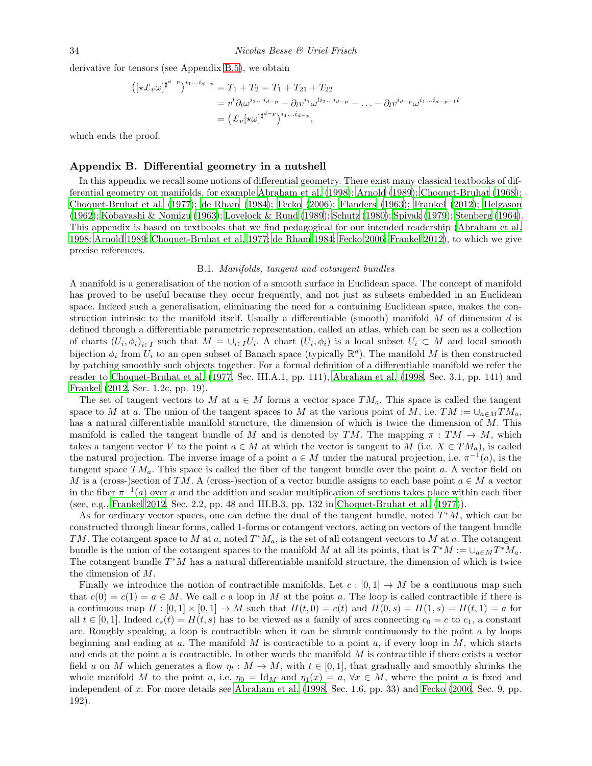derivative for tensors (see Appendix [B.5\)](#page-36-0), we obtain

$$
\begin{aligned} \left( [\star \pounds_v \omega]^{\sharp^{d-p}} \right)^{i_1...i_{d-p}} &= T_1 + T_2 = T_1 + T_{21} + T_{22} \\ &= v^l \partial_l \omega^{i_1...i_{d-p}} - \partial_l v^{i_1} \omega^{i i_2...i_{d-p}} - \dots - \partial_l v^{i_{d-p}} \omega^{i_1...i_{d-p-1}l} \\ &= \left( \pounds_v [\star \omega]^{\sharp^{d-p}} \right)^{i_1...i_{d-p}}, \end{aligned}
$$

which ends the proof.

# <span id="page-33-0"></span>Appendix B. Differential geometry in a nutshell

In this appendix we recall some notions of differential geometry. There exist many classical textbooks of differential geometry on manifolds, for example [Abraham et al. \(1998\)](#page-46-2); [Arnold \(1989\)](#page-47-34); [Choquet-Bruhat \(1968](#page-47-35)); [Choquet-Bruhat et al. \(1977](#page-47-36)); [de Rham \(1984](#page-47-37)); [Fecko \(2006](#page-47-29)); [Flanders \(1963\)](#page-47-12); [Frankel \(2012\)](#page-47-30); [Helgason](#page-48-33) [\(1962\)](#page-48-33); [Kobayashi & Nomizu \(1963\)](#page-48-34); [Lovelock & Rund \(1989\)](#page-48-35); [Schutz \(1980\)](#page-49-14); [Spivak \(1979\)](#page-49-15); [Stenberg \(1964](#page-49-16)). This appendix is based on textbooks that we find pedagogical for our intended readership [\(Abraham et al.](#page-46-2) [1998;](#page-46-2) [Arnold 1989;](#page-47-34) [Choquet-Bruhat et al. 1977;](#page-47-36) [de Rham 1984;](#page-47-37) [Fecko 2006;](#page-47-29) [Frankel 2012\)](#page-47-30), to which we give precise references.

#### B.1. Manifolds, tangent and cotangent bundles

<span id="page-33-1"></span>A manifold is a generalisation of the notion of a smooth surface in Euclidean space. The concept of manifold has proved to be useful because they occur frequently, and not just as subsets embedded in an Euclidean space. Indeed such a generalisation, eliminating the need for a containing Euclidean space, makes the construction intrinsic to the manifold itself. Usually a differentiable (smooth) manifold  $M$  of dimension  $d$  is defined through a differentiable parametric representation, called an atlas, which can be seen as a collection of charts  $(U_i, \phi_i)_{i \in I}$  such that  $M = \cup_{i \in I} U_i$ . A chart  $(U_i, \phi_i)$  is a local subset  $U_i \subset M$  and local smooth bijection  $\phi_i$  from  $\bar{U}_i$  to an open subset of Banach space (typically  $\mathbb{R}^d$ ). The manifold M is then constructed by patching smoothly such objects together. For a formal definition of a differentiable manifold we refer the reader to [Choquet-Bruhat et al. \(1977](#page-47-36), Sec. III.A.1, pp. 111), [Abraham et al. \(1998,](#page-46-2) Sec. 3.1, pp. 141) and [Frankel \(2012,](#page-47-30) Sec. 1.2c, pp. 19).

The set of tangent vectors to M at  $a \in M$  forms a vector space TM<sub>a</sub>. This space is called the tangent space to M at a. The union of the tangent spaces to M at the various point of M, i.e.  $TM := \cup_{a \in M} TM_a$ , has a natural differentiable manifold structure, the dimension of which is twice the dimension of M. This manifold is called the tangent bundle of M and is denoted by TM. The mapping  $\pi : TM \to M$ , which takes a tangent vector V to the point  $a \in M$  at which the vector is tangent to M (i.e.  $X \in TM_a$ ), is called the natural projection. The inverse image of a point  $a \in M$  under the natural projection, i.e.  $\pi^{-1}(a)$ , is the tangent space  $TM_a$ . This space is called the fiber of the tangent bundle over the point a. A vector field on M is a (cross-)section of TM. A (cross-)section of a vector bundle assigns to each base point  $a \in M$  a vector in the fiber  $\pi^{-1}(a)$  over a and the addition and scalar multiplication of sections takes place within each fiber (see, e.g., [Frankel 2012](#page-47-30), Sec. 2.2, pp. 48 and III.B.3, pp. 132 in [Choquet-Bruhat et al. \(1977\)](#page-47-36)).

As for ordinary vector spaces, one can define the dual of the tangent bundle, noted  $T^*M$ , which can be constructed through linear forms, called 1-forms or cotangent vectors, acting on vectors of the tangent bundle TM. The cotangent space to M at a, noted  $T^*M_a$ , is the set of all cotangent vectors to M at a. The cotangent bundle is the union of the cotangent spaces to the manifold M at all its points, that is  $T^*M := \cup_{a \in M} T^*M_a$ . The cotangent bundle  $T^*M$  has a natural differentiable manifold structure, the dimension of which is twice the dimension of M.

Finally we introduce the notion of contractible manifolds. Let  $c : [0,1] \to M$  be a continuous map such that  $c(0) = c(1) = a \in M$ . We call c a loop in M at the point a. The loop is called contractible if there is a continuous map  $H : [0,1] \times [0,1] \rightarrow M$  such that  $H(t,0) = c(t)$  and  $H(0,s) = H(1,s) = H(t,1) = a$  for all  $t \in [0,1]$ . Indeed  $c_s(t) = H(t,s)$  has to be viewed as a family of arcs connecting  $c_0 = c$  to  $c_1$ , a constant arc. Roughly speaking, a loop is contractible when it can be shrunk continuously to the point  $a$  by loops beginning and ending at a. The manifold  $M$  is contractible to a point  $a$ , if every loop in  $M$ , which starts and ends at the point a is contractible. In other words the manifold M is contractible if there exists a vector field u on M which generates a flow  $\eta_t : M \to M$ , with  $t \in [0, 1]$ , that gradually and smoothly shrinks the whole manifold M to the point a, i.e.  $\eta_0 = \text{Id}_M$  and  $\eta_1(x) = a, \forall x \in M$ , where the point a is fixed and independent of x. For more details see [Abraham et al. \(1998,](#page-46-2) Sec. 1.6, pp. 33) and [Fecko \(2006,](#page-47-29) Sec. 9, pp. 192).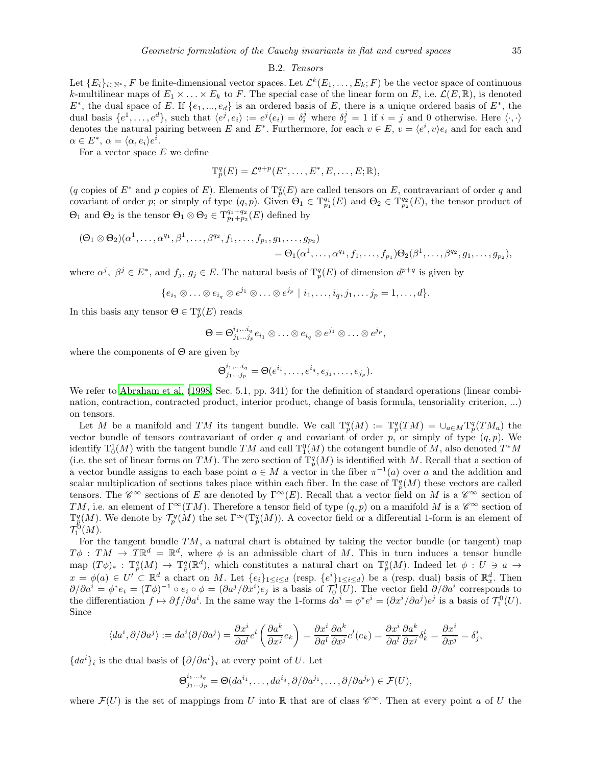# B.2. Tensors

<span id="page-34-0"></span>Let  $\{E_i\}_{i\in\mathbb{N}^*}$ , F be finite-dimensional vector spaces. Let  $\mathcal{L}^k(E_1,\ldots,E_k;F)$  be the vector space of continuous k-multilinear maps of  $E_1 \times \ldots \times E_k$  to F. The special case of the linear form on E, i.e.  $\mathcal{L}(E, \mathbb{R})$ , is denoted  $E^*$ , the dual space of E. If  $\{e_1, ..., e_d\}$  is an ordered basis of E, there is a unique ordered basis of  $E^*$ , the dual basis  $\{e^1, \ldots, e^d\}$ , such that  $\langle e^j, e_i \rangle := e^j(e_i) = \delta_i^j$  where  $\delta_i^j = 1$  if  $i = j$  and 0 otherwise. Here  $\langle \cdot, \cdot \rangle$ denotes the natural pairing between E and E<sup>\*</sup>. Furthermore, for each  $v \in E$ ,  $v = \langle e^i, v \rangle e_i$  and for each and  $\alpha \in E^*, \, \alpha = \langle \alpha, e_i \rangle e^i.$ 

For a vector space  $E$  we define

$$
\mathrm{T}_p^q(E) = \mathcal{L}^{q+p}(E^*, \ldots, E^*, E, \ldots, E; \mathbb{R}),
$$

(q copies of  $E^*$  and p copies of E). Elements of  $T^q_p(E)$  are called tensors on E, contravariant of order q and covariant of order p; or simply of type  $(q, p)$ . Given  $\Theta_1 \in T^{q_1}_{p_1}(E)$  and  $\Theta_2 \in T^{q_2}_{p_2}(E)$ , the tensor product of  $\Theta_1$  and  $\Theta_2$  is the tensor  $\Theta_1 \otimes \Theta_2 \in T^{q_1+q_2}_{p_1+p_2}(E)$  defined by

$$
(\Theta_1 \otimes \Theta_2)(\alpha^1, \ldots, \alpha^{q_1}, \beta^1, \ldots, \beta^{q_2}, f_1, \ldots, f_{p_1}, g_1, \ldots, g_{p_2})
$$
  
= 
$$
\Theta_1(\alpha^1, \ldots, \alpha^{q_1}, f_1, \ldots, f_{p_1})\Theta_2(\beta^1, \ldots, \beta^{q_2}, g_1, \ldots, g_{p_2}),
$$

where  $\alpha^j$ ,  $\beta^j \in E^*$ , and  $f_j$ ,  $g_j \in E$ . The natural basis of  $T^q_p(E)$  of dimension  $d^{p+q}$  is given by

 $\{e_{i_1}\otimes \ldots \otimes e_{i_q}\otimes e^{j_1}\otimes \ldots \otimes e^{j_p} \mid i_1,\ldots,i_q,j_1,\ldots j_p=1,\ldots,d\}.$ 

In this basis any tensor  $\Theta \in \mathrm{T}_p^q(E)$  reads

$$
\Theta = \Theta^{i_1...i_q}_{j_1...j_p} e_{i_1} \otimes \ldots \otimes e_{i_q} \otimes e^{j_1} \otimes \ldots \otimes e^{j_p},
$$

where the components of  $\Theta$  are given by

$$
\Theta^{i_1,...i_q}_{j_1...j_p} = \Theta(e^{i_1},...,e^{i_q},e_{j_1},...,e_{j_p}).
$$

We refer to [Abraham et al. \(1998,](#page-46-2) Sec. 5.1, pp. 341) for the definition of standard operations (linear combination, contraction, contracted product, interior product, change of basis formula, tensoriality criterion, ...) on tensors.

Let M be a manifold and TM its tangent bundle. We call  $T_p^q(M) := T_p^q(TM) = \cup_{a \in M} T_p^q(TM_a)$  the vector bundle of tensors contravariant of order q and covariant of order p, or simply of type  $(q, p)$ . We identify  $T_0^1(M)$  with the tangent bundle  $TM$  and call  $T_1^0(M)$  the cotangent bundle of M, also denoted  $T^*M$ (i.e. the set of linear forms on TM). The zero section of  $T_p^q(M)$  is identified with M. Recall that a section of a vector bundle assigns to each base point  $a \in M$  a vector in the fiber  $\pi^{-1}(a)$  over a and the addition and scalar multiplication of sections takes place within each fiber. In the case of  $\mathrm{T}_p^q(M)$  these vectors are called tensors. The  $\mathscr{C}^{\infty}$  sections of E are denoted by  $\Gamma^{\infty}(E)$ . Recall that a vector field on M is a  $\mathscr{C}^{\infty}$  section of TM, i.e. an element of  $\Gamma^\infty(TM)$ . Therefore a tensor field of type  $(q, p)$  on a manifold M is a  $\mathscr{C}^\infty$  section of  $T_p^q(M)$ . We denote by  $\mathcal{T}_p^q(M)$  the set  $\Gamma^\infty(T_p^q(M))$ . A covector field or a differential 1-form is an element of  $\mathcal{T}_{1}^{0}(M).$ 

For the tangent bundle  $TM$ , a natural chart is obtained by taking the vector bundle (or tangent) map  $T\phi$ :  $TM \to T\mathbb{R}^d = \mathbb{R}^d$ , where  $\phi$  is an admissible chart of M. This in turn induces a tensor bundle map  $(T\phi)_{*}: T_{p}^{q}(M) \to T_{p}^{q}(\mathbb{R}^{d})$ , which constitutes a natural chart on  $T_{p}^{q}(M)$ . Indeed let  $\phi: U \ni a \to$  $x = \phi(a) \in U' \subset \mathbb{R}^d$  a chart on M. Let  $\{e_i\}_{1 \leq i \leq d}$  (resp.  $\{e^i\}_{1 \leq i \leq d}$ ) be a (resp. dual) basis of  $\mathbb{R}^d_x$ . Then  $\partial/\partial a^i = \phi^* e_i = (T\phi)^{-1} \circ e_i \circ \phi = (\partial a^j/\partial x^i)e_j$  is a basis of  $\mathcal{T}_0^1(U)$ . The vector field  $\partial/\partial a^i$  corresponds to the differentiation  $f \mapsto \partial f / \partial a^i$ . In the same way the 1-forms  $da^i = \phi^* e^i = (\partial x^i / \partial a^j) e^j$  is a basis of  $\mathcal{T}_1^0(U)$ . Since

$$
\langle da^i, \partial/\partial a^j \rangle := da^i(\partial/\partial a^j) = \frac{\partial x^i}{\partial a^l} e^l \left( \frac{\partial a^k}{\partial x^j} e_k \right) = \frac{\partial x^i}{\partial a^l} \frac{\partial a^k}{\partial x^j} e^l(e_k) = \frac{\partial x^i}{\partial a^l} \frac{\partial a^k}{\partial x^j} \delta^l_k = \frac{\partial x^i}{\partial x^j} = \delta^i_j,
$$

 ${da<sup>i</sup>}<sub>i</sub>$  is the dual basis of  ${\partial/\partial a<sup>i</sup>}<sub>i</sub>$  at every point of U. Let

$$
\Theta^{i_1...i_q}_{j_1...j_p} = \Theta(da^{i_1}, \dots, da^{i_q}, \partial/\partial a^{j_1}, \dots, \partial/\partial a^{j_p}) \in \mathcal{F}(U),
$$

where  $\mathcal{F}(U)$  is the set of mappings from U into R that are of class  $\mathscr{C}^{\infty}$ . Then at every point a of U the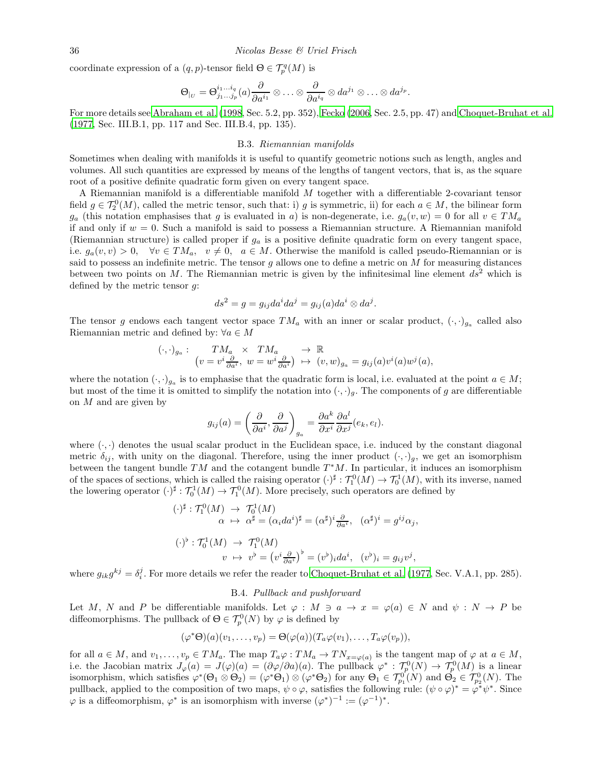coordinate expression of a  $(q, p)$ -tensor field  $\Theta \in \mathcal{T}_{p}^{q}(M)$  is

$$
\Theta_{|_U}=\Theta^{i_1...i_q}_{j_1...j_p}(a)\frac{\partial}{\partial a^{i_1}}\otimes\ldots\otimes\frac{\partial}{\partial a^{i_q}}\otimes da^{j_1}\otimes\ldots\otimes da^{j_p}.
$$

<span id="page-35-1"></span>For more details see [Abraham et al. \(1998](#page-46-2), Sec. 5.2, pp. 352), [Fecko \(2006,](#page-47-29) Sec. 2.5, pp. 47) and [Choquet-Bruhat et al.](#page-47-36) [\(1977,](#page-47-36) Sec. III.B.1, pp. 117 and Sec. III.B.4, pp. 135).

#### B.3. Riemannian manifolds

Sometimes when dealing with manifolds it is useful to quantify geometric notions such as length, angles and volumes. All such quantities are expressed by means of the lengths of tangent vectors, that is, as the square root of a positive definite quadratic form given on every tangent space.

A Riemannian manifold is a differentiable manifold M together with a differentiable 2-covariant tensor field  $g \in \mathcal{T}_2^0(M)$ , called the metric tensor, such that: i) g is symmetric, ii) for each  $a \in M$ , the bilinear form  $g_a$  (this notation emphasises that g is evaluated in a) is non-degenerate, i.e.  $g_a(v, w) = 0$  for all  $v \in TM_a$ if and only if  $w = 0$ . Such a manifold is said to possess a Riemannian structure. A Riemannian manifold (Riemannian structure) is called proper if  $g_a$  is a positive definite quadratic form on every tangent space, i.e.  $g_a(v, v) > 0$ ,  $\forall v \in TM_a$ ,  $v \neq 0$ ,  $a \in M$ . Otherwise the manifold is called pseudo-Riemannian or is said to possess an indefinite metric. The tensor g allows one to define a metric on  $M$  for measuring distances between two points on M. The Riemannian metric is given by the infinitesimal line element  $ds^2$  which is defined by the metric tensor g:

$$
ds^2 = g = g_{ij}da^i da^j = g_{ij}(a)da^i \otimes da^j.
$$

The tensor g endows each tangent vector space  $TM_a$  with an inner or scalar product,  $(\cdot, \cdot)_{g_a}$  called also Riemannian metric and defined by:  $\forall a \in M$ 

$$
(\cdot,\cdot)_{g_a}:\n\begin{array}{c}\nTM_a \times TM_a \longrightarrow \mathbb{R} \\
(v = v^i \frac{\partial}{\partial a^i}, \ w = w^i \frac{\partial}{\partial a^i}) \longrightarrow (v,w)_{g_a} = g_{ij}(a)v^i(a)w^j(a),\n\end{array}
$$

where the notation  $(\cdot, \cdot)_{g_a}$  is to emphasise that the quadratic form is local, i.e. evaluated at the point  $a \in M$ ; but most of the time it is omitted to simplify the notation into  $(\cdot, \cdot)_q$ . The components of g are differentiable on  $M$  and are given by

$$
g_{ij}(a) = \left(\frac{\partial}{\partial a^i}, \frac{\partial}{\partial a^j}\right)_{g_a} = \frac{\partial a^k}{\partial x^i} \frac{\partial a^l}{\partial x^j} (e_k, e_l).
$$

where  $(\cdot, \cdot)$  denotes the usual scalar product in the Euclidean space, i.e. induced by the constant diagonal metric  $\delta_{ij}$ , with unity on the diagonal. Therefore, using the inner product  $(\cdot, \cdot)_q$ , we get an isomorphism between the tangent bundle  $TM$  and the cotangent bundle  $T^*M$ . In particular, it induces an isomorphism of the spaces of sections, which is called the raising operator  $(\cdot)^{\sharp} : \mathcal{T}_1^0(M) \to \mathcal{T}_0^1(M)$ , with its inverse, named the lowering operator  $(\cdot)^{\sharp}: \mathcal{T}_0^1(M) \to \mathcal{T}_1^0(M)$ . More precisely, such operators are defined by

$$
(\cdot)^{\sharp} : \mathcal{T}_{1}^{0}(M) \to \mathcal{T}_{0}^{1}(M)
$$
  
\n
$$
\alpha \mapsto \alpha^{\sharp} = (\alpha_{i}da^{i})^{\sharp} = (\alpha^{\sharp})^{i}\frac{\partial}{\partial a^{i}}, \quad (\alpha^{\sharp})^{i} = g^{ij}\alpha_{j},
$$
  
\n
$$
(\cdot)^{\flat} : \mathcal{T}_{0}^{1}(M) \to \mathcal{T}_{1}^{0}(M)
$$
  
\n
$$
v \mapsto v^{\flat} = (v^{i}\frac{\partial}{\partial a^{i}})^{\flat} = (v^{\flat})_{i}da^{i}, \quad (v^{\flat})_{i} = g_{ij}v^{j},
$$

<span id="page-35-0"></span>where  $g_{ik}g^{kj} = \delta_i^j$ . For more details we refer the reader to [Choquet-Bruhat et al. \(1977](#page-47-36), Sec. V.A.1, pp. 285).

#### B.4. Pullback and pushforward

Let M, N and P be differentiable manifolds. Let  $\varphi : M \ni a \to x = \varphi(a) \in N$  and  $\psi : N \to P$  be diffeomorphisms. The pullback of  $\Theta \in \mathcal{T}_p^0(N)$  by  $\varphi$  is defined by

$$
(\varphi^*\Theta)(a)(v_1,\ldots,v_p)=\Theta(\varphi(a))(T_a\varphi(v_1),\ldots,T_a\varphi(v_p)),
$$

for all  $a \in M$ , and  $v_1, \ldots, v_p \in TM_a$ . The map  $T_a\varphi: TM_a \to TN_{x=\varphi(a)}$  is the tangent map of  $\varphi$  at  $a \in M$ , i.e. the Jacobian matrix  $J_{\varphi}(a) = J(\varphi)(a) = (\partial \varphi/\partial a)(a)$ . The pullback  $\varphi^* : \mathcal{T}_{p}^0(N) \to \mathcal{T}_{p}^0(M)$  is a linear isomorphism, which satisfies  $\varphi^*(\Theta_1 \otimes \Theta_2) = (\varphi^*\Theta_1) \otimes (\varphi^*\Theta_2)$  for any  $\Theta_1 \in \mathcal{T}_{p_1}^{0'}(N)$  and  $\Theta_2 \in \mathcal{T}_{p_2}^{0}(N)$ . The pullback, applied to the composition of two maps,  $\psi \circ \varphi$ , satisfies the following rule:  $(\psi \circ \varphi)^* = \varphi^* \psi^*$ . Since  $\varphi$  is a diffeomorphism,  $\varphi^*$  is an isomorphism with inverse  $(\varphi^*)^{-1} := (\varphi^{-1})^*$ .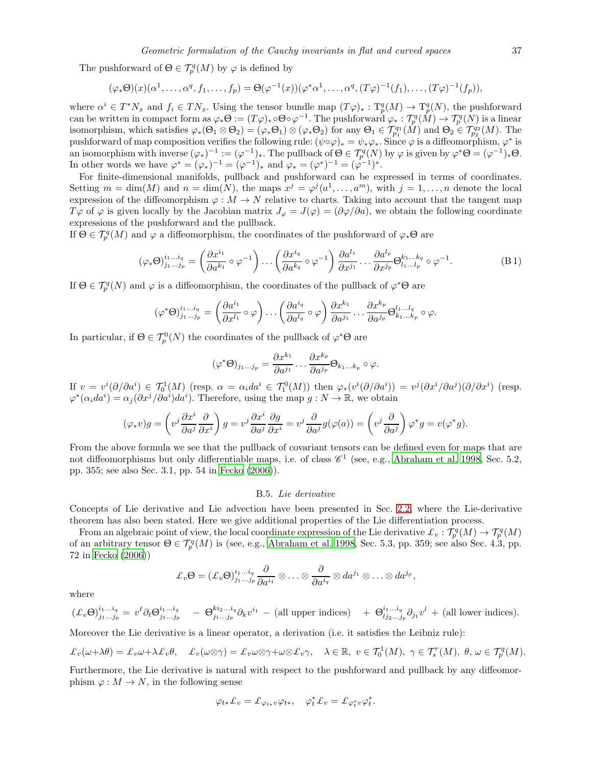The pushforward of  $\Theta \in \mathcal{T}_p^q(M)$  by  $\varphi$  is defined by

$$
(\varphi_*\Theta)(x)(\alpha^1,\ldots,\alpha^q,f_1,\ldots,f_p)=\Theta(\varphi^{-1}(x))(\varphi^*\alpha^1,\ldots,\alpha^q,(T\varphi)^{-1}(f_1),\ldots,(T\varphi)^{-1}(f_p)),
$$

where  $\alpha^i \in T^*N_x$  and  $f_i \in TN_x$ . Using the tensor bundle map  $(T\varphi)_*: T^q_p(M) \to T^q_p(N)$ , the pushforward can be written in compact form as  $\varphi_*\Theta := (T\varphi)_*\circ\Theta\circ\varphi^{-1}$ . The pushforward  $\varphi_* : \mathcal{T}_p^q(M) \to \mathcal{T}_p^q(N)$  is a linear isomorphism, which satisfies  $\varphi_*(\Theta_1 \otimes \Theta_2) = (\varphi_* \Theta_1) \otimes (\varphi_* \Theta_2)$  for any  $\Theta_1 \in \mathcal{T}_{p_1}^{q_1}(\tilde{M})$  and  $\Theta_2 \in \mathcal{T}_{p_2}^{q_2}(M)$ . The pushforward of map composition verifies the following rule:  $(\psi \circ \varphi)_* = \psi_* \varphi_*$ . Since  $\varphi$  is a diffeomorphism,  $\varphi^*$  is an isomorphism with inverse  $(\varphi_*)^{-1} := (\varphi^{-1})_*$ . The pullback of  $\Theta \in \mathcal{T}_p^q(N)$  by  $\varphi$  is given by  $\varphi^* \Theta = (\varphi^{-1})_* \Theta$ . In other words we have  $\varphi^* = (\varphi_*)^{-1} = (\varphi^{-1})_*$  and  $\varphi_* = (\varphi^*)^{-1} = (\varphi^{-1})^*$ .

For finite-dimensional manifolds, pullback and pushforward can be expressed in terms of coordinates. Setting  $m = \dim(M)$  and  $n = \dim(N)$ , the maps  $x^j = \varphi^j(a^1, \ldots, a^m)$ , with  $j = 1, \ldots, n$  denote the local expression of the diffeomorphism  $\varphi : M \to N$  relative to charts. Taking into account that the tangent map  $T\varphi$  of  $\varphi$  is given locally by the Jacobian matrix  $J_{\varphi} = J(\varphi) = (\partial \varphi/\partial a)$ , we obtain the following coordinate expressions of the pushforward and the pullback.

If  $\Theta \in \mathcal{T}_{p}^{q}(M)$  and  $\varphi$  a diffeomorphism, the coordinates of the pushforward of  $\varphi_*\Theta$  are

<span id="page-36-1"></span>
$$
(\varphi_* \Theta)^{i_1 \dots i_q}_{j_1 \dots j_p} = \left(\frac{\partial x^{i_1}}{\partial a^{k_1}} \circ \varphi^{-1}\right) \dots \left(\frac{\partial x^{i_q}}{\partial a^{k_q}} \circ \varphi^{-1}\right) \frac{\partial a^{l_1}}{\partial x^{j_1}} \dots \frac{\partial a^{l_p}}{\partial x^{j_p}} \Theta^{k_1 \dots k_q}_{l_1 \dots l_p} \circ \varphi^{-1}.
$$
 (B1)

If  $\Theta \in \mathcal{T}_{p}^{q}(N)$  and  $\varphi$  is a diffeomorphism, the coordinates of the pullback of  $\varphi^*\Theta$  are

$$
(\varphi^*\Theta)^{i_1...i_q}_{j_1...j_p} = \left(\frac{\partial a^{i_1}}{\partial x^{l_1}} \circ \varphi\right) \dots \left(\frac{\partial a^{i_q}}{\partial a^{l_q}} \circ \varphi\right) \frac{\partial x^{k_1}}{\partial a^{j_1}} \dots \frac{\partial x^{k_p}}{\partial a^{j_p}} \Theta^{l_1...l_q}_{k_1...k_p} \circ \varphi.
$$

In particular, if  $\Theta \in \mathcal{T}_{p}^{0}(N)$  the coordinates of the pullback of  $\varphi^*\Theta$  are

$$
(\varphi^*\Theta)_{j_1...j_p} = \frac{\partial x^{k_1}}{\partial a^{j_1}} \dots \frac{\partial x^{k_p}}{\partial a^{j_p}} \Theta_{k_1...k_p} \circ \varphi.
$$

If  $v = v^i(\partial/\partial a^i) \in \mathcal{T}_0^1(M)$  (resp.  $\alpha = \alpha_i da^i \in \mathcal{T}_1^0(M)$ ) then  $\varphi_*(v^i(\partial/\partial a^i)) = v^j(\partial x^i/\partial a^j)(\partial/\partial x^i)$  (resp.  $\varphi^*(\alpha_i da^i) = \alpha_j(\partial x^j/\partial a^i)da^i$ . Therefore, using the map  $g: N \to \mathbb{R}$ , we obtain

$$
(\varphi_* v)g = \left(v^j \frac{\partial x^i}{\partial a^j} \frac{\partial}{\partial x^i}\right)g = v^j \frac{\partial x^i}{\partial a^j} \frac{\partial g}{\partial x^i} = v^j \frac{\partial}{\partial a^j} g(\varphi(a)) = \left(v^j \frac{\partial}{\partial a^j}\right) \varphi^* g = v(\varphi^* g).
$$

From the above formula we see that the pullback of covariant tensors can be defined even for maps that are not diffeomorphisms but only differentiable maps, i.e. of class  $\mathscr{C}^1$  (see, e.g., [Abraham et al. 1998,](#page-46-2) Sec. 5.2, pp. 355; see also Sec. 3.1, pp. 54 in [Fecko \(2006\)](#page-47-29)).

# B.5. Lie derivative

<span id="page-36-0"></span>Concepts of Lie derivative and Lie advection have been presented in Sec. [2.2,](#page-2-0) where the Lie-derivative theorem has also been stated. Here we give additional properties of the Lie differentiation process.

From an algebraic point of view, the local coordinate expression of the Lie derivative  $\mathcal{L}_v : \mathcal{T}_p^q(M) \to \mathcal{T}_p^q(M)$ of an arbitrary tensor  $\Theta \in \mathcal{T}_{p}^{q}(M)$  is (see, e.g., [Abraham et al. 1998,](#page-46-2) Sec. 5.3, pp. 359; see also Sec. 4.3, pp. 72 in [Fecko \(2006](#page-47-29)))

$$
\pounds_v \Theta = (\pounds_v \Theta)^{i_1...i_q}_{j_1...j_p} \frac{\partial}{\partial a^{i_1}} \otimes \ldots \otimes \frac{\partial}{\partial a^{i_q}} \otimes da^{j_1} \otimes \ldots \otimes da^{j_p},
$$

where

$$
(\pounds_v \Theta)^{i_1...i_q}_{j_1...j_p} = v^{\ell} \partial_{\ell} \Theta^{i_1...i_q}_{j_1...j_p} \quad - \Theta^{k i_2...i_q}_{j_1...j_p} \partial_{k} v^{i_1} \quad - \text{(all upper indices)} \quad + \Theta^{i_1...i_q}_{l j_2...j_p} \partial_{j_1} v^{l} \quad + \text{(all lower indices)}.
$$

Moreover the Lie derivative is a linear operator, a derivation (i.e. it satisfies the Leibniz rule):

$$
\pounds_v(\omega+\lambda\theta)=\pounds_v\omega+\lambda\pounds_v\theta,\quad \pounds_v(\omega\otimes\gamma)=\pounds_v\omega\otimes\gamma+\omega\otimes\pounds_v\gamma,\quad \lambda\in\mathbb{R},\ v\in\mathcal{T}_0^1(M),\ \gamma\in\mathcal{T}_s^r(M),\ \theta,\,\omega\in\mathcal{T}_p^q(M).
$$

Furthermore, the Lie derivative is natural with respect to the pushforward and pullback by any diffeomorphism  $\varphi : M \to N$ , in the following sense

$$
\varphi_{t*} \mathcal{L}_v = \mathcal{L}_{\varphi_{t*}v} \varphi_{t*}, \quad \varphi_t^* \mathcal{L}_v = \mathcal{L}_{\varphi_t^* v} \varphi_t^*.
$$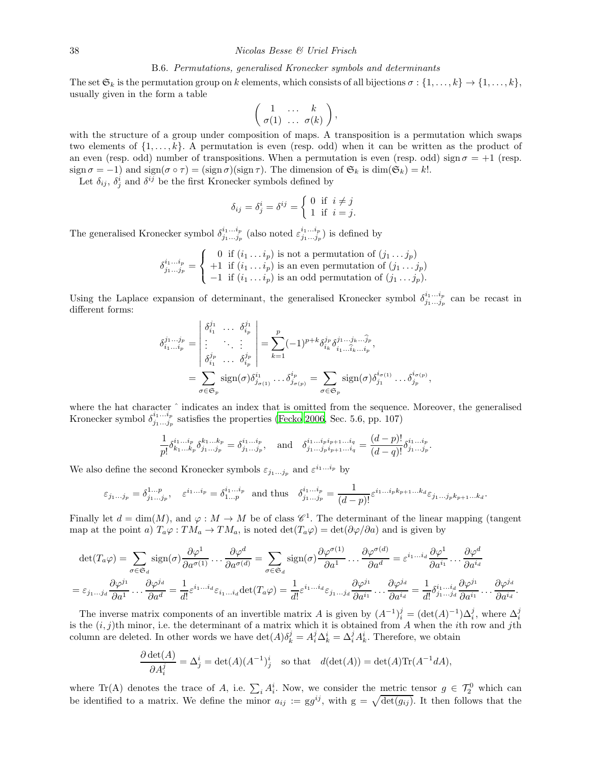#### B.6. Permutations, generalised Kronecker symbols and determinants

<span id="page-37-0"></span>The set  $\mathfrak{S}_k$  is the permutation group on k elements, which consists of all bijections  $\sigma : \{1, \ldots, k\} \rightarrow \{1, \ldots, k\}$ , usually given in the form a table

$$
\left(\begin{array}{ccc} 1 & \ldots & k \\ \sigma(1) & \ldots & \sigma(k) \end{array}\right),
$$

with the structure of a group under composition of maps. A transposition is a permutation which swaps two elements of  $\{1, \ldots, k\}$ . A permutation is even (resp. odd) when it can be written as the product of an even (resp. odd) number of transpositions. When a permutation is even (resp. odd) sign  $\sigma = +1$  (resp. sign  $\sigma = -1$ ) and sign( $\sigma \circ \tau$ ) = (sign  $\sigma$ )(sign  $\tau$ ). The dimension of  $\mathfrak{S}_k$  is dim( $\mathfrak{S}_k$ ) = k!.

Let  $\delta_{ij}$ ,  $\delta_j^i$  and  $\delta^{ij}$  be the first Kronecker symbols defined by

$$
\delta_{ij} = \delta^i_j = \delta^{ij} = \begin{cases} 0 & \text{if } i \neq j \\ 1 & \text{if } i = j. \end{cases}
$$

The generalised Kronecker symbol  $\delta^{i_1...i_p}_{i_1...i_p}$  $\frac{i_1 \dots i_p}{j_1 \dots j_p}$  (also noted  $\varepsilon^{i_1 \dots i_p}_{j_1 \dots j_p}$  $\binom{v_1...v_p}{j_1...j_p}$  is defined by

$$
\delta_{j_1...j_p}^{i_1...i_p} = \left\{ \begin{array}{ll} 0 \; \text{ if } (i_1 \ldots i_p) \text{ is not a permutation of } (j_1 \ldots j_p) \\ +1 \; \text{ if } (i_1 \ldots i_p) \text{ is an even permutation of } (j_1 \ldots j_p) \\ -1 \; \text{ if } (i_1 \ldots i_p) \text{ is an odd permutation of } (j_1 \ldots j_p). \end{array} \right.
$$

Using the Laplace expansion of determinant, the generalised Kronecker symbol  $\delta^{i_1...i_p}_{i_1...i_p}$  $\frac{i_1 \ldots i_p}{j_1 \ldots j_p}$  can be recast in different forms:

$$
\delta_{i_1...i_p}^{j_1...j_p} = \begin{vmatrix}\n\delta_{i_1}^{j_1} & \cdots & \delta_{i_p}^{j_1} \\
\vdots & \ddots & \vdots \\
\delta_{i_1}^{j_p} & \cdots & \delta_{i_p}^{j_p}\n\end{vmatrix} = \sum_{k=1}^p (-1)^{p+k} \delta_{i_k}^{j_p} \delta_{i_1...i_k...i_p}^{j_1...j_k...j_p},
$$
\n
$$
= \sum_{\sigma \in \mathfrak{S}_p} \text{sign}(\sigma) \delta_{j_{\sigma(1)}}^{i_1} \cdots \delta_{j_{\sigma(p)}}^{i_p} = \sum_{\sigma \in \mathfrak{S}_p} \text{sign}(\sigma) \delta_{j_1}^{i_{\sigma(1)}} \cdots \delta_{j_p}^{i_{\sigma(p)}},
$$

where the hat character ˆ indicates an index that is omitted from the sequence. Moreover, the generalised Kronecker symbol  $\delta^{i_1...i_p}_{i_1...i_p}$  $j_1...j_p$  satisfies the properties [\(Fecko 2006,](#page-47-29) Sec. 5.6, pp. 107)

$$
\frac{1}{p!} \delta^{i_1...i_p}_{k_1...k_p} \delta^{k_1...k_p}_{j_1...j_p} = \delta^{i_1...i_p}_{j_1...j_p}, \text{ and } \delta^{i_1...i_p i_{p+1}...i_q}_{j_1...j_p i_{p+1}...i_q} = \frac{(d-p)!}{(d-q)!} \delta^{i_1...i_p}_{j_1...j_p}.
$$

We also define the second Kronecker symbols  $\varepsilon_{j_1...j_p}$  and  $\varepsilon^{i_1...i_p}$  by

$$
\varepsilon_{j_1\ldots j_p} = \delta^{1\ldots p}_{j_1\ldots j_p}, \quad \varepsilon^{i_1\ldots i_p} = \delta^{i_1\ldots i_p}_{1\ldots p} \quad \text{and thus} \quad \delta^{i_1\ldots i_p}_{j_1\ldots j_p} = \frac{1}{(d-p)!} \varepsilon^{i_1\ldots i_p k_{p+1}\ldots k_d} \varepsilon_{j_1\ldots j_p k_{p+1}\ldots k_d}.
$$

Finally let  $d = \dim(M)$ , and  $\varphi : M \to M$  be of class  $\mathscr{C}^1$ . The determinant of the linear mapping (tangent map at the point a)  $T_a\varphi: TM_a \to TM_a$ , is noted  $\det(T_a\varphi) = \det(\partial \varphi/\partial a)$  and is given by

$$
\det(T_a\varphi) = \sum_{\sigma \in \mathfrak{S}_d} \text{sign}(\sigma) \frac{\partial \varphi^1}{\partial a^{\sigma(1)}} \dots \frac{\partial \varphi^d}{\partial a^{\sigma(d)}} = \sum_{\sigma \in \mathfrak{S}_d} \text{sign}(\sigma) \frac{\partial \varphi^{\sigma(1)}}{\partial a^1} \dots \frac{\partial \varphi^{\sigma(d)}}{\partial a^d} = \varepsilon^{i_1 \dots i_d} \frac{\partial \varphi^1}{\partial a^{i_1}} \dots \frac{\partial \varphi^d}{\partial a^{i_d}}
$$

$$
= \varepsilon_{j_1 \dots j_d} \frac{\partial \varphi^{j_1}}{\partial a^1} \dots \frac{\partial \varphi^{j_d}}{\partial a^d} = \frac{1}{d!} \varepsilon^{i_1 \dots i_d} \varepsilon_{i_1 \dots i_d} \det(T_a \varphi) = \frac{1}{d!} \varepsilon^{i_1 \dots i_d} \varepsilon_{j_1 \dots j_d} \frac{\partial \varphi^{j_1}}{\partial a^{i_1}} \dots \frac{\partial \varphi^{j_d}}{\partial a^{i_d}} = \frac{1}{d!} \delta^{i_1 \dots i_d}_{j_1 \dots j_d} \frac{\partial \varphi^{j_1}}{\partial a^{i_1}} \dots \frac{\partial \varphi^{j_d}}{\partial a^{i_d}}.
$$

The inverse matrix components of an invertible matrix A is given by  $(A^{-1})_i^j = (\det(A)^{-1})\Delta_i^j$ , where  $\Delta_i^j$ is the  $(i, j)$ th minor, i.e. the determinant of a matrix which it is obtained from A when the *i*th row and *j*th column are deleted. In other words we have  $\det(A)\delta_k^j = A_i^j \Delta_k^i = \Delta_i^j A_k^i$ . Therefore, we obtain

$$
\frac{\partial \det(A)}{\partial A_i^j} = \Delta_j^i = \det(A)(A^{-1})_j^i \quad \text{so that} \quad d(\det(A)) = \det(A)\text{Tr}(A^{-1}dA),
$$

where Tr(A) denotes the trace of A, i.e.  $\sum_i A_i^i$ . Now, we consider the metric tensor  $g \in \mathcal{T}_2^0$  which can be identified to a matrix. We define the minor  $a_{ij} := gg^{ij}$ , with  $g = \sqrt{\det(g_{ij})}$ . It then follows that the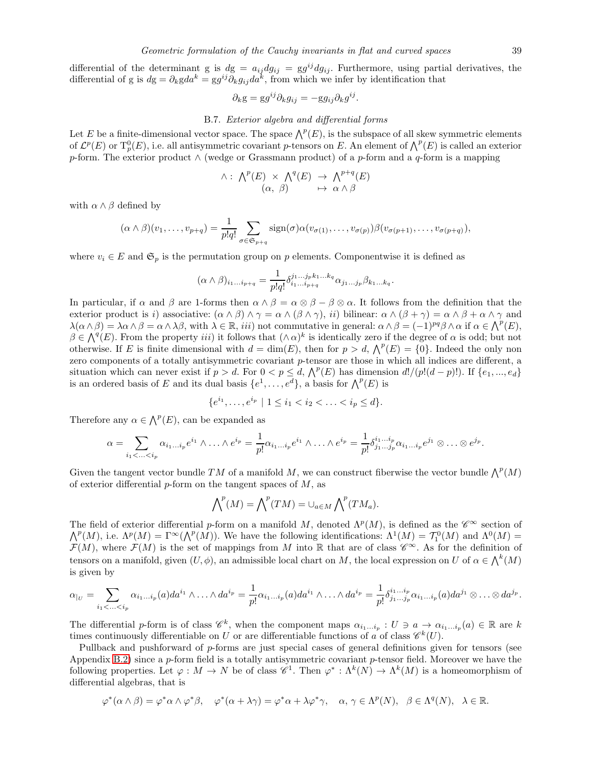differential of the determinant g is  $dg = a_{ij} dg_{ij} = gg^{ij} dg_{ij}$ . Furthermore, using partial derivatives, the differential of g is  $dg = \partial_k g da^k = gg^{ij} \partial_k g_{ij} da^k$ , from which we infer by identification that

$$
\partial_k \mathbf{g} = \mathbf{g} g^{ij} \partial_k g_{ij} = -\mathbf{g} g_{ij} \partial_k g^{ij}.
$$

# B.7. Exterior algebra and differential forms

<span id="page-38-0"></span>Let E be a finite-dimensional vector space. The space  $\bigwedge^p(E)$ , is the subspace of all skew symmetric elements of  $\mathcal{L}^p(E)$  or  $T^0_p(E)$ , i.e. all antisymmetric covariant p-tensors on E. An element of  $\bigwedge^p(E)$  is called an exterior p-form. The exterior product  $\wedge$  (wedge or Grassmann product) of a p-form and a q-form is a mapping

$$
\wedge: \wedge^p(E) \times \wedge^q(E) \rightarrow \wedge^{p+q}(E) (\alpha, \beta) \rightarrow \alpha \wedge \beta
$$

with  $\alpha \wedge \beta$  defined by

$$
(\alpha \wedge \beta)(v_1,\ldots,v_{p+q}) = \frac{1}{p!q!} \sum_{\sigma \in \mathfrak{S}_{p+q}} sign(\sigma) \alpha(v_{\sigma(1)},\ldots,v_{\sigma(p)}) \beta(v_{\sigma(p+1)},\ldots,v_{\sigma(p+q)}),
$$

where  $v_i \in E$  and  $\mathfrak{S}_p$  is the permutation group on p elements. Componentwise it is defined as

$$
(\alpha \wedge \beta)_{i_1...i_{p+q}} = \frac{1}{p!q!} \delta^{j_1...j_p k_1...k_q}_{i_1...i_{p+q}} \alpha_{j_1...j_p} \beta_{k_1...k_q}.
$$

In particular, if  $\alpha$  and  $\beta$  are 1-forms then  $\alpha \wedge \beta = \alpha \otimes \beta - \beta \otimes \alpha$ . It follows from the definition that the exterior product is i) associative:  $(\alpha \wedge \beta) \wedge \gamma = \alpha \wedge (\beta \wedge \gamma)$ , ii) bilinear:  $\alpha \wedge (\beta + \gamma) = \alpha \wedge \beta + \alpha \wedge \gamma$  and  $\lambda(\alpha \wedge \beta) = \lambda \alpha \wedge \beta = \alpha \wedge \lambda \beta$ , with  $\lambda \in \mathbb{R}$ , *iii*) not commutative in general:  $\alpha \wedge \beta = (-1)^{pq} \beta \wedge \alpha$  if  $\alpha \in \Lambda^p(E)$ ,  $\beta \in \bigwedge^q(E)$ . From the property *iii*) it follows that  $(\wedge \alpha)^k$  is identically zero if the degree of  $\alpha$  is odd; but not otherwise. If E is finite dimensional with  $d = \dim(E)$ , then for  $p > d$ ,  $\bigwedge^p(E) = \{0\}$ . Indeed the only non zero components of a totally antisymmetric covariant p-tensor are those in which all indices are different, a situation which can never exist if  $p > d$ . For  $0 < p \leq d$ ,  $\bigwedge^p(E)$  has dimension  $d!/(p!(d-p)!)$ . If  $\{e_1, ..., e_d\}$ is an ordered basis of E and its dual basis  $\{e^1, \ldots, e^d\}$ , a basis for  $\bigwedge^p(E)$  is

$$
\{e^{i_1}, \dots, e^{i_p} \mid 1 \le i_1 < i_2 < \dots < i_p \le d\}.
$$

Therefore any  $\alpha \in \bigwedge^p(E)$ , can be expanded as

$$
\alpha = \sum_{i_1 < \ldots < i_p} \alpha_{i_1 \ldots i_p} e^{i_1} \wedge \ldots \wedge e^{i_p} = \frac{1}{p!} \alpha_{i_1 \ldots i_p} e^{i_1} \wedge \ldots \wedge e^{i_p} = \frac{1}{p!} \delta^{i_1 \ldots i_p}_{j_1 \ldots j_p} \alpha_{i_1 \ldots i_p} e^{j_1} \otimes \ldots \otimes e^{j_p}.
$$

Given the tangent vector bundle TM of a manifold M, we can construct fiberwise the vector bundle  $\bigwedge^p (M)$ of exterior differential  $p$ -form on the tangent spaces of  $M$ , as

$$
\bigwedge^p (M) = \bigwedge^p (TM) = \cup_{a \in M} \bigwedge^p (TM_a).
$$

The field of exterior differential p-form on a manifold M, denoted  $\Lambda^p(M)$ , is defined as the  $\mathscr{C}^\infty$  section of  $\Lambda^p(M)$ , i.e.  $\Lambda^p(M) = \Gamma^\infty(\Lambda^p(M))$ . We have the following identifications:  $\Lambda^1(M) = \mathcal{T}_1^0(M)$  and  $\Lambda^0(M) =$  $\mathcal{F}(M)$ , where  $\mathcal{F}(M)$  is the set of mappings from M into R that are of class  $\mathscr{C}^{\infty}$ . As for the definition of tensors on a manifold, given  $(U, \phi)$ , an admissible local chart on M, the local expression on U of  $\alpha \in \bigwedge^k(M)$ is given by

$$
\alpha_{|_U} = \sum_{i_1 < \ldots < i_p} \alpha_{i_1 \ldots i_p}(a) da^{i_1} \wedge \ldots \wedge da^{i_p} = \frac{1}{p!} \alpha_{i_1 \ldots i_p}(a) da^{i_1} \wedge \ldots \wedge da^{i_p} = \frac{1}{p!} \delta^{i_1 \ldots i_p}_{j_1 \ldots j_p} \alpha_{i_1 \ldots i_p}(a) da^{j_1} \otimes \ldots \otimes da^{j_p}.
$$

The differential p-form is of class  $\mathscr{C}_k^k$ , when the component maps  $\alpha_{i_1...i_p}: U \ni a \to \alpha_{i_1...i_p}(a) \in \mathbb{R}$  are k times continuously differentiable on U or are differentiable functions of a of class  $\mathscr{C}^k(U)$ .

Pullback and pushforward of p-forms are just special cases of general definitions given for tensors (see Appendix [B.2\)](#page-34-0) since a p-form field is a totally antisymmetric covariant p-tensor field. Moreover we have the following properties. Let  $\varphi: M \to N$  be of class  $\mathscr{C}^1$ . Then  $\varphi^*: \Lambda^k(N) \to \Lambda^k(M)$  is a homeomorphism of differential algebras, that is

$$
\varphi^*(\alpha \wedge \beta) = \varphi^* \alpha \wedge \varphi^* \beta, \quad \varphi^*(\alpha + \lambda \gamma) = \varphi^* \alpha + \lambda \varphi^* \gamma, \quad \alpha, \gamma \in \Lambda^p(N), \quad \beta \in \Lambda^q(N), \quad \lambda \in \mathbb{R}.
$$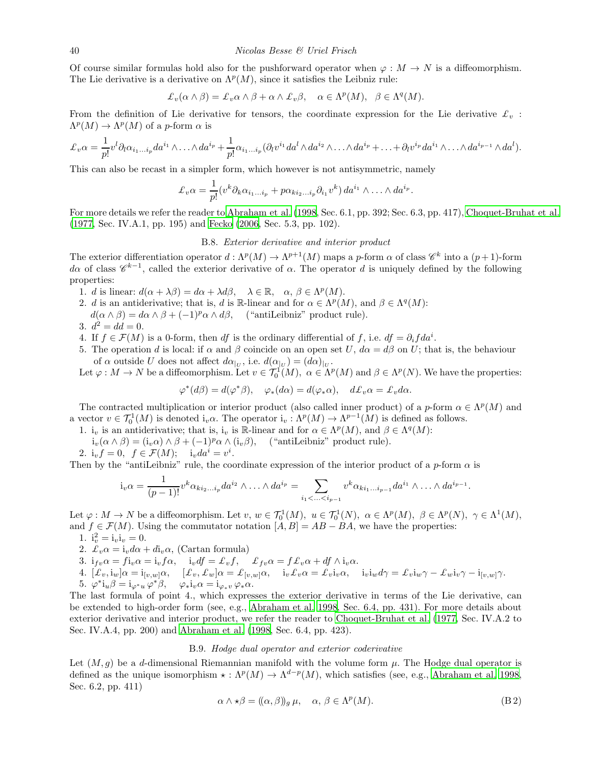Of course similar formulas hold also for the pushforward operator when  $\varphi : M \to N$  is a diffeomorphism. The Lie derivative is a derivative on  $\Lambda^p(M)$ , since it satisfies the Leibniz rule:

$$
\pounds_v(\alpha \wedge \beta) = \pounds_v \alpha \wedge \beta + \alpha \wedge \pounds_v \beta, \quad \alpha \in \Lambda^p(M), \ \beta \in \Lambda^q(M).
$$

From the definition of Lie derivative for tensors, the coordinate expression for the Lie derivative  $\mathcal{L}_v$ :  $\Lambda^p(M) \to \Lambda^p(M)$  of a *p*-form  $\alpha$  is

$$
\pounds_v \alpha = \frac{1}{p!} v^l \partial_l \alpha_{i_1...i_p} da^{i_1} \wedge \ldots \wedge da^{i_p} + \frac{1}{p!} \alpha_{i_1...i_p} (\partial_l v^{i_1} da^l \wedge da^{i_2} \wedge \ldots \wedge da^{i_p} + \ldots + \partial_l v^{i_p} da^{i_1} \wedge \ldots \wedge da^{i_{p-1}} \wedge da^l).
$$

This can also be recast in a simpler form, which however is not antisymmetric, namely

$$
\pounds_v \alpha = \frac{1}{p!} (v^k \partial_k \alpha_{i_1 \dots i_p} + p \alpha_{k i_2 \dots i_p} \partial_{i_1} v^k) da^{i_1} \wedge \dots \wedge da^{i_p}.
$$

<span id="page-39-0"></span>For more details we refer the reader to [Abraham et al. \(1998](#page-46-2), Sec. 6.1, pp. 392; Sec. 6.3, pp. 417), [Choquet-Bruhat et al.](#page-47-36) [\(1977,](#page-47-36) Sec. IV.A.1, pp. 195) and [Fecko \(2006,](#page-47-29) Sec. 5.3, pp. 102).

# B.8. Exterior derivative and interior product

The exterior differentiation operator  $d : \Lambda^p(M) \to \Lambda^{p+1}(M)$  maps a p-form  $\alpha$  of class  $\mathscr{C}^k$  into a  $(p+1)$ -form d $\alpha$  of class  $\mathscr{C}^{k-1}$ , called the exterior derivative of  $\alpha$ . The operator d is uniquely defined by the following properties:

- 1. d is linear:  $d(\alpha + \lambda \beta) = d\alpha + \lambda d\beta$ ,  $\lambda \in \mathbb{R}$ ,  $\alpha, \beta \in \Lambda^p(M)$ .
- 2. d is an antiderivative; that is, d is R-linear and for  $\alpha \in \Lambda^p(M)$ , and  $\beta \in \Lambda^q(M)$ :
- $d(\alpha \wedge \beta) = d\alpha \wedge \beta + (-1)^p \alpha \wedge d\beta$ , ("antiLeibniz" product rule).
- 3.  $d^2 = dd = 0$ .
- 4. If  $f \in \mathcal{F}(M)$  is a 0-form, then df is the ordinary differential of f, i.e.  $df = \partial_i f da^i$ .
- 5. The operation d is local: if  $\alpha$  and  $\beta$  coincide on an open set U,  $d\alpha = d\beta$  on U; that is, the behaviour of  $\alpha$  outside U does not affect  $d\alpha_{|U}$ , i.e.  $d(\alpha_{|U}) = (d\alpha)_{|U}$ .

Let  $\varphi: M \to N$  be a diffeomorphism. Let  $v \in \mathcal{T}_0^1(M)$ ,  $\alpha \in \Lambda^p(M)$  and  $\beta \in \Lambda^p(N)$ . We have the properties:

 $\varphi^*(d\beta) = d(\varphi^*\beta), \quad \varphi_*(d\alpha) = d(\varphi_*\alpha), \quad d\pounds_v\alpha = \pounds_v d\alpha.$ 

The contracted multiplication or interior product (also called inner product) of a p-form  $\alpha \in \Lambda^p(M)$  and a vector  $v \in \mathcal{T}_0^1(M)$  is denoted  $i_v \alpha$ . The operator  $i_v : \Lambda^p(M) \to \Lambda^{p-1}(M)$  is defined as follows.

- 1. i<sub>v</sub> is an antiderivative; that is, i<sub>v</sub> is R-linear and for  $\alpha \in \Lambda^p(M)$ , and  $\beta \in \Lambda^q(M)$ :
- $i_v(\alpha \wedge \beta) = (i_v \alpha) \wedge \beta + (-1)^p \alpha \wedge (i_v \beta)$ , ("antiLeibniz" product rule).

2. 
$$
i_v f = 0
$$
,  $f \in \mathcal{F}(M)$ ;  $i_v da^i = v^i$ .

Then by the "antiLeibniz" rule, the coordinate expression of the interior product of a  $p$ -form  $\alpha$  is

$$
i_v \alpha = \frac{1}{(p-1)!} v^k \alpha_{ki_2...i_p} da^{i_2} \wedge \ldots \wedge da^{i_p} = \sum_{i_1 < ... < i_{p-1}} v^k \alpha_{ki_1...i_{p-1}} da^{i_1} \wedge \ldots \wedge da^{i_{p-1}}.
$$

Let  $\varphi: M \to N$  be a diffeomorphism. Let  $v, w \in \mathcal{T}_0^1(M)$ ,  $u \in \mathcal{T}_0^1(N)$ ,  $\alpha \in \Lambda^p(M)$ ,  $\beta \in \Lambda^p(N)$ ,  $\gamma \in \Lambda^1(M)$ , and  $f \in \mathcal{F}(M)$ . Using the commutator notation  $[A, B] = AB - BA$ , we have the properties:

- 1.  $i_v^2 = i_v i_v = 0$ .
- 2.  $\mathcal{L}_v \alpha = i_v d\alpha + d i_v \alpha$ , (Cartan formula)
- 3.  $i_{fv}\alpha = f i_v \alpha = i_v f \alpha$ ,  $i_v df = \pounds_v f$ ,  $\qquadp f_{fv}\alpha = f f_v \alpha + df \wedge i_v \alpha$ .

4. 
$$
[\mathcal{L}_v, i_w] \alpha = i_{[v,w]} \alpha, \quad [\mathcal{L}_v, \mathcal{L}_w] \alpha = \mathcal{L}_{[v,w]} \alpha, \quad i_v \mathcal{L}_v \alpha = \mathcal{L}_v i_v \alpha, \quad i_v i_w d\gamma = \mathcal{L}_v i_w \gamma - \mathcal{L}_w i_v \gamma - i_{[v,w]} \gamma.
$$
5. 
$$
\varphi^* i_u \beta = i_{\varphi^* u} \varphi^* \beta, \quad \varphi_* i_v \alpha = i_{\varphi_* v} \varphi_* \alpha.
$$

The last formula of point 4., which expresses the exterior derivative in terms of the Lie derivative, can be extended to high-order form (see, e.g., [Abraham et al. 1998,](#page-46-2) Sec. 6.4, pp. 431). For more details about exterior derivative and interior product, we refer the reader to [Choquet-Bruhat et al. \(1977,](#page-47-36) Sec. IV.A.2 to Sec. IV.A.4, pp. 200) and [Abraham et al. \(1998,](#page-46-2) Sec. 6.4, pp. 423).

# B.9. Hodge dual operator and exterior coderivative

<span id="page-39-1"></span>Let  $(M, g)$  be a d-dimensional Riemannian manifold with the volume form  $\mu$ . The Hodge dual operator is defined as the unique isomorphism  $\star : \Lambda^p(M) \to \Lambda^{d-p}(M)$ , which satisfies (see, e.g., [Abraham et al. 1998,](#page-46-2) Sec. 6.2, pp. 411)

<span id="page-39-2"></span>
$$
\alpha \wedge \star \beta = ((\alpha, \beta))_g \mu, \quad \alpha, \beta \in \Lambda^p(M). \tag{B.2}
$$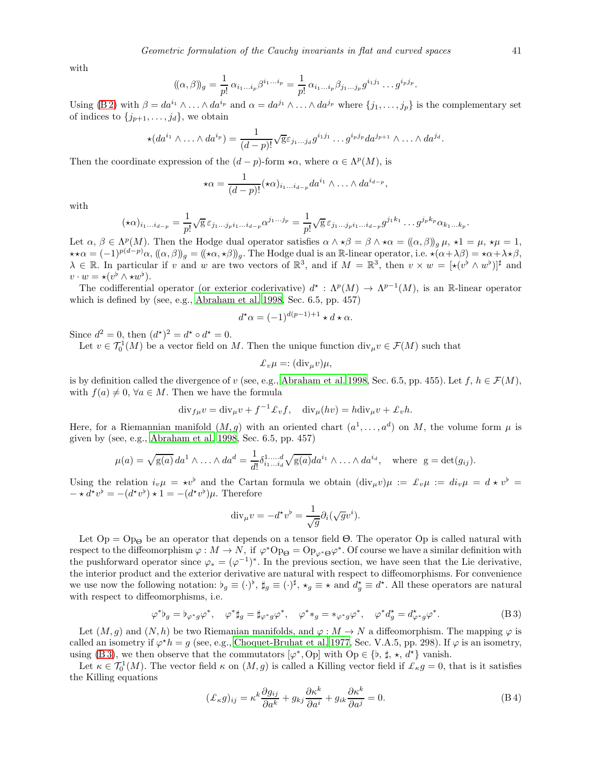with

$$
((\alpha,\beta))_g = \frac{1}{p!} \alpha_{i_1...i_p} \beta^{i_1...i_p} = \frac{1}{p!} \alpha_{i_1...i_p} \beta_{j_1...j_p} g^{i_1j_1} \dots g^{i_pj_p}
$$

Using [\(B 2\)](#page-39-2) with  $\beta = da^{i_1} \wedge \ldots \wedge da^{i_p}$  and  $\alpha = da^{j_1} \wedge \ldots \wedge da^{j_p}$  where  $\{j_1, \ldots, j_p\}$  is the complementary set of indices to  $\{j_{p+1}, \ldots, j_d\}$ , we obtain

$$
\star(da^{i_1}\wedge\ldots\wedge da^{i_p})=\frac{1}{(d-p)!}\sqrt{g}\varepsilon_{j_1\ldots j_d}g^{i_1j_1}\ldots g^{i_pj_p}da^{j_{p+1}}\wedge\ldots\wedge da^{j_d}.
$$

Then the coordinate expression of the  $(d - p)$ -form  $\star \alpha$ , where  $\alpha \in \Lambda^p(M)$ , is

$$
\star \alpha = \frac{1}{(d-p)!} (\star \alpha)_{i_1 \dots i_{d-p}} da^{i_1} \wedge \dots \wedge da^{i_{d-p}},
$$

with

$$
(\star \alpha)_{i_1\ldots i_{d-p}} = \frac{1}{p!} \sqrt{g} \,\varepsilon_{j_1\ldots j_p i_1\ldots i_{d-p}} \alpha^{j_1\ldots j_p} = \frac{1}{p!} \sqrt{g} \,\varepsilon_{j_1\ldots j_p i_1\ldots i_{d-p}} g^{j_1 k_1} \ldots g^{j_p k_p} \alpha_{k_1\ldots k_p}.
$$

Let  $\alpha, \beta \in \Lambda^p(M)$ . Then the Hodge dual operator satisfies  $\alpha \wedge \star \beta = \beta \wedge \star \alpha = (\alpha, \beta)_{g} \mu, \star 1 = \mu, \star \mu = 1$ ,  $\star \star \alpha = (-1)^{p(d-p)}\alpha$ ,  $((\alpha, \beta))^q = ((\star \alpha, \star \beta))^q$ . The Hodge dual is an R-linear operator, i.e.  $\star (\alpha + \lambda \beta) = \star \alpha + \lambda \star \beta$ ,  $\lambda \in \mathbb{R}$ . In particular if v and w are two vectors of  $\mathbb{R}^3$ , and if  $M = \mathbb{R}^3$ , then  $v \times w = [\star(v^{\flat} \wedge w^{\flat})]^{\sharp}$  and  $v \cdot w = \star (v^{\flat} \wedge \star w^{\flat}).$ 

The codifferential operator (or exterior coderivative)  $d^* : \Lambda^p(M) \to \Lambda^{p-1}(M)$ , is an R-linear operator which is defined by (see, e.g., [Abraham et al. 1998,](#page-46-2) Sec. 6.5, pp. 457)

$$
d^{\star}\alpha = (-1)^{d(p-1)+1} \star d \star \alpha.
$$

Since  $d^2 = 0$ , then  $(d^*)^2 = d^* \circ d^* = 0$ .

Let  $v \in \mathcal{T}_0^1(M)$  be a vector field on M. Then the unique function  $\text{div}_{\mu} v \in \mathcal{F}(M)$  such that

$$
\pounds_v \mu =: (\text{div}_{\mu} v) \mu,
$$

is by definition called the divergence of v (see, e.g., [Abraham et al. 1998,](#page-46-2) Sec. 6.5, pp. 455). Let  $f, h \in \mathcal{F}(M)$ , with  $f(a) \neq 0, \forall a \in M$ . Then we have the formula

$$
\mathrm{div}_{f\mu}v = \mathrm{div}_{\mu}v + f^{-1}\pounds_v f, \quad \mathrm{div}_{\mu}(hv) = h \mathrm{div}_{\mu}v + \pounds_v h.
$$

Here, for a Riemannian manifold  $(M, g)$  with an oriented chart  $(a^1, \ldots, a^d)$  on M, the volume form  $\mu$  is given by (see, e.g., [Abraham et al. 1998](#page-46-2), Sec. 6.5, pp. 457)

$$
\mu(a) = \sqrt{g(a)} \, da^1 \wedge \ldots \wedge da^d = \frac{1}{d!} \delta^{1 \ldots d}_{i_1 \ldots i_d} \sqrt{g(a)} \, da^{i_1} \wedge \ldots \wedge da^{i_d}, \quad \text{where } g = \det(g_{ij}).
$$

Using the relation  $i_v\mu = \star v^{\flat}$  and the Cartan formula we obtain  $(\text{div}_{\mu}v)\mu := \mathcal{L}_v\mu := di_v\mu = d \star v^{\flat}$  $-\star d^{\star}v^{\flat} = -(d^{\star}v^{\flat}) \star 1 = -(d^{\star}v^{\flat})\mu.$  Therefore

$$
\mathrm{div}_{\mu}v = -d^{\star}v^{\flat} = \frac{1}{\sqrt{g}}\partial_i(\sqrt{g}v^i).
$$

Let  $Op = Op_{\Theta}$  be an operator that depends on a tensor field  $\Theta$ . The operator  $Op$  is called natural with respect to the diffeomorphism  $\varphi: M \to N$ , if  $\varphi^* \text{Op}_{\Theta} = \text{Op}_{\varphi^* \Theta} \varphi^*$ . Of course we have a similar definition with the pushforward operator since  $\varphi_* = (\varphi^{-1})^*$ . In the previous section, we have seen that the Lie derivative, the interior product and the exterior derivative are natural with respect to diffeomorphisms. For convenience we use now the following notation:  $\natural_g \equiv (\cdot)^{\sharp}, \sharp_g \equiv (\cdot)^{\sharp}, \star_g \equiv \star \text{ and } d_g^{\star} \equiv d^{\star}$ . All these operators are natural with respect to diffeomorphisms, i.e.

<span id="page-40-0"></span>
$$
\varphi^* \flat_g = \flat_{\varphi^* g} \varphi^*, \quad \varphi^* \sharp_g = \sharp_{\varphi^* g} \varphi^*, \quad \varphi^* \ast_g = \ast_{\varphi^* g} \varphi^*, \quad \varphi^* d_g^* = d_{\varphi^* g}^* \varphi^*.
$$
 (B3)

Let  $(M, g)$  and  $(N, h)$  be two Riemanian manifolds, and  $\varphi : M \to N$  a diffeomorphism. The mapping  $\varphi$  is called an isometry if  $\varphi^*h = g$  (see, e.g., [Choquet-Bruhat et al. 1977,](#page-47-36) Sec. V.A.5, pp. 298). If  $\varphi$  is an isometry, using [\(B 3\)](#page-40-0), we then observe that the commutators  $[\varphi^*, \text{Op}]$  with  $\text{Op} \in \{b, \sharp, \star, d^{\star}\}\$  vanish.

Let  $\kappa \in \mathcal{T}_0^1(M)$ . The vector field  $\kappa$  on  $(M, g)$  is called a Killing vector field if  $\mathcal{L}_\kappa g = 0$ , that is it satisfies the Killing equations

<span id="page-40-1"></span>
$$
(\pounds_{\kappa}g)_{ij} = \kappa^k \frac{\partial g_{ij}}{\partial a^k} + g_{kj} \frac{\partial \kappa^k}{\partial a^i} + g_{ik} \frac{\partial \kappa^k}{\partial a^j} = 0.
$$
 (B4)

.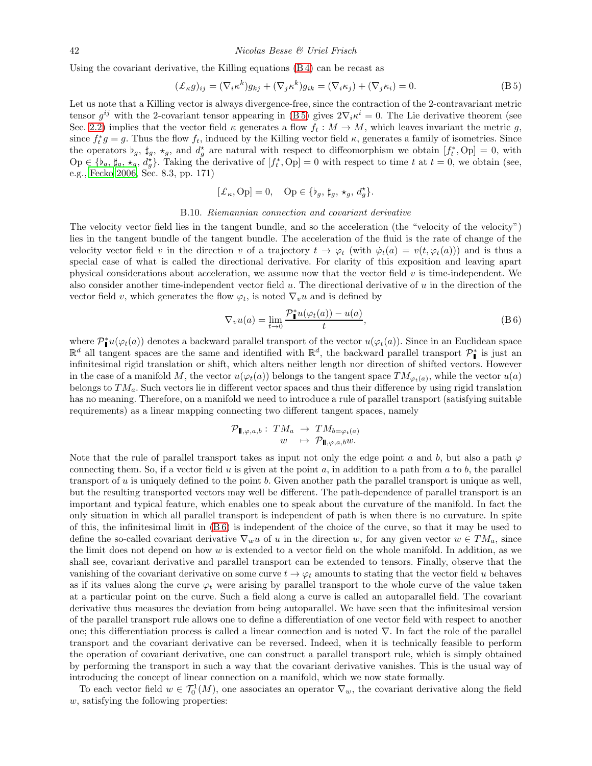Using the covariant derivative, the Killing equations [\(B 4\)](#page-40-1) can be recast as

<span id="page-41-1"></span>
$$
(\mathcal{L}_{\kappa}g)_{ij} = (\nabla_i \kappa^k)g_{kj} + (\nabla_j \kappa^k)g_{ik} = (\nabla_i \kappa_j) + (\nabla_j \kappa_i) = 0.
$$
 (B 5)

Let us note that a Killing vector is always divergence-free, since the contraction of the 2-contravariant metric tensor  $g^{ij}$  with the 2-covariant tensor appearing in (B5) gives  $2\nabla_i \kappa^i = 0$ . The Lie derivative theorem (see Sec. [2.2\)](#page-2-0) implies that the vector field  $\kappa$  generates a flow  $f_t : M \to M$ , which leaves invariant the metric g, since  $f_t^*g = g$ . Thus the flow  $f_t$ , induced by the Killing vector field  $\kappa$ , generates a family of isometries. Since the operators  $\natural_g$ ,  $\sharp_g$ ,  $\star_g$ , and  $d_g^*$  are natural with respect to diffeomorphism we obtain  $[f_t^*, Op] = 0$ , with  $\text{Op} \in \{b_g, \sharp_g, \star_g, d_g^*\}.$  Taking the derivative of  $[f_t^*, \text{Op}] = 0$  with respect to time t at  $t = 0$ , we obtain (see, e.g., [Fecko 2006,](#page-47-29) Sec. 8.3, pp. 171)

$$
[\pounds_{\kappa},\textup{Op}] = 0, \quad \textup{Op} \in \{\flat_g,\,\sharp_g,\,\star_g,\,d_g^\star\}.
$$

#### B.10. Riemannian connection and covariant derivative

<span id="page-41-0"></span>The velocity vector field lies in the tangent bundle, and so the acceleration (the "velocity of the velocity") lies in the tangent bundle of the tangent bundle. The acceleration of the fluid is the rate of change of the velocity vector field v in the direction v of a trajectory  $t \to \varphi_t$  (with  $\dot{\varphi}_t(a) = v(t, \varphi_t(a))$ ) and is thus a special case of what is called the directional derivative. For clarity of this exposition and leaving apart physical considerations about acceleration, we assume now that the vector field  $v$  is time-independent. We also consider another time-independent vector field  $u$ . The directional derivative of  $u$  in the direction of the vector field v, which generates the flow  $\varphi_t$ , is noted  $\nabla_v u$  and is defined by

<span id="page-41-2"></span>
$$
\nabla_v u(a) = \lim_{t \to 0} \frac{\mathcal{P}_{\mathbf{II}}^* u(\varphi_t(a)) - u(a)}{t}, \tag{B 6}
$$

where  $\mathcal{P}_{\parallel}^* u(\varphi_t(a))$  denotes a backward parallel transport of the vector  $u(\varphi_t(a))$ . Since in an Euclidean space  $\mathbb{R}^d$  all tangent spaces are the same and identified with  $\mathbb{R}^d$ , the backward parallel transport  $\mathcal{P}_\parallel^*$  is just an infinitesimal rigid translation or shift, which alters neither length nor direction of shifted vectors. However in the case of a manifold M, the vector  $u(\varphi_t(a))$  belongs to the tangent space  $TM_{\varphi_t(a)}$ , while the vector  $u(a)$ belongs to  $TM_a$ . Such vectors lie in different vector spaces and thus their difference by using rigid translation has no meaning. Therefore, on a manifold we need to introduce a rule of parallel transport (satisfying suitable requirements) as a linear mapping connecting two different tangent spaces, namely

$$
\mathcal{P}_{\mathbb{I},\varphi,a,b}:\ TM_a \rightarrow TM_{b=\varphi_t(a)}\nw \mapsto \mathcal{P}_{\mathbb{I},\varphi,a,b}w.
$$

Note that the rule of parallel transport takes as input not only the edge point a and b, but also a path  $\varphi$ connecting them. So, if a vector field u is given at the point a, in addition to a path from a to b, the parallel transport of  $u$  is uniquely defined to the point  $b$ . Given another path the parallel transport is unique as well, but the resulting transported vectors may well be different. The path-dependence of parallel transport is an important and typical feature, which enables one to speak about the curvature of the manifold. In fact the only situation in which all parallel transport is independent of path is when there is no curvature. In spite of this, the infinitesimal limit in [\(B 6\)](#page-41-2) is independent of the choice of the curve, so that it may be used to define the so-called covariant derivative  $\nabla_w u$  of u in the direction w, for any given vector  $w \in TM_a$ , since the limit does not depend on how w is extended to a vector field on the whole manifold. In addition, as we shall see, covariant derivative and parallel transport can be extended to tensors. Finally, observe that the vanishing of the covariant derivative on some curve  $t \to \varphi_t$  amounts to stating that the vector field u behaves as if its values along the curve  $\varphi_t$  were arising by parallel transport to the whole curve of the value taken at a particular point on the curve. Such a field along a curve is called an autoparallel field. The covariant derivative thus measures the deviation from being autoparallel. We have seen that the infinitesimal version of the parallel transport rule allows one to define a differentiation of one vector field with respect to another one; this differentiation process is called a linear connection and is noted ∇. In fact the role of the parallel transport and the covariant derivative can be reversed. Indeed, when it is technically feasible to perform the operation of covariant derivative, one can construct a parallel transport rule, which is simply obtained by performing the transport in such a way that the covariant derivative vanishes. This is the usual way of introducing the concept of linear connection on a manifold, which we now state formally.

To each vector field  $w \in \mathcal{T}_0^1(M)$ , one associates an operator  $\nabla_w$ , the covariant derivative along the field w, satisfying the following properties: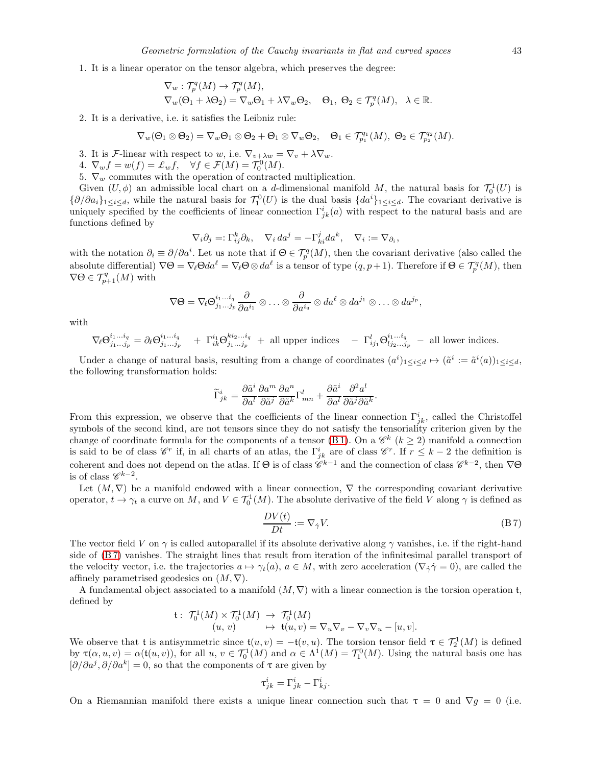1. It is a linear operator on the tensor algebra, which preserves the degree:

$$
\begin{aligned} &\nabla_w:\mathcal{T}_p^q(M)\rightarrow \mathcal{T}_p^q(M),\\ &\nabla_w(\Theta_1+\lambda\Theta_2)=\nabla_w\Theta_1+\lambda\nabla_w\Theta_2, \quad \Theta_1, \ \Theta_2\in \mathcal{T}_p^q(M), \ \ \lambda\in \mathbb{R}. \end{aligned}
$$

2. It is a derivative, i.e. it satisfies the Leibniz rule:

$$
\nabla_w(\Theta_1\otimes\Theta_2)=\nabla_w\Theta_1\otimes\Theta_2+\Theta_1\otimes\nabla_w\Theta_2,\quad \Theta_1\in\mathcal T^{q_1}_{p_1}(M),\ \Theta_2\in\mathcal T^{q_2}_{p_2}(M).
$$

- 3. It is *F*-linear with respect to w, i.e.  $\nabla_{v+\lambda w} = \nabla_v + \lambda \nabla_w$ .
- 4.  $\nabla_w f = w(f) = \pounds_w f, \quad \forall f \in \mathcal{F}(M) = \mathcal{T}_0^0(M).$
- 5.  $\nabla_w$  commutes with the operation of contracted multiplication.

Given  $(U, \phi)$  an admissible local chart on a d-dimensional manifold M, the natural basis for  $\mathcal{T}_0^1(U)$  is  $\{\partial/\partial a_i\}_{1\leq i\leq d}$ , while the natural basis for  $\mathcal{T}_1^0(U)$  is the dual basis  $\{da^i\}_{1\leq i\leq d}$ . The covariant derivative is uniquely specified by the coefficients of linear connection  $\Gamma^i_{jk}(a)$  with respect to the natural basis and are functions defined by

$$
\nabla_i \partial_j =: \Gamma_{ij}^k \partial_k, \quad \nabla_i \, da^j = -\Gamma_{ki}^j da^k, \quad \nabla_i := \nabla_{\partial_i},
$$

with the notation  $\partial_i \equiv \partial/\partial a^i$ . Let us note that if  $\Theta \in \mathcal{T}_{p}^q(M)$ , then the covariant derivative (also called the absolute differential)  $\nabla \Theta = \nabla_{\ell} \Theta d a^{\ell} = \nabla_{\ell} \Theta \otimes d a^{\ell}$  is a tensor of type  $(q, p + 1)$ . Therefore if  $\Theta \in \mathcal{T}_{p}^{q}(M)$ , then  $\nabla\Theta \in \mathcal{T}_{p+1}^q(M)$  with

$$
\nabla\Theta=\nabla_{\ell}\Theta^{i_1...i_q}_{j_1...j_p}\frac{\partial}{\partial a^{i_1}}\otimes\ldots\otimes\frac{\partial}{\partial a^{i_q}}\otimes da^{\ell}\otimes da^{j_1}\otimes\ldots\otimes da^{j_p},
$$

with

$$
\nabla_{\ell} \Theta^{i_1 \dots i_q}_{j_1 \dots j_p} = \partial_{\ell} \Theta^{i_1 \dots i_q}_{j_1 \dots j_p} + \Gamma^{i_1}_{ik} \Theta^{k i_2 \dots i_q}_{j_1 \dots j_p} + \text{all upper indices } -\Gamma^{l}_{ij_1} \Theta^{i_1 \dots i_q}_{lj_2 \dots j_p} - \text{all lower indices.}
$$

Under a change of natural basis, resulting from a change of coordinates  $(a^i)_{1 \leq i \leq d} \mapsto (\tilde{a}^i := \tilde{a}^i(a))_{1 \leq i \leq d}$ the following transformation holds:

$$
\widetilde{\Gamma}^i_{jk} = \frac{\partial \widetilde{a}^i}{\partial a^l} \frac{\partial a^m}{\partial \widetilde{a}^j} \frac{\partial a^n}{\partial \widetilde{a}^k} \Gamma^l_{mn} + \frac{\partial \widetilde{a}^i}{\partial a^l} \frac{\partial^2 a^l}{\partial \widetilde{a}^j \partial \widetilde{a}^k}
$$

From this expression, we observe that the coefficients of the linear connection  $\Gamma^i_{jk}$ , called the Christoffel symbols of the second kind, are not tensors since they do not satisfy the tensoriality criterion given by the change of coordinate formula for the components of a tensor [\(B 1\)](#page-36-1). On a  $\mathscr{C}^k$  ( $k \geq 2$ ) manifold a connection is said to be of class  $\mathscr{C}^r$  if, in all charts of an atlas, the  $\Gamma^i_{jk}$  are of class  $\mathscr{C}^r$ . If  $r \leq k-2$  the definition is coherent and does not depend on the atlas. If  $\Theta$  is of class  $\mathscr{C}^{k-1}$  and the connection of class  $\mathscr{C}^{k-2}$ , then  $\nabla\Theta$ is of class  $\mathscr{C}^{k-2}$ .

Let  $(M, \nabla)$  be a manifold endowed with a linear connection,  $\nabla$  the corresponding covariant derivative operator,  $t \to \gamma_t$  a curve on M, and  $V \in \mathcal{T}_0^1(M)$ . The absolute derivative of the field V along  $\gamma$  is defined as

<span id="page-42-0"></span>
$$
\frac{DV(t)}{Dt} := \nabla_{\dot{\gamma}} V. \tag{B 7}
$$

.

The vector field V on  $\gamma$  is called autoparallel if its absolute derivative along  $\gamma$  vanishes, i.e. if the right-hand side of [\(B 7\)](#page-42-0) vanishes. The straight lines that result from iteration of the infinitesimal parallel transport of the velocity vector, i.e. the trajectories  $a \mapsto \gamma_t(a)$ ,  $a \in M$ , with zero acceleration  $(\nabla_i \gamma = 0)$ , are called the affinely parametrised geodesics on  $(M, \nabla)$ .

A fundamental object associated to a manifold  $(M, \nabla)$  with a linear connection is the torsion operation t, defined by

$$
\begin{array}{rcl}\n\mathfrak{t}: & \mathcal{T}_{0}^{1}(M) \times \mathcal{T}_{0}^{1}(M) \rightarrow \mathcal{T}_{0}^{1}(M) \\
(u, v) & \mapsto \mathfrak{t}(u, v) = \nabla_{u} \nabla_{v} - \nabla_{v} \nabla_{u} - [u, v].\n\end{array}
$$

We observe that t is antisymmetric since  $\mathfrak{t}(u, v) = -\mathfrak{t}(v, u)$ . The torsion tensor field  $\tau \in \mathcal{T}_2^1(M)$  is defined by  $\tau(\alpha, u, v) = \alpha(\mathfrak{t}(u, v))$ , for all  $u, v \in \mathcal{T}_0^1(M)$  and  $\alpha \in \Lambda^1(M) = \mathcal{T}_1^0(M)$ . Using the natural basis one has  $[\partial/\partial a^j, \partial/\partial a^k] = 0$ , so that the components of  $\tau$  are given by

$$
\tau^i_{jk} = \Gamma^i_{jk} - \Gamma^i_{kj}.
$$

On a Riemannian manifold there exists a unique linear connection such that  $\tau = 0$  and  $\nabla g = 0$  (i.e.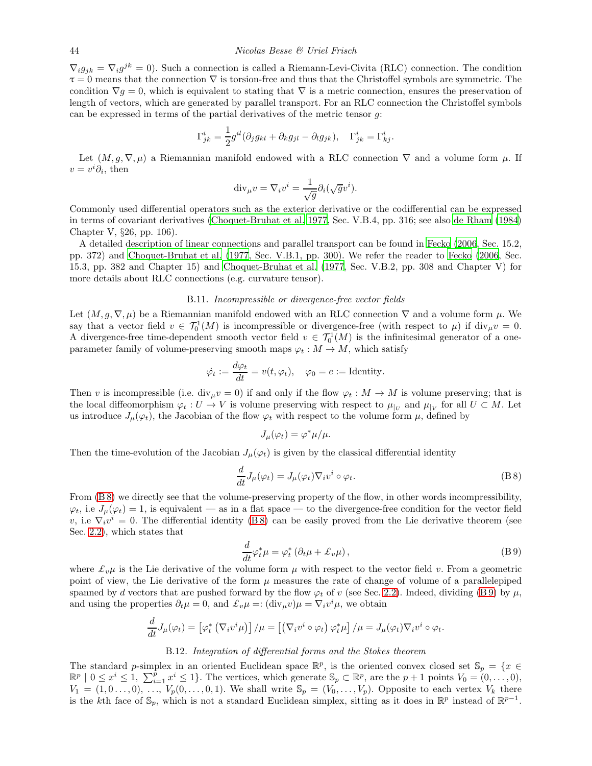$\nabla_i g_{jk} = \nabla_i g^{jk} = 0$ . Such a connection is called a Riemann-Levi-Civita (RLC) connection. The condition  $\tau = 0$  means that the connection  $\nabla$  is torsion-free and thus that the Christoffel symbols are symmetric. The condition  $\nabla g = 0$ , which is equivalent to stating that  $\nabla$  is a metric connection, ensures the preservation of length of vectors, which are generated by parallel transport. For an RLC connection the Christoffel symbols can be expressed in terms of the partial derivatives of the metric tensor g:

$$
\Gamma^i_{jk} = \frac{1}{2} g^{il} (\partial_j g_{kl} + \partial_k g_{jl} - \partial_l g_{jk}), \quad \Gamma^i_{jk} = \Gamma^i_{kj}.
$$

Let  $(M, g, \nabla, \mu)$  a Riemannian manifold endowed with a RLC connection  $\nabla$  and a volume form  $\mu$ . If  $v = v^i \partial_i$ , then

$$
\mathrm{div}_{\mu}v = \nabla_i v^i = \frac{1}{\sqrt{g}} \partial_i (\sqrt{g}v^i).
$$

Commonly used differential operators such as the exterior derivative or the codifferential can be expressed in terms of covariant derivatives [\(Choquet-Bruhat et al. 1977,](#page-47-36) Sec. V.B.4, pp. 316; see also [de Rham \(1984\)](#page-47-37) Chapter V, §26, pp. 106).

A detailed description of linear connections and parallel transport can be found in [Fecko \(2006](#page-47-29), Sec. 15.2, pp. 372) and [Choquet-Bruhat et al. \(1977](#page-47-36), Sec. V.B.1, pp. 300). We refer the reader to [Fecko \(2006,](#page-47-29) Sec. 15.3, pp. 382 and Chapter 15) and [Choquet-Bruhat et al. \(1977,](#page-47-36) Sec. V.B.2, pp. 308 and Chapter V) for more details about RLC connections (e.g. curvature tensor).

# B.11. Incompressible or divergence-free vector fields

Let  $(M, g, \nabla, \mu)$  be a Riemannian manifold endowed with an RLC connection  $\nabla$  and a volume form  $\mu$ . We say that a vector field  $v \in \mathcal{T}_0^1(M)$  is incompressible or divergence-free (with respect to  $\mu$ ) if  $\text{div}_{\mu}v = 0$ . A divergence-free time-dependent smooth vector field  $v \in \mathcal{T}_0^1(M)$  is the infinitesimal generator of a oneparameter family of volume-preserving smooth maps  $\varphi_t : M \to M$ , which satisfy

$$
\dot{\varphi}_t := \frac{d\varphi_t}{dt} = v(t, \varphi_t), \quad \varphi_0 = e := \text{Identity}.
$$

Then v is incompressible (i.e.  $div_{\mu}v = 0$ ) if and only if the flow  $\varphi_t : M \to M$  is volume preserving; that is the local diffeomorphism  $\varphi_t: U \to V$  is volume preserving with respect to  $\mu_{|U}$  and  $\mu_{|V}$  for all  $U \subset M$ . Let us introduce  $J_\mu(\varphi_t)$ , the Jacobian of the flow  $\varphi_t$  with respect to the volume form  $\mu$ , defined by

$$
J_{\mu}(\varphi_t) = \varphi^* \mu / \mu.
$$

Then the time-evolution of the Jacobian  $J_{\mu}(\varphi_t)$  is given by the classical differential identity

<span id="page-43-1"></span>
$$
\frac{d}{dt}J_{\mu}(\varphi_{t}) = J_{\mu}(\varphi_{t})\nabla_{i}v^{i} \circ \varphi_{t}.
$$
\n(B8)

From  $(B 8)$  we directly see that the volume-preserving property of the flow, in other words incompressibility,  $\varphi_t$ , i.e  $J_\mu(\varphi_t) = 1$ , is equivalent — as in a flat space — to the divergence-free condition for the vector field v, i.e  $\nabla_i v^i = 0$ . The differential identity (B8) can be easily proved from the Lie derivative theorem (see Sec. [2.2\)](#page-2-0), which states that

<span id="page-43-2"></span>
$$
\frac{d}{dt}\varphi_t^*\mu = \varphi_t^* \left(\partial_t \mu + \pounds_v \mu\right),\tag{B.9}
$$

where  $\mathcal{L}_v\mu$  is the Lie derivative of the volume form  $\mu$  with respect to the vector field v. From a geometric point of view, the Lie derivative of the form  $\mu$  measures the rate of change of volume of a parallelepiped spanned by d vectors that are pushed forward by the flow  $\varphi_t$  of v (see Sec. [2.2\)](#page-2-0). Indeed, dividing [\(B 9\)](#page-43-2) by  $\mu$ , and using the properties  $\partial_t \mu = 0$ , and  $\mathcal{L}_v \mu =: (\text{div}_{\mu} v) \mu = \nabla_i v^i \mu$ , we obtain

$$
\frac{d}{dt}J_{\mu}(\varphi_t) = \left[\varphi_t^* \left(\nabla_i v^i \mu\right)\right] / \mu = \left[\left(\nabla_i v^i \circ \varphi_t\right) \varphi_t^* \mu\right] / \mu = J_{\mu}(\varphi_t) \nabla_i v^i \circ \varphi_t.
$$

#### B.12. Integration of differential forms and the Stokes theorem

<span id="page-43-0"></span>The standard p-simplex in an oriented Euclidean space  $\mathbb{R}^p$ , is the oriented convex closed set  $\mathbb{S}_p = \{x \in \mathbb{R}^p\}$  $\mathbb{R}^p \mid 0 \leq x^i \leq 1, \sum_{i=1}^p x^i \leq 1$ . The vertices, which generate  $\mathbb{S}_p \subset \mathbb{R}^p$ , are the  $p+1$  points  $V_0 = (0, \ldots, 0)$ ,  $V_1 = (1, 0, \ldots, 0), \ldots, V_p(0, \ldots, 0, 1)$ . We shall write  $\mathbb{S}_p = (V_0, \ldots, V_p)$ . Opposite to each vertex  $V_k$  there is the kth face of  $\mathbb{S}_p$ , which is not a standard Euclidean simplex, sitting as it does in  $\mathbb{R}^p$  instead of  $\mathbb{R}^{p-1}$ .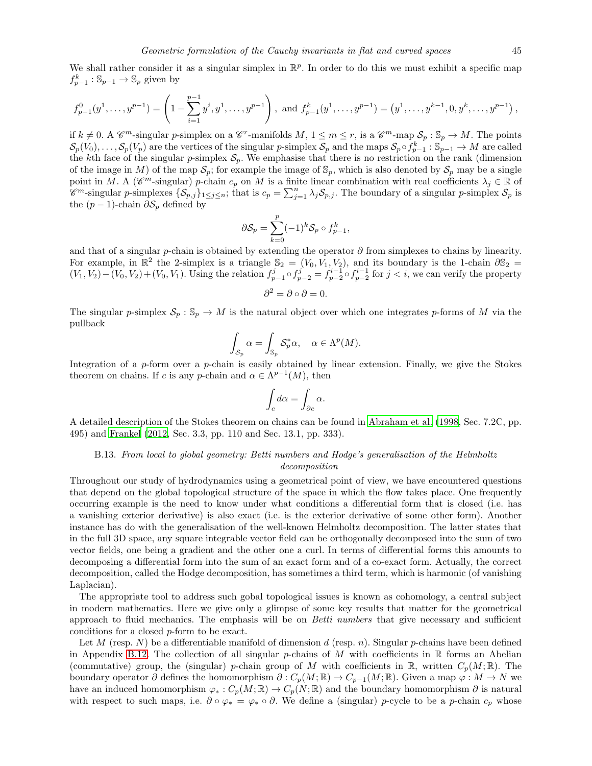We shall rather consider it as a singular simplex in  $\mathbb{R}^p$ . In order to do this we must exhibit a specific map  $f_{p-1}^k : \mathbb{S}_{p-1} \to \mathbb{S}_p$  given by

$$
f_{p-1}^0(y^1,\ldots,y^{p-1}) = \left(1 - \sum_{i=1}^{p-1} y^i, y^1,\ldots,y^{p-1}\right), \text{ and } f_{p-1}^k(y^1,\ldots,y^{p-1}) = \left(y^1,\ldots,y^{k-1},0,y^k,\ldots,y^{p-1}\right),
$$

if  $k \neq 0$ . A  $\mathscr{C}^m$ -simplex on a  $\mathscr{C}^r$ -manifolds  $M, 1 \leq m \leq r$ , is a  $\mathscr{C}^m$ -map  $\mathcal{S}_p : \mathbb{S}_p \to M$ . The points  $\mathcal{S}_p(V_0),\ldots,\mathcal{S}_p(V_p)$  are the vertices of the singular p-simplex  $\mathcal{S}_p$  and the maps  $\mathcal{S}_p \circ f_{p-1}^k : \mathbb{S}_{p-1} \to M$  are called the kth face of the singular p-simplex  $S_p$ . We emphasise that there is no restriction on the rank (dimension of the image in M) of the map  $S_p$ ; for example the image of  $\mathbb{S}_p$ , which is also denoted by  $S_p$  may be a single point in M. A ( $\mathscr{C}^m$ -singular) p-chain  $c_p$  on M is a finite linear combination with real coefficients  $\lambda_j \in \mathbb{R}$  of  $\mathscr{C}^m$ -singular p-simplexes  $\{\mathcal{S}_{p,j}\}_{1\leq j\leq n}$ ; that is  $c_p = \sum_{j=1}^n \lambda_j \mathcal{S}_{p,j}$ . The boundary of a singular p-simplex  $\mathcal{S}_p$  is the  $(p-1)$ -chain  $\partial S_p$  defined by

$$
\partial \mathcal{S}_p = \sum_{k=0}^p (-1)^k \mathcal{S}_p \circ f_{p-1}^k,
$$

and that of a singular p-chain is obtained by extending the operator  $\partial$  from simplexes to chains by linearity. For example, in  $\mathbb{R}^2$  the 2-simplex is a triangle  $\mathbb{S}_2 = (V_0, V_1, V_2)$ , and its boundary is the 1-chain  $\partial \mathbb{S}_2 =$  $(V_1, V_2) - (V_0, V_2) + (V_0, V_1)$ . Using the relation  $f_{p-1}^j \circ f_{p-2}^j = f_{p-2}^{i-1} \circ f_{p-2}^{i-1}$  for  $j < i$ , we can verify the property

$$
\partial^2 = \partial \circ \partial = 0.
$$

The singular p-simplex  $S_p : \mathbb{S}_p \to M$  is the natural object over which one integrates p-forms of M via the pullback

$$
\int_{\mathcal{S}_p} \alpha = \int_{\mathbb{S}_p} \mathcal{S}_p^* \alpha, \quad \alpha \in \Lambda^p(M).
$$

Integration of a  $p$ -form over a  $p$ -chain is easily obtained by linear extension. Finally, we give the Stokes theorem on chains. If c is any p-chain and  $\alpha \in \Lambda^{p-1}(M)$ , then

$$
\int_c d\alpha = \int_{\partial c} \alpha.
$$

<span id="page-44-0"></span>A detailed description of the Stokes theorem on chains can be found in [Abraham et al. \(1998](#page-46-2), Sec. 7.2C, pp. 495) and [Frankel \(2012,](#page-47-30) Sec. 3.3, pp. 110 and Sec. 13.1, pp. 333).

# B.13. From local to global geometry: Betti numbers and Hodge's generalisation of the Helmholtz decomposition

Throughout our study of hydrodynamics using a geometrical point of view, we have encountered questions that depend on the global topological structure of the space in which the flow takes place. One frequently occurring example is the need to know under what conditions a differential form that is closed (i.e. has a vanishing exterior derivative) is also exact (i.e. is the exterior derivative of some other form). Another instance has do with the generalisation of the well-known Helmholtz decomposition. The latter states that in the full 3D space, any square integrable vector field can be orthogonally decomposed into the sum of two vector fields, one being a gradient and the other one a curl. In terms of differential forms this amounts to decomposing a differential form into the sum of an exact form and of a co-exact form. Actually, the correct decomposition, called the Hodge decomposition, has sometimes a third term, which is harmonic (of vanishing Laplacian).

The appropriate tool to address such gobal topological issues is known as cohomology, a central subject in modern mathematics. Here we give only a glimpse of some key results that matter for the geometrical approach to fluid mechanics. The emphasis will be on Betti numbers that give necessary and sufficient conditions for a closed p-form to be exact.

Let M (resp. N) be a differentiable manifold of dimension d (resp. n). Singular p-chains have been defined in Appendix [B.12.](#page-43-0) The collection of all singular p-chains of M with coefficients in  $\mathbb R$  forms an Abelian (commutative) group, the (singular) p-chain group of M with coefficients in R, written  $C_p(M;\mathbb{R})$ . The boundary operator  $\partial$  defines the homomorphism  $\partial: C_p(M; \mathbb{R}) \to C_{p-1}(M; \mathbb{R})$ . Given a map  $\varphi: M \to N$  we have an induced homomorphism  $\varphi_* : C_p(M; \mathbb{R}) \to C_p(N; \mathbb{R})$  and the boundary homomorphism  $\partial$  is natural with respect to such maps, i.e.  $\partial \circ \varphi_* = \varphi_* \circ \partial$ . We define a (singular) p-cycle to be a p-chain  $c_p$  whose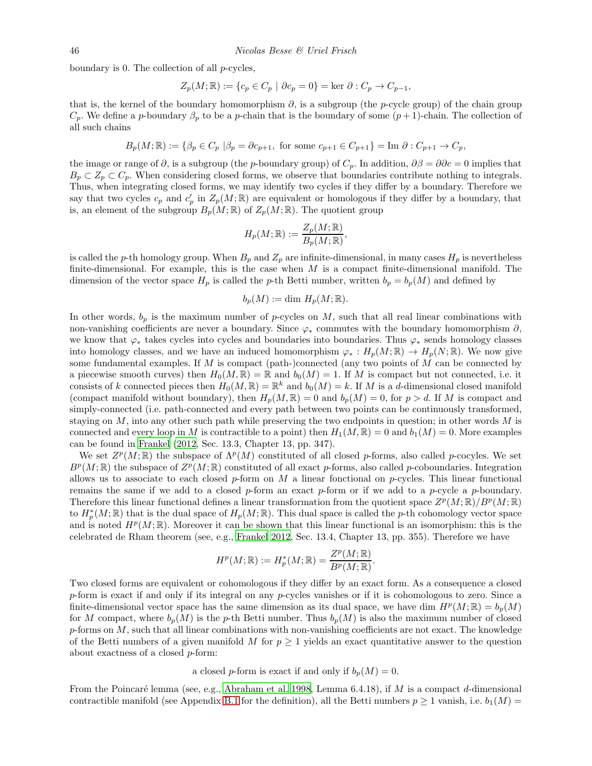boundary is 0. The collection of all  $p$ -cycles,

$$
Z_p(M; \mathbb{R}) := \{c_p \in C_p \mid \partial c_p = 0\} = \ker \partial : C_p \to C_{p-1},
$$

that is, the kernel of the boundary homomorphism  $\partial$ , is a subgroup (the p-cycle group) of the chain group  $C_p$ . We define a p-boundary  $\beta_p$  to be a p-chain that is the boundary of some  $(p+1)$ -chain. The collection of all such chains

$$
B_p(M;\mathbb{R}) := \{\beta_p \in C_p \ | \beta_p = \partial c_{p+1}, \text{ for some } c_{p+1} \in C_{p+1}\} = \text{Im } \partial : C_{p+1} \to C_p,
$$

the image or range of  $\partial$ , is a subgroup (the *p*-boundary group) of  $C_p$ . In addition,  $\partial \beta = \partial \partial c = 0$  implies that  $B_p \subset Z_p \subset C_p$ . When considering closed forms, we observe that boundaries contribute nothing to integrals. Thus, when integrating closed forms, we may identify two cycles if they differ by a boundary. Therefore we say that two cycles  $c_p$  and  $c'_p$  in  $Z_p(M;\mathbb{R})$  are equivalent or homologous if they differ by a boundary, that is, an element of the subgroup  $B_p(M; \mathbb{R})$  of  $Z_p(M; \mathbb{R})$ . The quotient group

$$
H_p(M; \mathbb{R}) := \frac{Z_p(M; \mathbb{R})}{B_p(M; \mathbb{R})},
$$

is called the p-th homology group. When  $B_p$  and  $Z_p$  are infinite-dimensional, in many cases  $H_p$  is nevertheless finite-dimensional. For example, this is the case when  $M$  is a compact finite-dimensional manifold. The dimension of the vector space  $H_p$  is called the p-th Betti number, written  $b_p = b_p(M)$  and defined by

$$
b_p(M) := \dim H_p(M; \mathbb{R}).
$$

In other words,  $b_p$  is the maximum number of p-cycles on M, such that all real linear combinations with non-vanishing coefficients are never a boundary. Since  $\varphi_*$  commutes with the boundary homomorphism ∂, we know that  $\varphi_*$  takes cycles into cycles and boundaries into boundaries. Thus  $\varphi_*$  sends homology classes into homology classes, and we have an induced homomorphism  $\varphi_* : H_p(M; \mathbb{R}) \to H_p(N; \mathbb{R})$ . We now give some fundamental examples. If  $M$  is compact (path-)connected (any two points of  $M$  can be connected by a piecewise smooth curves) then  $H_0(M, \mathbb{R}) = \mathbb{R}$  and  $b_0(M) = 1$ . If M is compact but not connected, i.e. it consists of k connected pieces then  $H_0(M, \mathbb{R}) = \mathbb{R}^k$  and  $b_0(M) = k$ . If M is a d-dimensional closed manifold (compact manifold without boundary), then  $H_p(M, \mathbb{R}) = 0$  and  $b_p(M) = 0$ , for  $p > d$ . If M is compact and simply-connected (i.e. path-connected and every path between two points can be continuously transformed, staying on  $M$ , into any other such path while preserving the two endpoints in question; in other words  $M$  is connected and every loop in M is contractible to a point) then  $H_1(M, \mathbb{R}) = 0$  and  $b_1(M) = 0$ . More examples can be found in [Frankel \(2012,](#page-47-30) Sec. 13.3, Chapter 13, pp. 347).

We set  $Z^p(M; \mathbb{R})$  the subspace of  $\Lambda^p(M)$  constituted of all closed p-forms, also called p-cocyles. We set  $B^p(M;\mathbb{R})$  the subspace of  $Z^p(M;\mathbb{R})$  constituted of all exact p-forms, also called p-coboundaries. Integration allows us to associate to each closed  $p$ -form on M a linear functional on p-cycles. This linear functional remains the same if we add to a closed p-form an exact p-form or if we add to a p-cycle a p-boundary. Therefore this linear functional defines a linear transformation from the quotient space  $Z^p(M; \mathbb{R})/B^p(M; \mathbb{R})$ to  $H_p^*(M;\mathbb{R})$  that is the dual space of  $H_p(M;\mathbb{R})$ . This dual space is called the p-th cohomology vector space and is noted  $H^p(M;\mathbb{R})$ . Moreover it can be shown that this linear functional is an isomorphism: this is the celebrated de Rham theorem (see, e.g., [Frankel 2012,](#page-47-30) Sec. 13.4, Chapter 13, pp. 355). Therefore we have

$$
H^p(M; \mathbb{R}) := H^*_p(M; \mathbb{R}) = \frac{Z^p(M; \mathbb{R})}{B^p(M; \mathbb{R})}.
$$

Two closed forms are equivalent or cohomologous if they differ by an exact form. As a consequence a closed p-form is exact if and only if its integral on any p-cycles vanishes or if it is cohomologous to zero. Since a finite-dimensional vector space has the same dimension as its dual space, we have dim  $H^p(M; \mathbb{R}) = b_p(M)$ for M compact, where  $b_p(M)$  is the p-th Betti number. Thus  $b_p(M)$  is also the maximum number of closed  $p$ -forms on  $M$ , such that all linear combinations with non-vanishing coefficients are not exact. The knowledge of the Betti numbers of a given manifold M for  $p \geq 1$  yields an exact quantitative answer to the question about exactness of a closed p-form:

a closed p-form is exact if and only if  $b_n(M) = 0$ .

From the Poincaré lemma (see, e.g., [Abraham et al. 1998,](#page-46-2) Lemma 6.4.18), if M is a compact d-dimensional contractible manifold (see Appendix [B.1](#page-33-1) for the definition), all the Betti numbers  $p \ge 1$  vanish, i.e.  $b_1(M)$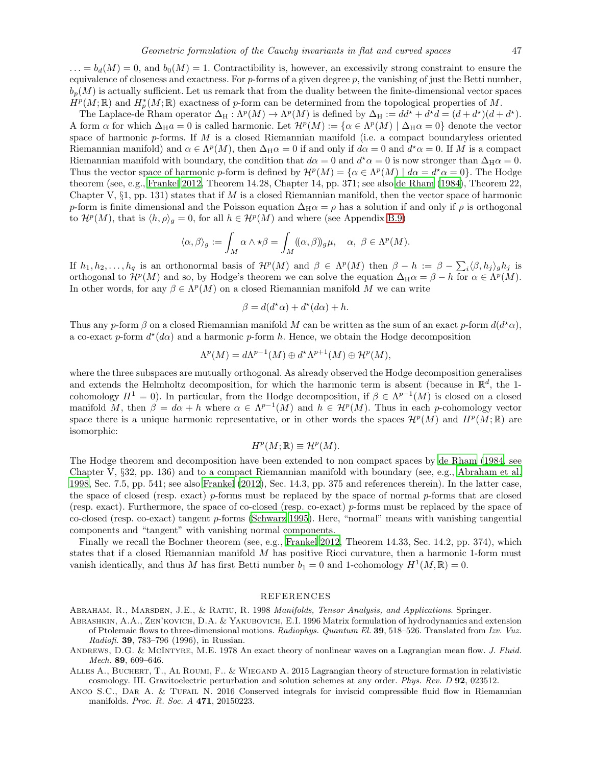$\ldots = b_d(M) = 0$ , and  $b_0(M) = 1$ . Contractibility is, however, an excessivily strong constraint to ensure the equivalence of closeness and exactness. For  $p$ -forms of a given degree  $p$ , the vanishing of just the Betti number,  $b_n(M)$  is actually sufficient. Let us remark that from the duality between the finite-dimensional vector spaces  $\dot{H}^p(M;\mathbb{R})$  and  $H^*_p(M;\mathbb{R})$  exactness of p-form can be determined from the topological properties of M.

The Laplace-de Rham operator  $\Delta_H : \Lambda^p(M) \to \Lambda^p(M)$  is defined by  $\Delta_H := dd^* + d^*d = (d + d^*)(d + d^*)$ . A form  $\alpha$  for which  $\Delta_{\text{H}}a = 0$  is called harmonic. Let  $\mathcal{H}^p(M) := {\alpha \in \Lambda^p(M) \mid \Delta_{\text{H}}\alpha = 0}$  denote the vector space of harmonic  $p$ -forms. If M is a closed Riemannian manifold (i.e. a compact boundaryless oriented Riemannian manifold) and  $\alpha \in \Lambda^p(M)$ , then  $\Delta_H \alpha = 0$  if and only if  $d\alpha = 0$  and  $d^* \alpha = 0$ . If M is a compact Riemannian manifold with boundary, the condition that  $d\alpha = 0$  and  $d^* \alpha = 0$  is now stronger than  $\Delta_H \alpha = 0$ . Thus the vector space of harmonic p-form is defined by  $\mathcal{H}^p(M) = \{ \alpha \in \Lambda^p(M) \mid d\alpha = d^{\star}\alpha = 0 \}.$  The Hodge theorem (see, e.g., [Frankel 2012](#page-47-30), Theorem 14.28, Chapter 14, pp. 371; see also [de Rham \(1984\)](#page-47-37), Theorem 22, Chapter V,  $\S$ 1, pp. 131) states that if M is a closed Riemannian manifold, then the vector space of harmonic p-form is finite dimensional and the Poisson equation  $\Delta_H \alpha = \rho$  has a solution if and only if  $\rho$  is orthogonal to  $\mathcal{H}^p(M)$ , that is  $\langle h, \rho \rangle_g = 0$ , for all  $h \in \mathcal{H}^p(M)$  and where (see Appendix [B.9\)](#page-39-1)

$$
\langle \alpha, \beta \rangle_g := \int_M \alpha \wedge \star \beta = \int_M ((\alpha, \beta))_g \mu, \quad \alpha, \ \beta \in \Lambda^p(M).
$$

If  $h_1, h_2, \ldots, h_q$  is an orthonormal basis of  $\mathcal{H}^p(M)$  and  $\beta \in \Lambda^p(M)$  then  $\beta - h := \beta - \sum_i \langle \beta, h_j \rangle_g h_j$  is orthogonal to  $\mathcal{H}^p(M)$  and so, by Hodge's theorem we can solve the equation  $\Delta_H \alpha = \beta - h$  for  $\alpha \in \Lambda^p(M)$ . In other words, for any  $\beta \in \Lambda^p(M)$  on a closed Riemannian manifold M we can write

$$
\beta = d(d^{\star}\alpha) + d^{\star}(d\alpha) + h.
$$

Thus any p-form  $\beta$  on a closed Riemannian manifold M can be written as the sum of an exact p-form  $d(d^*\alpha)$ , a co-exact p-form  $d^*(d\alpha)$  and a harmonic p-form h. Hence, we obtain the Hodge decomposition

$$
\Lambda^p(M) = d\Lambda^{p-1}(M) \oplus d^{\star}\Lambda^{p+1}(M) \oplus \mathcal{H}^p(M),
$$

where the three subspaces are mutually orthogonal. As already observed the Hodge decomposition generalises and extends the Helmholtz decomposition, for which the harmonic term is absent (because in  $\mathbb{R}^d$ , the 1cohomology  $H^1 = 0$ ). In particular, from the Hodge decomposition, if  $\beta \in \Lambda^{p-1}(M)$  is closed on a closed manifold M, then  $\beta = d\alpha + h$  where  $\alpha \in \Lambda^{p-1}(M)$  and  $h \in \mathcal{H}^p(M)$ . Thus in each p-cohomology vector space there is a unique harmonic representative, or in other words the spaces  $\mathcal{H}^p(M)$  and  $H^p(M;\mathbb{R})$  are isomorphic:

$$
H^p(M;{\Bbb R}) \equiv {\mathcal H}^p(M).
$$

The Hodge theorem and decomposition have been extended to non compact spaces by [de Rham \(1984,](#page-47-37) see Chapter V, §32, pp. 136) and to a compact Riemannian manifold with boundary (see, e.g., [Abraham et al.](#page-46-2) [1998,](#page-46-2) Sec. 7.5, pp. 541; see also [Frankel \(2012\)](#page-47-30), Sec. 14.3, pp. 375 and references therein). In the latter case, the space of closed (resp. exact) p-forms must be replaced by the space of normal p-forms that are closed (resp. exact). Furthermore, the space of co-closed (resp. co-exact) p-forms must be replaced by the space of co-closed (resp. co-exact) tangent p-forms [\(Schwarz 1995](#page-49-17)). Here, "normal" means with vanishing tangential components and "tangent" with vanishing normal components.

Finally we recall the Bochner theorem (see, e.g., [Frankel 2012,](#page-47-30) Theorem 14.33, Sec. 14.2, pp. 374), which states that if a closed Riemannian manifold  $M$  has positive Ricci curvature, then a harmonic 1-form must vanish identically, and thus M has first Betti number  $b_1 = 0$  and 1-cohomology  $H^1(M, \mathbb{R}) = 0$ .

#### REFERENCES

<span id="page-46-2"></span>Abraham, R., Marsden, J.E., & Ratiu, R. 1998 Manifolds, Tensor Analysis, and Applications. Springer.

- <span id="page-46-0"></span>Abrashkin, A.A., Zen'kovich, D.A. & Yakubovich, E.I. 1996 Matrix formulation of hydrodynamics and extension of Ptolemaic flows to three-dimensional motions. Radiophys. Quantum El. 39, 518–526. Translated from Izv. Vuz. Radiofi. 39, 783–796 (1996), in Russian.
- <span id="page-46-1"></span>ANDREWS, D.G. & MCINTYRE, M.E. 1978 An exact theory of nonlinear waves on a Lagrangian mean flow. J. Fluid. Mech. 89, 609–646.
- <span id="page-46-3"></span>Alles A., Buchert, T., Al Roumi, F.. & Wiegand A. 2015 Lagrangian theory of structure formation in relativistic cosmology. III. Gravitoelectric perturbation and solution schemes at any order. Phys. Rev. D 92, 023512.
- ANCO S.C., DAR A. & TUFAIL N. 2016 Conserved integrals for inviscid compressible fluid flow in Riemannian manifolds. Proc. R. Soc. A 471, 20150223.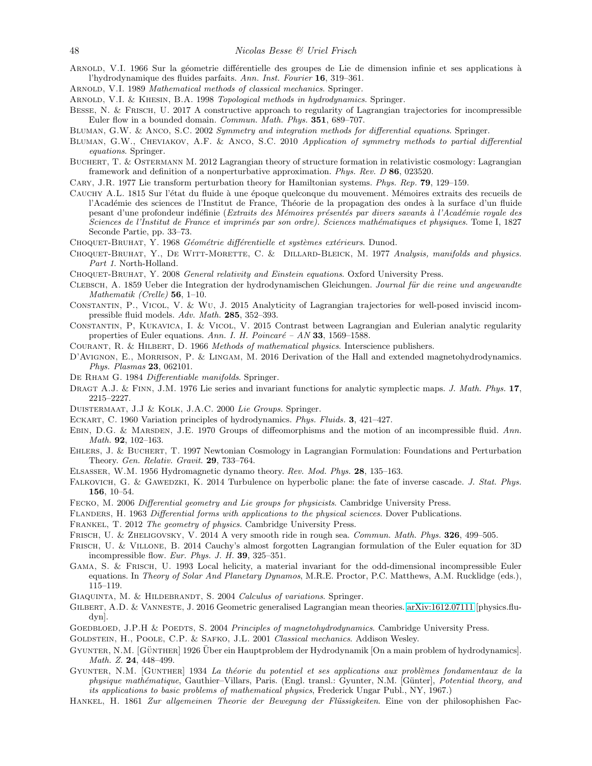- <span id="page-47-1"></span>ARNOLD, V.I. 1966 Sur la géometrie différentielle des groupes de Lie de dimension infinie et ses applications à l'hydrodynamique des fluides parfaits. Ann. Inst. Fourier 16, 319–361.
- <span id="page-47-34"></span>ARNOLD, V.I. 1989 Mathematical methods of classical mechanics. Springer.
- <span id="page-47-10"></span>Arnold, V.I. & Khesin, B.A. 1998 Topological methods in hydrodynamics. Springer.
- <span id="page-47-5"></span>Besse, N. & Frisch, U. 2017 A constructive approach to regularity of Lagrangian trajectories for incompressible Euler flow in a bounded domain. Commun. Math. Phys. 351, 689–707.
- <span id="page-47-26"></span>Bluman, G.W. & Anco, S.C. 2002 Symmetry and integration methods for differential equations. Springer.
- <span id="page-47-27"></span>Bluman, G.W., Cheviakov, A.F. & Anco, S.C. 2010 Application of symmetry methods to partial differential equations. Springer.
- <span id="page-47-23"></span>Buchert, T. & Ostermann M. 2012 Lagrangian theory of structure formation in relativistic cosmology: Lagrangian framework and definition of a nonperturbative approximation. Phys. Rev. D 86, 023520.
- <span id="page-47-25"></span>Cary, J.R. 1977 Lie transform perturbation theory for Hamiltonian systems. Phys. Rep. 79, 129–159.
- <span id="page-47-2"></span>CAUCHY A.L. 1815 Sur l'état du fluide à une époque quelconque du mouvement. Mémoires extraits des recueils de l'Académie des sciences de l'Institut de France, Théorie de la propagation des ondes à la surface d'un fluide pesant d'une profondeur indéfinie (Extraits des Mémoires présentés par divers savants à l'Académie royale des Sciences de l'Institut de France et imprimés par son ordre). Sciences mathématiques et physiques. Tome I, 1827 Seconde Partie, pp. 33–73.
- <span id="page-47-35"></span>CHOQUET-BRUHAT, Y. 1968 Géométrie différentielle et systèmes extérieurs. Dunod.
- <span id="page-47-36"></span>CHOQUET-BRUHAT, Y., DE WITT-MORETTE, C. & DILLARD-BLEICK, M. 1977 Analysis, manifolds and physics. Part 1. North-Holland.
- <span id="page-47-8"></span>CHOQUET-BRUHAT, Y. 2008 General relativity and Einstein equations. Oxford University Press.
- <span id="page-47-20"></span>CLEBSCH, A. 1859 Ueber die Integration der hydrodynamischen Gleichungen. Journal für die reine und angewandte Mathematik (Crelle) 56, 1–10.
- <span id="page-47-6"></span>Constantin, P., Vicol, V. & Wu, J. 2015 Analyticity of Lagrangian trajectories for well-posed inviscid incompressible fluid models. Adv. Math. 285, 352–393.
- <span id="page-47-7"></span>Constantin, P, Kukavica, I. & Vicol, V. 2015 Contrast between Lagrangian and Eulerian analytic regularity properties of Euler equations. Ann. I. H. Poincaré – AN 33, 1569–1588.
- <span id="page-47-31"></span>Courant, R. & Hilbert, D. 1966 Methods of mathematical physics. Interscience publishers.
- <span id="page-47-15"></span>D'Avignon, E., Morrison, P. & Lingam, M. 2016 Derivation of the Hall and extended magnetohydrodynamics. Phys. Plasmas 23, 062101.
- <span id="page-47-37"></span>De Rham G. 1984 Differentiable manifolds. Springer.
- <span id="page-47-24"></span>DRAGT A.J. & FINN, J.M. 1976 Lie series and invariant functions for analytic symplectic maps. J. Math. Phys. 17, 2215–2227.
- <span id="page-47-28"></span>Duistermaat, J.J & Kolk, J.A.C. 2000 Lie Groups. Springer.
- <span id="page-47-4"></span>ECKART, C. 1960 Variation principles of hydrodynamics. Phys. Fluids. 3, 421-427.
- <span id="page-47-18"></span>EBIN, D.G. & MARSDEN, J.E. 1970 Groups of diffeomorphisms and the motion of an incompressible fluid. Ann. Math. 92, 102–163.
- <span id="page-47-22"></span>Ehlers, J. & Buchert, T. 1997 Newtonian Cosmology in Lagrangian Formulation: Foundations and Perturbation Theory. Gen. Relativ. Gravit. 29, 733–764.
- <span id="page-47-14"></span>Elsasser, W.M. 1956 Hydromagnetic dynamo theory. Rev. Mod. Phys. 28, 135–163.
- <span id="page-47-9"></span>FALKOVICH, G. & GAWEDZKI, K. 2014 Turbulence on hyperbolic plane: the fate of inverse cascade. J. Stat. Phys. 156, 10–54.
- <span id="page-47-29"></span>Fecko, M. 2006 Differential geometry and Lie groups for physicists. Cambridge University Press.
- <span id="page-47-12"></span>Flanders, H. 1963 Differential forms with applications to the physical sciences. Dover Publications.
- <span id="page-47-30"></span>Frankel, T. 2012 The geometry of physics. Cambridge University Press.
- <span id="page-47-0"></span>FRISCH, U. & ZHELIGOVSKY, V. 2014 A very smooth ride in rough sea. Commun. Math. Phys. 326, 499-505.
- <span id="page-47-3"></span>Frisch, U. & Villone, B. 2014 Cauchy's almost forgotten Lagrangian formulation of the Euler equation for 3D incompressible flow. Eur. Phys. J. H. 39, 325–351.
- <span id="page-47-21"></span>Gama, S. & Frisch, U. 1993 Local helicity, a material invariant for the odd-dimensional incompressible Euler equations. In Theory of Solar And Planetary Dynamos, M.R.E. Proctor, P.C. Matthews, A.M. Rucklidge (eds.), 115–119.
- <span id="page-47-33"></span>GIAQUINTA, M. & HILDEBRANDT, S. 2004 Calculus of variations. Springer.
- <span id="page-47-11"></span>GILBERT, A.D. & VANNESTE, J. 2016 Geometric generalised Lagrangian mean theories. [arXiv:1612.07111](http://arxiv.org/abs/1612.07111) [physics.fludyn].
- <span id="page-47-13"></span>GOEDBLOED, J.P.H & POEDTS, S. 2004 Principles of magnetohydrodynamics. Cambridge University Press.
- <span id="page-47-32"></span>GOLDSTEIN, H., POOLE, C.P. & SAFKO, J.L. 2001 Classical mechanics. Addison Wesley.
- <span id="page-47-16"></span>GYUNTER, N.M. [GÜNTHER] 1926 Über ein Hauptproblem der Hydrodynamik [On a main problem of hydrodynamics]. Math. Z. 24, 448-499.
- <span id="page-47-17"></span>GYUNTER, N.M. [GUNTHER] 1934 La théorie du potentiel et ses applications aux problèmes fondamentaux de la physique mathématique, Gauthier–Villars, Paris. (Engl. transl.: Gyunter, N.M. [Günter], Potential theory, and its applications to basic problems of mathematical physics, Frederick Ungar Publ., NY, 1967.)
- <span id="page-47-19"></span>HANKEL, H. 1861 Zur allgemeinen Theorie der Bewegung der Flüssigkeiten. Eine von der philosophishen Fac-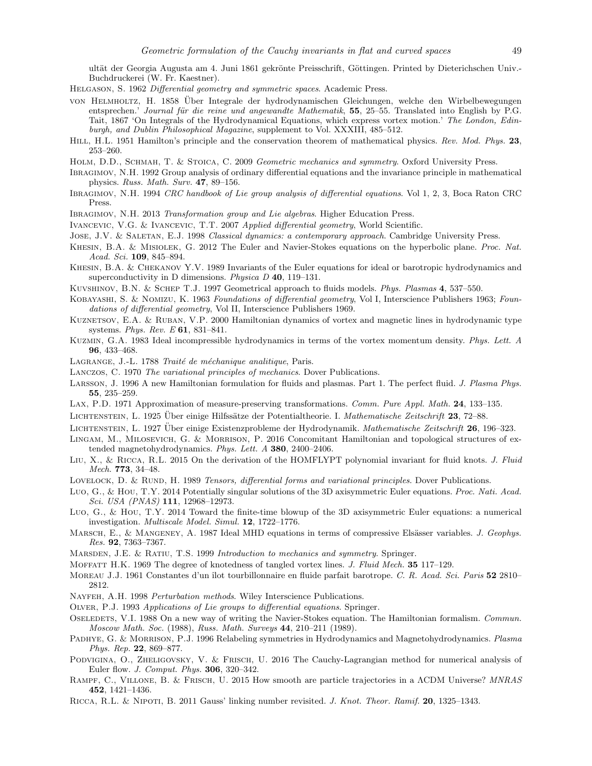ultät der Georgia Augusta am 4. Juni 1861 gekrönte Preisschrift, Göttingen. Printed by Dieterichschen Univ.-Buchdruckerei (W. Fr. Kaestner).

- <span id="page-48-33"></span>Helgason, S. 1962 Differential geometry and symmetric spaces. Academic Press.
- <span id="page-48-11"></span>von HELMHOLTZ, H. 1858 Über Integrale der hydrodynamischen Gleichungen, welche den Wirbelbewegungen entsprechen.' Journal für die reine und angewandte Mathematik, 55, 25–55. Translated into English by P.G. Tait, 1867 'On Integrals of the Hydrodynamical Equations, which express vortex motion.' The London, Edinburgh, and Dublin Philosophical Magazine, supplement to Vol. XXXIII, 485–512.
- <span id="page-48-30"></span>HILL, H.L. 1951 Hamilton's principle and the conservation theorem of mathematical physics. Rev. Mod. Phys. 23, 253–260.
- <span id="page-48-23"></span>HOLM, D.D., SCHMAH, T. & STOICA, C. 2009 Geometric mechanics and symmetry. Oxford University Press.
- <span id="page-48-24"></span>Ibragimov, N.H. 1992 Group analysis of ordinary differential equations and the invariance principle in mathematical physics. Russ. Math. Surv. 47, 89–156.
- <span id="page-48-25"></span>Ibragimov, N.H. 1994 CRC handbook of Lie group analysis of differential equations. Vol 1, 2, 3, Boca Raton CRC Press.
- <span id="page-48-26"></span>Ibragimov, N.H. 2013 Transformation group and Lie algebras. Higher Education Press.
- <span id="page-48-27"></span>Ivancevic, V.G. & Ivancevic, T.T. 2007 Applied differential geometry, World Scientific.
- <span id="page-48-32"></span>JOSE, J.V. & SALETAN, E.J. 1998 Classical dynamics: a contemporary approach. Cambridge University Press.
- <span id="page-48-6"></span>KHESIN, B.A. & MISIOLEK, G. 2012 The Euler and Navier-Stokes equations on the hyperbolic plane. Proc. Nat. Acad. Sci. 109, 845–894.
- <span id="page-48-12"></span>Khesin, B.A. & Chekanov Y.V. 1989 Invariants of the Euler equations for ideal or barotropic hydrodynamics and superconductivity in D dimensions. *Physica D* 40, 119–131.
- <span id="page-48-5"></span>Kuvshinov, B.N. & Schep T.J. 1997 Geometrical approach to fluids models. Phys. Plasmas 4, 537–550.
- <span id="page-48-34"></span>KOBAYASHI, S. & NOMIZU, K. 1963 Foundations of differential geometry, Vol I, Interscience Publishers 1963; Foundations of differential geometry, Vol II, Interscience Publishers 1969.
- Kuznetsov, E.A. & Ruban, V.P. 2000 Hamiltonian dynamics of vortex and magnetic lines in hydrodynamic type systems. Phys. Rev. E 61, 831–841.
- <span id="page-48-19"></span>Kuzmin, G.A. 1983 Ideal incompressible hydrodynamics in terms of the vortex momentum density. Phys. Lett. A 96, 433–468.
- <span id="page-48-29"></span>LAGRANGE, J.-L. 1788 Traité de méchanique analitique, Paris.
- <span id="page-48-31"></span>Lanczos, C. 1970 The variational principles of mechanics. Dover Publications.
- <span id="page-48-10"></span>Larsson, J. 1996 A new Hamiltonian formulation for fluids and plasmas. Part 1. The perfect fluid. J. Plasma Phys. 55, 235–259.
- <span id="page-48-9"></span>Lax, P.D. 1971 Approximation of measure-preserving transformations. Comm. Pure Appl. Math. 24, 133–135.
- <span id="page-48-14"></span>LICHTENSTEIN, L. 1925 Über einige Hilfssätze der Potentialtheorie. I. Mathematische Zeitschrift 23, 72–88.
- <span id="page-48-15"></span>LICHTENSTEIN, L. 1927 Über einige Existenzprobleme der Hydrodynamik. Mathematische Zeitschrift 26, 196–323.
- <span id="page-48-1"></span>Lingam, M., Milosevich, G. & Morrison, P. 2016 Concomitant Hamiltonian and topological structures of extended magnetohydrodynamics. Phys. Lett. A 380, 2400–2406.
- <span id="page-48-8"></span>LIU, X., & RICCA, R.L. 2015 On the derivation of the HOMFLYPT polynomial invariant for fluid knots. J. Fluid Mech. 773, 34–48.
- <span id="page-48-35"></span>LOVELOCK, D. & RUND, H. 1989 Tensors, differential forms and variational principles. Dover Publications.
- <span id="page-48-21"></span>Luo, G., & Hou, T.Y. 2014 Potentially singular solutions of the 3D axisymmetric Euler equations. Proc. Nati. Acad. Sci. USA (PNAS) 111, 12968–12973.
- <span id="page-48-22"></span>Luo, G., & Hou, T.Y. 2014 Toward the finite-time blowup of the 3D axisymmetric Euler equations: a numerical investigation. Multiscale Model. Simul. 12, 1722–1776.
- <span id="page-48-13"></span>MARSCH, E., & MANGENEY, A. 1987 Ideal MHD equations in terms of compressive Elsässer variables. J. Geophys. Res. 92, 7363–7367.
- <span id="page-48-4"></span>Marsden, J.E. & Ratiu, T.S. 1999 Introduction to mechanics and symmetry. Springer.
- <span id="page-48-17"></span>MOFFATT H.K. 1969 The degree of knotedness of tangled vortex lines. J. Fluid Mech. 35 117–129.
- <span id="page-48-16"></span>MOREAU J.J. 1961 Constantes d'un îlot tourbillonnaire en fluide parfait barotrope. C. R. Acad. Sci. Paris 52 2810-2812.
- <span id="page-48-20"></span>NAYFEH, A.H. 1998 Perturbation methods. Wiley Interscience Publications.
- <span id="page-48-28"></span>Olver, P.J. 1993 Applications of Lie groups to differential equations. Springer.
- <span id="page-48-18"></span>Oseledets, V.I. 1988 On a new way of writing the Navier-Stokes equation. The Hamiltonian formalism. Commun. Moscow Math. Soc. (1988), Russ. Math. Surveys 44, 210–211 (1989).
- <span id="page-48-2"></span>PADHYE, G. & MORRISON, P.J. 1996 Relabeling symmetries in Hydrodynamics and Magnetohydrodynamics. Plasma Phys. Rep. 22, 869–877.
- <span id="page-48-0"></span>Podvigina, O., Zheligovsky, V. & Frisch, U. 2016 The Cauchy-Lagrangian method for numerical analysis of Euler flow. J. Comput. Phys. 306, 320–342.
- <span id="page-48-3"></span>Rampf, C., Villone, B. & Frisch, U. 2015 How smooth are particle trajectories in a ΛCDM Universe? MNRAS 452, 1421–1436.
- <span id="page-48-7"></span>Ricca, R.L. & Nipoti, B. 2011 Gauss' linking number revisited. J. Knot. Theor. Ramif. 20, 1325–1343.